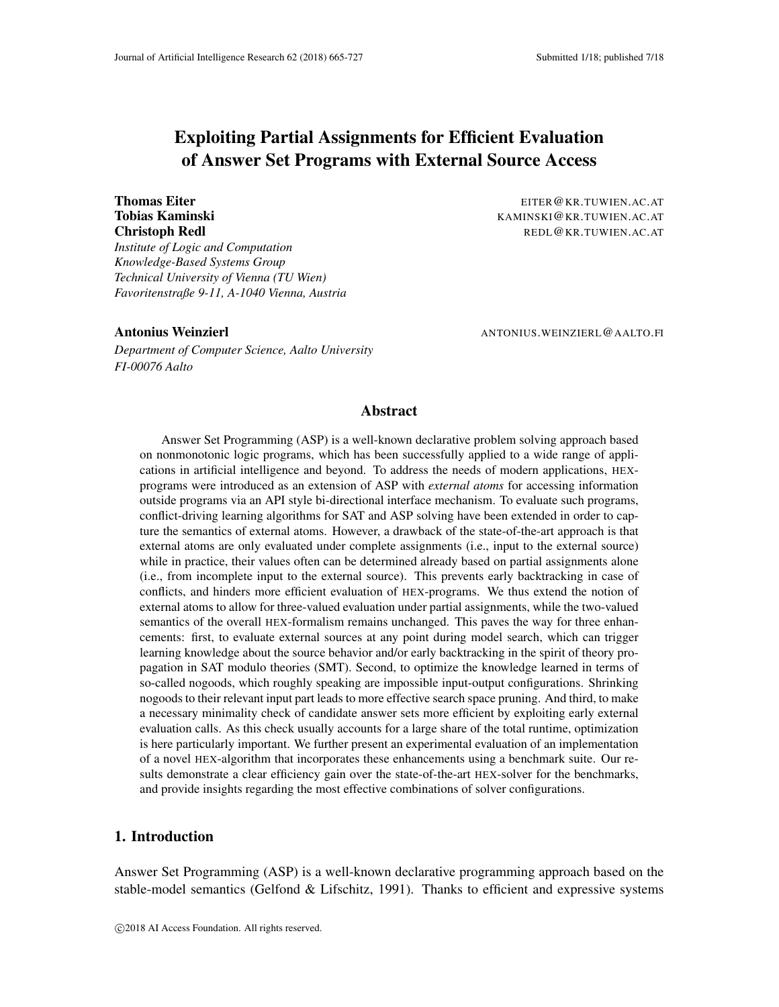# Exploiting Partial Assignments for Efficient Evaluation of Answer Set Programs with External Source Access

*Institute of Logic and Computation Knowledge-Based Systems Group Technical University of Vienna (TU Wien) Favoritenstraße 9-11, A-1040 Vienna, Austria*

Thomas Eiter **EITER@KR.TUWIEN.AC.AT** Tobias Kaminski Kaminski Kaminski Kaminski Kaminski Kaminski Kaminski Kaminski Kaminski Kaminski Kaminski Kamin **Christoph Redl** REDL@KR.TUWIEN.AC.AT

*Department of Computer Science, Aalto University FI-00076 Aalto*

Antonius Weinzierl ANTONIUS.WEINZIERL@AALTO.FI

## Abstract

Answer Set Programming (ASP) is a well-known declarative problem solving approach based on nonmonotonic logic programs, which has been successfully applied to a wide range of applications in artificial intelligence and beyond. To address the needs of modern applications, HEXprograms were introduced as an extension of ASP with *external atoms* for accessing information outside programs via an API style bi-directional interface mechanism. To evaluate such programs, conflict-driving learning algorithms for SAT and ASP solving have been extended in order to capture the semantics of external atoms. However, a drawback of the state-of-the-art approach is that external atoms are only evaluated under complete assignments (i.e., input to the external source) while in practice, their values often can be determined already based on partial assignments alone (i.e., from incomplete input to the external source). This prevents early backtracking in case of conflicts, and hinders more efficient evaluation of HEX-programs. We thus extend the notion of external atoms to allow for three-valued evaluation under partial assignments, while the two-valued semantics of the overall HEX-formalism remains unchanged. This paves the way for three enhancements: first, to evaluate external sources at any point during model search, which can trigger learning knowledge about the source behavior and/or early backtracking in the spirit of theory propagation in SAT modulo theories (SMT). Second, to optimize the knowledge learned in terms of so-called nogoods, which roughly speaking are impossible input-output configurations. Shrinking nogoods to their relevant input part leads to more effective search space pruning. And third, to make a necessary minimality check of candidate answer sets more efficient by exploiting early external evaluation calls. As this check usually accounts for a large share of the total runtime, optimization is here particularly important. We further present an experimental evaluation of an implementation of a novel HEX-algorithm that incorporates these enhancements using a benchmark suite. Our results demonstrate a clear efficiency gain over the state-of-the-art HEX-solver for the benchmarks, and provide insights regarding the most effective combinations of solver configurations.

## 1. Introduction

Answer Set Programming (ASP) is a well-known declarative programming approach based on the stable-model semantics (Gelfond & Lifschitz, 1991). Thanks to efficient and expressive systems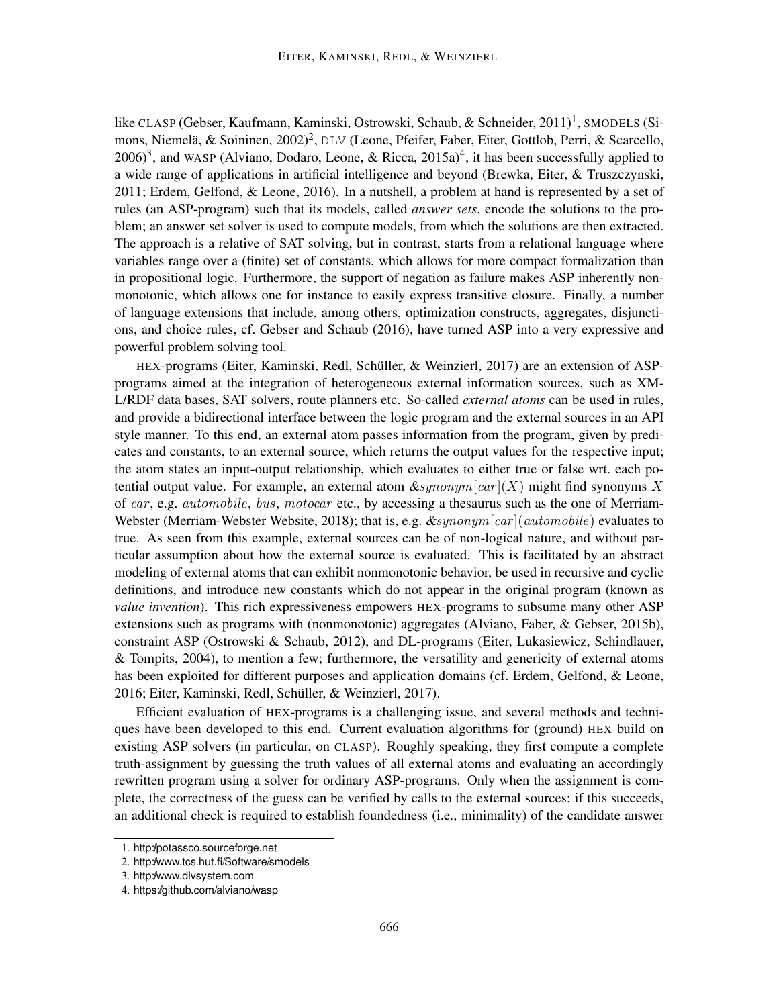like CLASP (Gebser, Kaufmann, Kaminski, Ostrowski, Schaub, & Schneider, 2011)<sup>1</sup>, SMODELS (Simons, Niemelä, & Soininen, 2002)<sup>2</sup>, DLV (Leone, Pfeifer, Faber, Eiter, Gottlob, Perri, & Scarcello,  $(2006)^3$ , and WASP (Alviano, Dodaro, Leone, & Ricca,  $(2015a)^4$ , it has been successfully applied to a wide range of applications in artificial intelligence and beyond (Brewka, Eiter, & Truszczynski, 2011; Erdem, Gelfond, & Leone, 2016). In a nutshell, a problem at hand is represented by a set of rules (an ASP-program) such that its models, called *answer sets*, encode the solutions to the problem; an answer set solver is used to compute models, from which the solutions are then extracted. The approach is a relative of SAT solving, but in contrast, starts from a relational language where variables range over a (finite) set of constants, which allows for more compact formalization than in propositional logic. Furthermore, the support of negation as failure makes ASP inherently nonmonotonic, which allows one for instance to easily express transitive closure. Finally, a number of language extensions that include, among others, optimization constructs, aggregates, disjunctions, and choice rules, cf. Gebser and Schaub (2016), have turned ASP into a very expressive and powerful problem solving tool.

HEX-programs (Eiter, Kaminski, Redl, Schüller, & Weinzierl, 2017) are an extension of ASPprograms aimed at the integration of heterogeneous external information sources, such as XM-L/RDF data bases, SAT solvers, route planners etc. So-called *external atoms* can be used in rules, and provide a bidirectional interface between the logic program and the external sources in an API style manner. To this end, an external atom passes information from the program, given by predicates and constants, to an external source, which returns the output values for the respective input; the atom states an input-output relationship, which evaluates to either true or false wrt. each potential output value. For example, an external atom  $\&synonym[car](X)$  might find synonyms X of car, e.g. automobile, bus, motocar etc., by accessing a thesaurus such as the one of Merriam-Webster (Merriam-Webster Website, 2018); that is, e.g.  $\&synonym[car](automobile)$  evaluates to true. As seen from this example, external sources can be of non-logical nature, and without particular assumption about how the external source is evaluated. This is facilitated by an abstract modeling of external atoms that can exhibit nonmonotonic behavior, be used in recursive and cyclic definitions, and introduce new constants which do not appear in the original program (known as *value invention*). This rich expressiveness empowers HEX-programs to subsume many other ASP extensions such as programs with (nonmonotonic) aggregates (Alviano, Faber, & Gebser, 2015b), constraint ASP (Ostrowski & Schaub, 2012), and DL-programs (Eiter, Lukasiewicz, Schindlauer, & Tompits, 2004), to mention a few; furthermore, the versatility and genericity of external atoms has been exploited for different purposes and application domains (cf. Erdem, Gelfond, & Leone, 2016; Eiter, Kaminski, Redl, Schuller, & Weinzierl, 2017). ¨

Efficient evaluation of HEX-programs is a challenging issue, and several methods and techniques have been developed to this end. Current evaluation algorithms for (ground) HEX build on existing ASP solvers (in particular, on CLASP). Roughly speaking, they first compute a complete truth-assignment by guessing the truth values of all external atoms and evaluating an accordingly rewritten program using a solver for ordinary ASP-programs. Only when the assignment is complete, the correctness of the guess can be verified by calls to the external sources; if this succeeds, an additional check is required to establish foundedness (i.e., minimality) of the candidate answer

<sup>1.</sup> http://potassco.sourceforge.net

<sup>2.</sup> http://www.tcs.hut.fi/Software/smodels

<sup>3.</sup> http://www.dlvsystem.com

<sup>4.</sup> https://github.com/alviano/wasp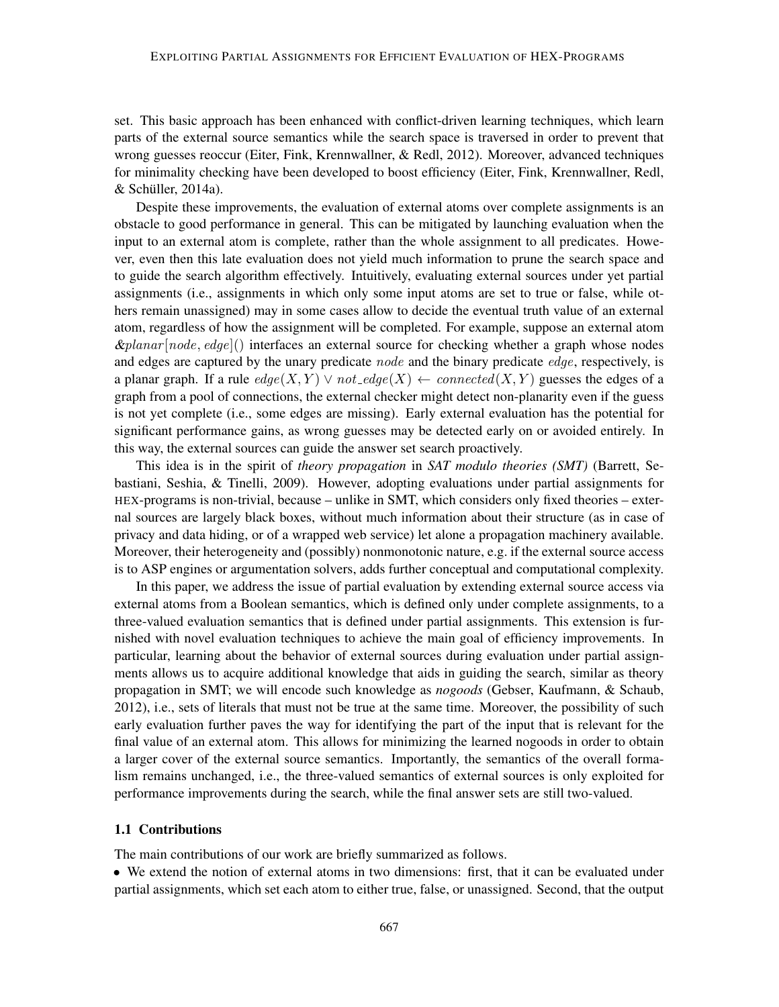set. This basic approach has been enhanced with conflict-driven learning techniques, which learn parts of the external source semantics while the search space is traversed in order to prevent that wrong guesses reoccur (Eiter, Fink, Krennwallner, & Redl, 2012). Moreover, advanced techniques for minimality checking have been developed to boost efficiency (Eiter, Fink, Krennwallner, Redl,  $&$  Schüller, 2014a).

Despite these improvements, the evaluation of external atoms over complete assignments is an obstacle to good performance in general. This can be mitigated by launching evaluation when the input to an external atom is complete, rather than the whole assignment to all predicates. However, even then this late evaluation does not yield much information to prune the search space and to guide the search algorithm effectively. Intuitively, evaluating external sources under yet partial assignments (i.e., assignments in which only some input atoms are set to true or false, while others remain unassigned) may in some cases allow to decide the eventual truth value of an external atom, regardless of how the assignment will be completed. For example, suppose an external atom  $\&p$ lanar [node, edge]() interfaces an external source for checking whether a graph whose nodes and edges are captured by the unary predicate *node* and the binary predicate *edge*, respectively, is a planar graph. If a rule  $edge(X, Y) \vee not\_edge(X) \leftarrow connected(X, Y)$  guesses the edges of a graph from a pool of connections, the external checker might detect non-planarity even if the guess is not yet complete (i.e., some edges are missing). Early external evaluation has the potential for significant performance gains, as wrong guesses may be detected early on or avoided entirely. In this way, the external sources can guide the answer set search proactively.

This idea is in the spirit of *theory propagation* in *SAT modulo theories (SMT)* (Barrett, Sebastiani, Seshia, & Tinelli, 2009). However, adopting evaluations under partial assignments for HEX-programs is non-trivial, because – unlike in SMT, which considers only fixed theories – external sources are largely black boxes, without much information about their structure (as in case of privacy and data hiding, or of a wrapped web service) let alone a propagation machinery available. Moreover, their heterogeneity and (possibly) nonmonotonic nature, e.g. if the external source access is to ASP engines or argumentation solvers, adds further conceptual and computational complexity.

In this paper, we address the issue of partial evaluation by extending external source access via external atoms from a Boolean semantics, which is defined only under complete assignments, to a three-valued evaluation semantics that is defined under partial assignments. This extension is furnished with novel evaluation techniques to achieve the main goal of efficiency improvements. In particular, learning about the behavior of external sources during evaluation under partial assignments allows us to acquire additional knowledge that aids in guiding the search, similar as theory propagation in SMT; we will encode such knowledge as *nogoods* (Gebser, Kaufmann, & Schaub, 2012), i.e., sets of literals that must not be true at the same time. Moreover, the possibility of such early evaluation further paves the way for identifying the part of the input that is relevant for the final value of an external atom. This allows for minimizing the learned nogoods in order to obtain a larger cover of the external source semantics. Importantly, the semantics of the overall formalism remains unchanged, i.e., the three-valued semantics of external sources is only exploited for performance improvements during the search, while the final answer sets are still two-valued.

## 1.1 Contributions

The main contributions of our work are briefly summarized as follows.

• We extend the notion of external atoms in two dimensions: first, that it can be evaluated under partial assignments, which set each atom to either true, false, or unassigned. Second, that the output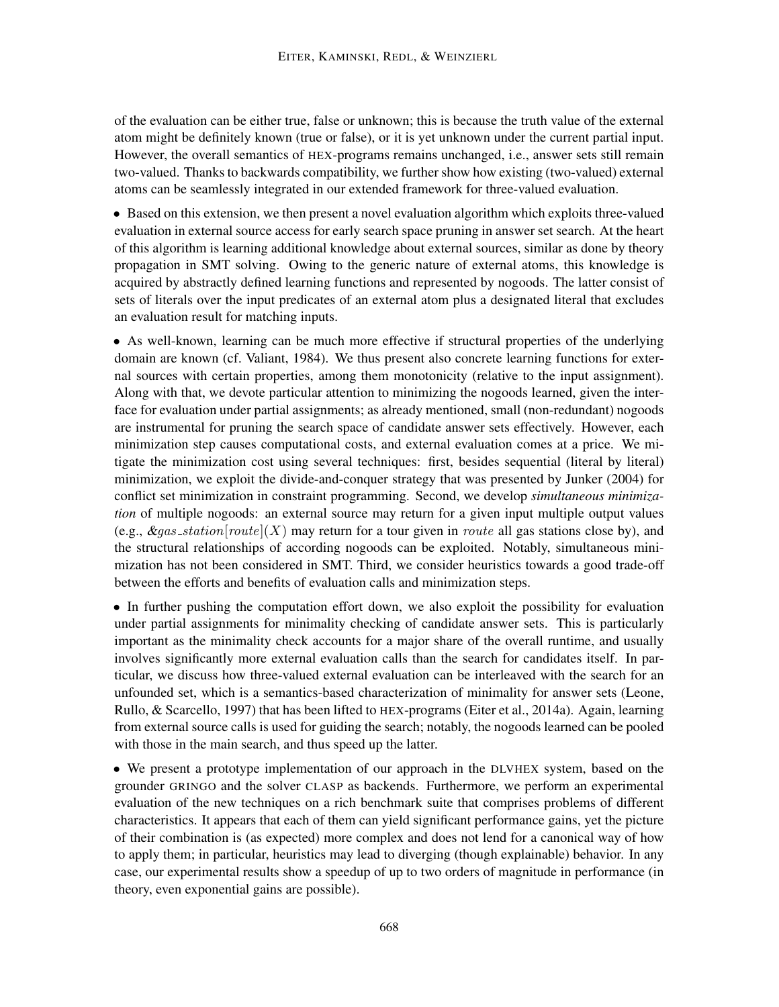of the evaluation can be either true, false or unknown; this is because the truth value of the external atom might be definitely known (true or false), or it is yet unknown under the current partial input. However, the overall semantics of HEX-programs remains unchanged, i.e., answer sets still remain two-valued. Thanks to backwards compatibility, we further show how existing (two-valued) external atoms can be seamlessly integrated in our extended framework for three-valued evaluation.

• Based on this extension, we then present a novel evaluation algorithm which exploits three-valued evaluation in external source access for early search space pruning in answer set search. At the heart of this algorithm is learning additional knowledge about external sources, similar as done by theory propagation in SMT solving. Owing to the generic nature of external atoms, this knowledge is acquired by abstractly defined learning functions and represented by nogoods. The latter consist of sets of literals over the input predicates of an external atom plus a designated literal that excludes an evaluation result for matching inputs.

• As well-known, learning can be much more effective if structural properties of the underlying domain are known (cf. Valiant, 1984). We thus present also concrete learning functions for external sources with certain properties, among them monotonicity (relative to the input assignment). Along with that, we devote particular attention to minimizing the nogoods learned, given the interface for evaluation under partial assignments; as already mentioned, small (non-redundant) nogoods are instrumental for pruning the search space of candidate answer sets effectively. However, each minimization step causes computational costs, and external evaluation comes at a price. We mitigate the minimization cost using several techniques: first, besides sequential (literal by literal) minimization, we exploit the divide-and-conquer strategy that was presented by Junker (2004) for conflict set minimization in constraint programming. Second, we develop *simultaneous minimization* of multiple nogoods: an external source may return for a given input multiple output values (e.g.,  $\&gas\_station[route](X)$  may return for a tour given in *route* all gas stations close by), and the structural relationships of according nogoods can be exploited. Notably, simultaneous minimization has not been considered in SMT. Third, we consider heuristics towards a good trade-off between the efforts and benefits of evaluation calls and minimization steps.

• In further pushing the computation effort down, we also exploit the possibility for evaluation under partial assignments for minimality checking of candidate answer sets. This is particularly important as the minimality check accounts for a major share of the overall runtime, and usually involves significantly more external evaluation calls than the search for candidates itself. In particular, we discuss how three-valued external evaluation can be interleaved with the search for an unfounded set, which is a semantics-based characterization of minimality for answer sets (Leone, Rullo, & Scarcello, 1997) that has been lifted to HEX-programs (Eiter et al., 2014a). Again, learning from external source calls is used for guiding the search; notably, the nogoods learned can be pooled with those in the main search, and thus speed up the latter.

• We present a prototype implementation of our approach in the DLVHEX system, based on the grounder GRINGO and the solver CLASP as backends. Furthermore, we perform an experimental evaluation of the new techniques on a rich benchmark suite that comprises problems of different characteristics. It appears that each of them can yield significant performance gains, yet the picture of their combination is (as expected) more complex and does not lend for a canonical way of how to apply them; in particular, heuristics may lead to diverging (though explainable) behavior. In any case, our experimental results show a speedup of up to two orders of magnitude in performance (in theory, even exponential gains are possible).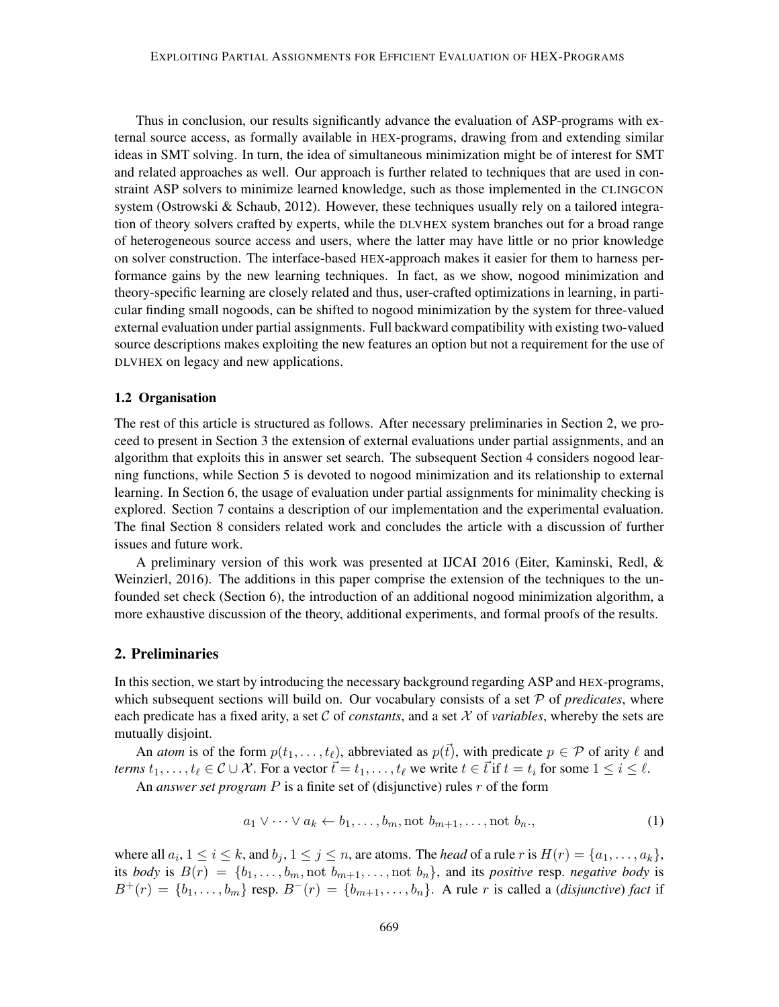Thus in conclusion, our results significantly advance the evaluation of ASP-programs with external source access, as formally available in HEX-programs, drawing from and extending similar ideas in SMT solving. In turn, the idea of simultaneous minimization might be of interest for SMT and related approaches as well. Our approach is further related to techniques that are used in constraint ASP solvers to minimize learned knowledge, such as those implemented in the CLINGCON system (Ostrowski & Schaub, 2012). However, these techniques usually rely on a tailored integration of theory solvers crafted by experts, while the DLVHEX system branches out for a broad range of heterogeneous source access and users, where the latter may have little or no prior knowledge on solver construction. The interface-based HEX-approach makes it easier for them to harness performance gains by the new learning techniques. In fact, as we show, nogood minimization and theory-specific learning are closely related and thus, user-crafted optimizations in learning, in particular finding small nogoods, can be shifted to nogood minimization by the system for three-valued external evaluation under partial assignments. Full backward compatibility with existing two-valued source descriptions makes exploiting the new features an option but not a requirement for the use of DLVHEX on legacy and new applications.

## 1.2 Organisation

The rest of this article is structured as follows. After necessary preliminaries in Section 2, we proceed to present in Section 3 the extension of external evaluations under partial assignments, and an algorithm that exploits this in answer set search. The subsequent Section 4 considers nogood learning functions, while Section 5 is devoted to nogood minimization and its relationship to external learning. In Section 6, the usage of evaluation under partial assignments for minimality checking is explored. Section 7 contains a description of our implementation and the experimental evaluation. The final Section 8 considers related work and concludes the article with a discussion of further issues and future work.

A preliminary version of this work was presented at IJCAI 2016 (Eiter, Kaminski, Redl, & Weinzierl, 2016). The additions in this paper comprise the extension of the techniques to the unfounded set check (Section 6), the introduction of an additional nogood minimization algorithm, a more exhaustive discussion of the theory, additional experiments, and formal proofs of the results.

## 2. Preliminaries

In this section, we start by introducing the necessary background regarding ASP and HEX-programs, which subsequent sections will build on. Our vocabulary consists of a set  $P$  of *predicates*, where each predicate has a fixed arity, a set C of *constants*, and a set X of *variables*, whereby the sets are mutually disjoint.

An *atom* is of the form  $p(t_1, \ldots, t_\ell)$ , abbreviated as  $p(\vec{t})$ , with predicate  $p \in \mathcal{P}$  of arity  $\ell$  and *terms*  $t_1, \ldots, t_\ell \in \mathcal{C} \cup \mathcal{X}$ . For a vector  $\vec{t} = t_1, \ldots, t_\ell$  we write  $t \in \vec{t}$  if  $t = t_i$  for some  $1 \leq i \leq \ell$ .

An *answer set program* P is a finite set of (disjunctive) rules r of the form

$$
a_1 \vee \cdots \vee a_k \leftarrow b_1, \ldots, b_m, \text{not } b_{m+1}, \ldots, \text{not } b_n,
$$
\n
$$
(1)
$$

where all  $a_i, 1 \le i \le k$ , and  $b_j, 1 \le j \le n$ , are atoms. The *head* of a rule r is  $H(r) = \{a_1, \ldots, a_k\}$ , its *body* is  $B(r) = \{b_1, \ldots, b_m, \text{not } b_{m+1}, \ldots, \text{not } b_n\}$ , and its *positive* resp. *negative body* is  $B^+(r) = \{b_1, \ldots, b_m\}$  resp.  $B^-(r) = \{b_{m+1}, \ldots, b_n\}$ . A rule r is called a *(disjunctive) fact* if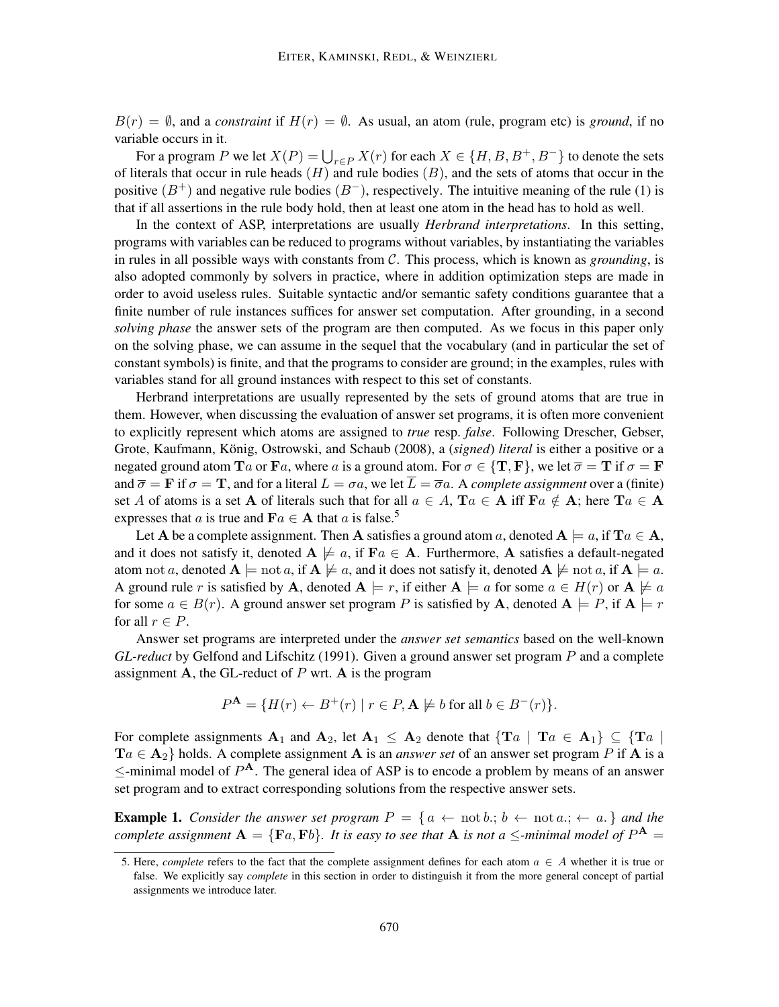$B(r) = \emptyset$ , and a *constraint* if  $H(r) = \emptyset$ . As usual, an atom (rule, program etc) is *ground*, if no variable occurs in it.

For a program P we let  $X(P) = \bigcup_{r \in P} X(r)$  for each  $X \in \{H, B, B^+, B^-\}$  to denote the sets of literals that occur in rule heads  $(H)$  and rule bodies  $(B)$ , and the sets of atoms that occur in the positive  $(B^+)$  and negative rule bodies  $(B^-)$ , respectively. The intuitive meaning of the rule (1) is that if all assertions in the rule body hold, then at least one atom in the head has to hold as well.

In the context of ASP, interpretations are usually *Herbrand interpretations*. In this setting, programs with variables can be reduced to programs without variables, by instantiating the variables in rules in all possible ways with constants from C. This process, which is known as *grounding*, is also adopted commonly by solvers in practice, where in addition optimization steps are made in order to avoid useless rules. Suitable syntactic and/or semantic safety conditions guarantee that a finite number of rule instances suffices for answer set computation. After grounding, in a second *solving phase* the answer sets of the program are then computed. As we focus in this paper only on the solving phase, we can assume in the sequel that the vocabulary (and in particular the set of constant symbols) is finite, and that the programs to consider are ground; in the examples, rules with variables stand for all ground instances with respect to this set of constants.

Herbrand interpretations are usually represented by the sets of ground atoms that are true in them. However, when discussing the evaluation of answer set programs, it is often more convenient to explicitly represent which atoms are assigned to *true* resp. *false*. Following Drescher, Gebser, Grote, Kaufmann, König, Ostrowski, and Schaub (2008), a *(signed) literal* is either a positive or a negated ground atom  $Ta$  or  $Fa$ , where a is a ground atom. For  $\sigma \in \{T, F\}$ , we let  $\overline{\sigma} = T$  if  $\sigma = F$ and  $\overline{\sigma} = \mathbf{F}$  if  $\sigma = \mathbf{T}$ , and for a literal  $L = \sigma a$ , we let  $\overline{L} = \overline{\sigma} a$ . A *complete assignment* over a (finite) set A of atoms is a set A of literals such that for all  $a \in A$ ,  $Ta \in A$  iff  $Fa \notin A$ ; here  $Ta \in A$ expresses that a is true and  $\mathbf{F}a \in \mathbf{A}$  that a is false.<sup>5</sup>

Let A be a complete assignment. Then A satisfies a ground atom a, denoted  $A \models a$ , if  $Ta \in A$ , and it does not satisfy it, denoted  $A \not\models a$ , if  $Fa \in A$ . Furthermore, A satisfies a default-negated atom not a, denoted  $A \models$  not a, if  $A \not\models a$ , and it does not satisfy it, denoted  $A \not\models$  not a, if  $A \models a$ . A ground rule r is satisfied by A, denoted  $A \models r$ , if either  $A \models a$  for some  $a \in H(r)$  or  $A \not\models a$ for some  $a \in B(r)$ . A ground answer set program P is satisfied by **A**, denoted  $A \models P$ , if  $A \models r$ for all  $r \in P$ .

Answer set programs are interpreted under the *answer set semantics* based on the well-known *GL-reduct* by Gelfond and Lifschitz (1991). Given a ground answer set program P and a complete assignment A, the GL-reduct of  $P$  wrt. A is the program

$$
P^{\mathbf{A}} = \{ H(r) \leftarrow B^+(r) \mid r \in P, \mathbf{A} \not\models b \text{ for all } b \in B^-(r) \}.
$$

For complete assignments  $A_1$  and  $A_2$ , let  $A_1 \leq A_2$  denote that  $\{Ta \mid Ta \in A_1\} \subseteq \{Ta \mid Ta \in A_2\}$  $Ta \in \mathbf{A}_2$  holds. A complete assignment **A** is an *answer set* of an answer set program P if **A** is a  $\le$ -minimal model of  $P^{\mathbf{A}}$ . The general idea of ASP is to encode a problem by means of an answer set program and to extract corresponding solutions from the respective answer sets.

**Example 1.** *Consider the answer set program*  $P = \{a \leftarrow \text{not } b : b \leftarrow \text{not } a : b \leftarrow a.\}$  *and the complete assignment*  $A = \{Fa, Fb\}$ *. It is easy to see that* A *is not* a  $\le$ -minimal model of  $P^{\mathbf{A}}$  =

<sup>5.</sup> Here, *complete* refers to the fact that the complete assignment defines for each atom  $a \in A$  whether it is true or false. We explicitly say *complete* in this section in order to distinguish it from the more general concept of partial assignments we introduce later.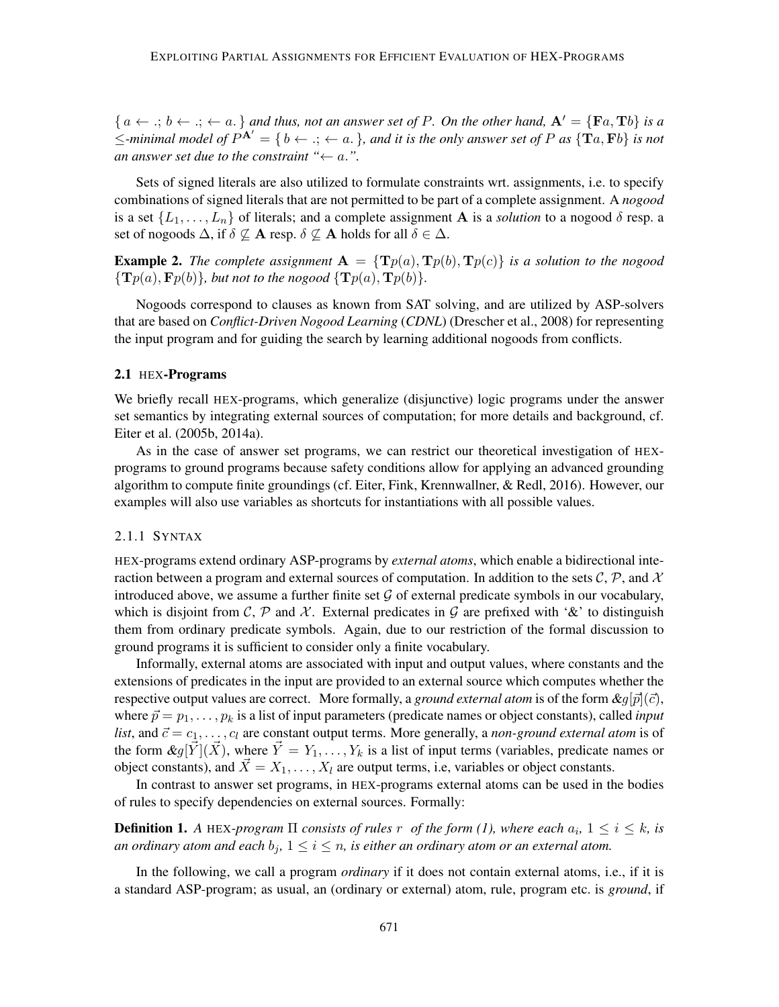${a \leftarrow .; b \leftarrow .; \leftarrow a.}$  *and thus, not an answer set of P. On the other hand,*  $A' = {Fa, Tb}$  *is a*  $\le$ -minimal model of  $P^{A'} = \{b \leftarrow .; \leftarrow a.\}$ , and it is the only answer set of P as  $\{Ta, Fb\}$  is not *an answer set due to the constraint "* $\leftarrow a$ .".

Sets of signed literals are also utilized to formulate constraints wrt. assignments, i.e. to specify combinations of signed literals that are not permitted to be part of a complete assignment. A *nogood* is a set  $\{L_1, \ldots, L_n\}$  of literals; and a complete assignment **A** is a *solution* to a nogood  $\delta$  resp. a set of nogoods  $\Delta$ , if  $\delta \nsubseteq A$  resp.  $\delta \nsubseteq A$  holds for all  $\delta \in \Delta$ .

**Example 2.** The complete assignment  $A = \{Tp(a), Tp(b), Tp(c)\}\$  is a solution to the nogood  ${\bf T}(p(a), {\bf F}(b))$ *, but not to the nogood*  ${\bf T}(p(a), {\bf T}(b))$ *.* 

Nogoods correspond to clauses as known from SAT solving, and are utilized by ASP-solvers that are based on *Conflict-Driven Nogood Learning* (*CDNL*) (Drescher et al., 2008) for representing the input program and for guiding the search by learning additional nogoods from conflicts.

## 2.1 HEX-Programs

We briefly recall HEX-programs, which generalize (disjunctive) logic programs under the answer set semantics by integrating external sources of computation; for more details and background, cf. Eiter et al. (2005b, 2014a).

As in the case of answer set programs, we can restrict our theoretical investigation of HEXprograms to ground programs because safety conditions allow for applying an advanced grounding algorithm to compute finite groundings (cf. Eiter, Fink, Krennwallner, & Redl, 2016). However, our examples will also use variables as shortcuts for instantiations with all possible values.

## 2.1.1 SYNTAX

HEX-programs extend ordinary ASP-programs by *external atoms*, which enable a bidirectional interaction between a program and external sources of computation. In addition to the sets  $\mathcal{C}, \mathcal{P}$ , and  $\mathcal{X}$ introduced above, we assume a further finite set  $\mathcal G$  of external predicate symbols in our vocabulary, which is disjoint from C, P and X. External predicates in G are prefixed with '&' to distinguish them from ordinary predicate symbols. Again, due to our restriction of the formal discussion to ground programs it is sufficient to consider only a finite vocabulary.

Informally, external atoms are associated with input and output values, where constants and the extensions of predicates in the input are provided to an external source which computes whether the respective output values are correct. More formally, a *ground external atom* is of the form  $\&g[\vec{p}](\vec{c})$ , where  $\vec{p} = p_1, \ldots, p_k$  is a list of input parameters (predicate names or object constants), called *input list*, and  $\vec{c} = c_1, \ldots, c_l$  are constant output terms. More generally, a *non-ground external atom* is of the form  $\&g[\vec{Y}](\vec{X})$ , where  $\vec{Y} = Y_1, \ldots, Y_k$  is a list of input terms (variables, predicate names or object constants), and  $\vec{X} = X_1, \dots, X_l$  are output terms, i.e, variables or object constants.

In contrast to answer set programs, in HEX-programs external atoms can be used in the bodies of rules to specify dependencies on external sources. Formally:

**Definition 1.** A HEX-program  $\Pi$  consists of rules  $r$  of the form (1), where each  $a_i$ ,  $1 \leq i \leq k$ , is *an ordinary atom and each*  $b_j$ ,  $1 \leq i \leq n$ , *is either an ordinary atom or an external atom.* 

In the following, we call a program *ordinary* if it does not contain external atoms, i.e., if it is a standard ASP-program; as usual, an (ordinary or external) atom, rule, program etc. is *ground*, if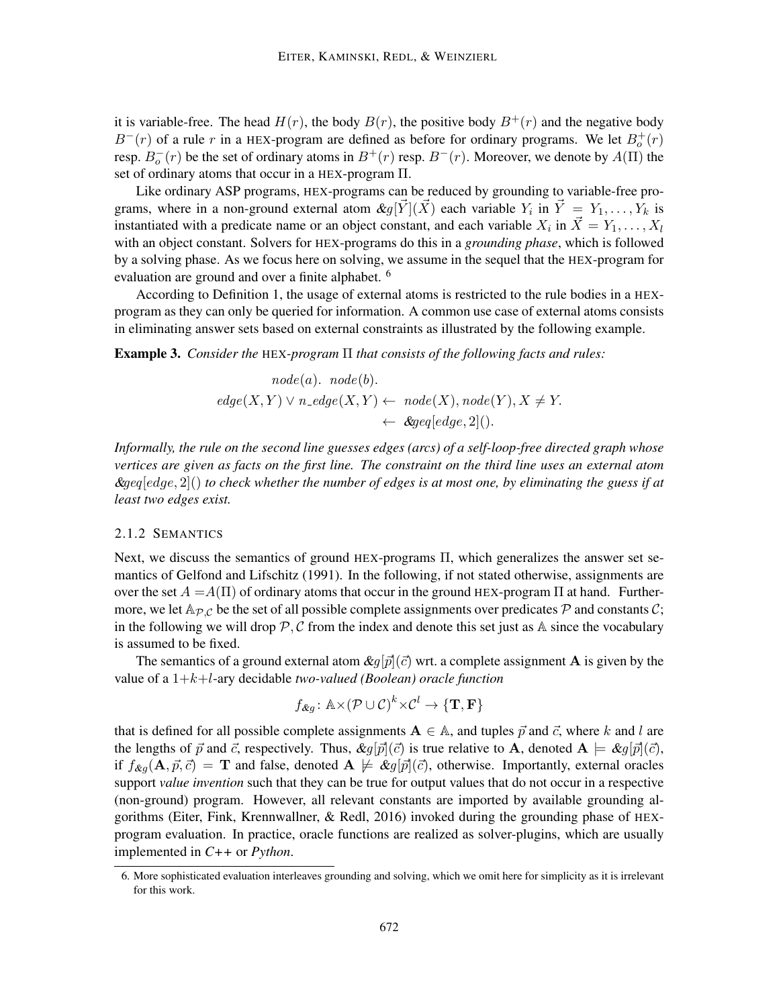it is variable-free. The head  $H(r)$ , the body  $B(r)$ , the positive body  $B^{+}(r)$  and the negative body  $B^{-}(r)$  of a rule r in a HEX-program are defined as before for ordinary programs. We let  $B_{o}^{+}(r)$ resp.  $B_o^-(r)$  be the set of ordinary atoms in  $B^+(r)$  resp.  $B^-(r)$ . Moreover, we denote by  $A(\Pi)$  the set of ordinary atoms that occur in a HEX-program Π.

Like ordinary ASP programs, HEX-programs can be reduced by grounding to variable-free programs, where in a non-ground external atom  $\&g[\vec{Y}](\vec{X})$  each variable  $Y_i$  in  $\vec{Y} = Y_1, \ldots, Y_k$  is instantiated with a predicate name or an object constant, and each variable  $X_i$  in  $\vec{X} = Y_1, \ldots, X_l$ with an object constant. Solvers for HEX-programs do this in a *grounding phase*, which is followed by a solving phase. As we focus here on solving, we assume in the sequel that the HEX-program for evaluation are ground and over a finite alphabet. <sup>6</sup>

According to Definition 1, the usage of external atoms is restricted to the rule bodies in a HEXprogram as they can only be queried for information. A common use case of external atoms consists in eliminating answer sets based on external constraints as illustrated by the following example.

Example 3. *Consider the* HEX*-program* Π *that consists of the following facts and rules:*

node(a). node(b).  
\n
$$
edge(X, Y) \lor n\_edge(X, Y) \leftarrow node(X), node(Y), X \neq Y.
$$
\n
$$
\leftarrow \≥[edge].2|().
$$

*Informally, the rule on the second line guesses edges (arcs) of a self-loop-free directed graph whose vertices are given as facts on the first line. The constraint on the third line uses an external atom* &geq[edge, 2]() *to check whether the number of edges is at most one, by eliminating the guess if at least two edges exist.*

### 2.1.2 SEMANTICS

Next, we discuss the semantics of ground HEX-programs Π, which generalizes the answer set semantics of Gelfond and Lifschitz (1991). In the following, if not stated otherwise, assignments are over the set  $A = A(\Pi)$  of ordinary atoms that occur in the ground HEX-program  $\Pi$  at hand. Furthermore, we let  $\mathbb{A}_{\mathcal{P} \mathcal{C}}$  be the set of all possible complete assignments over predicates  $\mathcal{P}$  and constants  $\mathcal{C}$ ; in the following we will drop  $\mathcal{P}, \mathcal{C}$  from the index and denote this set just as A since the vocabulary is assumed to be fixed.

The semantics of a ground external atom  $\&q[\vec{p}](\vec{c})$  wrt. a complete assignment **A** is given by the value of a 1+k+l-ary decidable *two-valued (Boolean) oracle function*

$$
f_{\&g} \colon \mathbb{A} \times (\mathcal{P} \cup \mathcal{C})^k \times \mathcal{C}^l \to \{\mathbf{T}, \mathbf{F}\}\
$$

that is defined for all possible complete assignments  $A \in A$ , and tuples  $\vec{p}$  and  $\vec{c}$ , where k and l are the lengths of  $\vec{p}$  and  $\vec{c}$ , respectively. Thus,  $\&g[\vec{p}](\vec{c})$  is true relative to **A**, denoted  $\mathbf{A} \models \&g[\vec{p}](\vec{c})$ , if  $f_{\&q}({\bf A}, \vec{p}, \vec{c}) = {\bf T}$  and false, denoted  ${\bf A} \not\models \&q[\vec{p}](\vec{c})$ , otherwise. Importantly, external oracles support *value invention* such that they can be true for output values that do not occur in a respective (non-ground) program. However, all relevant constants are imported by available grounding algorithms (Eiter, Fink, Krennwallner, & Redl, 2016) invoked during the grounding phase of HEXprogram evaluation. In practice, oracle functions are realized as solver-plugins, which are usually implemented in *C++* or *Python*.

<sup>6.</sup> More sophisticated evaluation interleaves grounding and solving, which we omit here for simplicity as it is irrelevant for this work.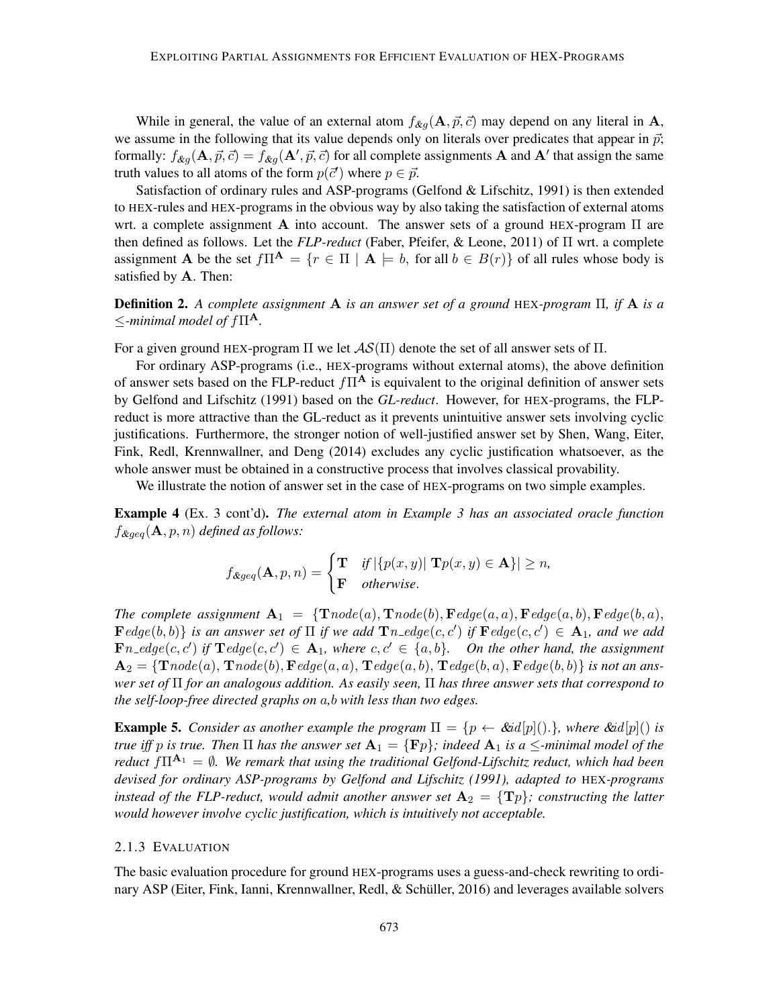While in general, the value of an external atom  $f_{\&q}(\mathbf{A}, \vec{p}, \vec{c})$  may depend on any literal in A, we assume in the following that its value depends only on literals over predicates that appear in  $\vec{p}$ ; formally:  $f_{\&g}(\mathbf{A}, \vec{p}, \vec{c}) = f_{\&g}(\mathbf{A}', \vec{p}, \vec{c})$  for all complete assignments **A** and **A**' that assign the same truth values to all atoms of the form  $p(\vec{c}')$  where  $p \in \vec{p}$ .

Satisfaction of ordinary rules and ASP-programs (Gelfond & Lifschitz, 1991) is then extended to HEX-rules and HEX-programs in the obvious way by also taking the satisfaction of external atoms wrt. a complete assignment **A** into account. The answer sets of a ground HEX-program  $\Pi$  are then defined as follows. Let the *FLP-reduct* (Faber, Pfeifer, & Leone, 2011) of Π wrt. a complete assignment **A** be the set  $f\Pi^{\mathbf{A}} = \{r \in \Pi \mid \mathbf{A} \models b$ , for all  $b \in B(r)\}$  of all rules whose body is satisfied by A. Then:

Definition 2. *A complete assignment* A *is an answer set of a ground* HEX*-program* Π*, if* A *is a*  $\le$ -minimal model of  $f\Pi^{\mathbf{A}}$ .

For a given ground HEX-program  $\Pi$  we let  $\mathcal{AS}(\Pi)$  denote the set of all answer sets of  $\Pi$ .

For ordinary ASP-programs (i.e., HEX-programs without external atoms), the above definition of answer sets based on the FLP-reduct  $f\Pi^{\mathbf{A}}$  is equivalent to the original definition of answer sets by Gelfond and Lifschitz (1991) based on the *GL-reduct*. However, for HEX-programs, the FLPreduct is more attractive than the GL-reduct as it prevents unintuitive answer sets involving cyclic justifications. Furthermore, the stronger notion of well-justified answer set by Shen, Wang, Eiter, Fink, Redl, Krennwallner, and Deng (2014) excludes any cyclic justification whatsoever, as the whole answer must be obtained in a constructive process that involves classical provability.

We illustrate the notion of answer set in the case of HEX-programs on two simple examples.

Example 4 (Ex. 3 cont'd). *The external atom in Example 3 has an associated oracle function*  $f_{\&q\in q}(\mathbf{A}, p, n)$  *defined as follows:* 

$$
f_{\⩾ q}(\mathbf{A}, p, n) = \begin{cases} \mathbf{T} & \text{if } |\{p(x, y)| \mathbf{T}p(x, y) \in \mathbf{A}\}| \geq n, \\ \mathbf{F} & \text{otherwise.} \end{cases}
$$

*The complete assignment*  $A_1 = \{ \textbf{T} node(a), \textbf{T} node(b), \textbf{F} edge(a, a), \textbf{F} edge(a, b), \textbf{F} edge(b, a), \}$  $\mathbf{F}edge(b,b)\}$  *is an answer set of*  $\Pi$  *if we add*  $\mathbf{T}n\_edge(c,c')$  *if*  $\mathbf{F}edge(c,c') \in \mathbf{A}_1$ *, and we add*  $\mathbf{F} n_{\mathbf{f}} = \mathbf{F} n_{\mathbf{f}} \cdot \mathbf{F}$  and  $\mathbf{F} \cdot \mathbf{F} \cdot \mathbf{F} \cdot \mathbf{F} \cdot \mathbf{F} \cdot \mathbf{F} \cdot \mathbf{F} \cdot \mathbf{F} \cdot \mathbf{F} \cdot \mathbf{F} \cdot \mathbf{F} \cdot \mathbf{F} \cdot \mathbf{F} \cdot \mathbf{F} \cdot \mathbf{F} \cdot \mathbf{F} \cdot \mathbf{F} \cdot \mathbf{F} \cdot \mathbf{F} \cdot \mathbf{F} \cdot \mathbf{F} \cdot \mathbf{F} \cdot$  $A_2 = \{Trade(a), Trade(b), Fedge(a, a), Tedge(a, b), Tedge(b, a), Fedge(b, b)\}$  *is not an answer set of* Π *for an analogous addition. As easily seen,* Π *has three answer sets that correspond to the self-loop-free directed graphs on* a*,*b *with less than two edges.*

**Example 5.** *Consider as another example the program*  $\Pi = \{p \leftarrow \& id[p](\cdot)\}\$ *, where*  $\& id[p](\cdot)\$  *is true iff* p *is true. Then*  $\Pi$  *has the answer set*  $\mathbf{A}_1 = \{ \mathbf{F} p \}$ ; *indeed*  $\mathbf{A}_1$  *is* a  $\leq$ -minimal model of the *reduct*  $f\Pi^{A_1} = \emptyset$ *. We remark that using the traditional Gelfond-Lifschitz reduct, which had been devised for ordinary ASP-programs by Gelfond and Lifschitz (1991), adapted to* HEX*-programs instead of the FLP-reduct, would admit another answer set*  $A_2 = \{Tp\}$ *; constructing the latter would however involve cyclic justification, which is intuitively not acceptable.*

## 2.1.3 EVALUATION

The basic evaluation procedure for ground HEX-programs uses a guess-and-check rewriting to ordinary ASP (Eiter, Fink, Ianni, Krennwallner, Redl, & Schüller, 2016) and leverages available solvers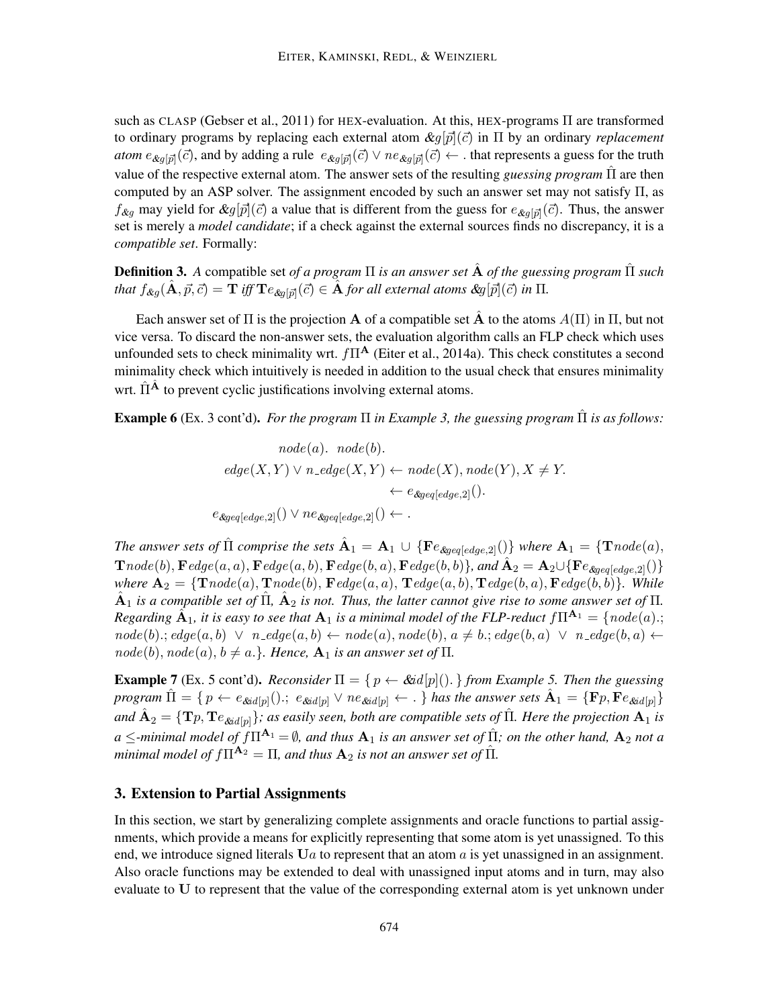such as CLASP (Gebser et al., 2011) for HEX-evaluation. At this, HEX-programs  $\Pi$  are transformed to ordinary programs by replacing each external atom  $\mathcal{L}g[\vec{p}](\vec{c})$  in  $\Pi$  by an ordinary *replacement atom*  $e_{\&g[\vec{p}]}(\vec{c})$ *,* and by adding a rule  $e_{\&g[\vec{p}]}(\vec{c}) \vee ne_{\&g[\vec{p}]}(\vec{c}) \leftarrow$  . that represents a guess for the truth value of the respective external atom. The answer sets of the resulting *guessing program* Πˆ are then computed by an ASP solver. The assignment encoded by such an answer set may not satisfy Π, as  $f_{\&g}$  may yield for  $\&g[\vec{p}](\vec{c})$  a value that is different from the guess for  $e_{\&g[\vec{p}]}(\vec{c})$ . Thus, the answer set is merely a *model candidate*; if a check against the external sources finds no discrepancy, it is a *compatible set*. Formally:

Definition 3. *A* compatible set *of a program* Π *is an answer set* Aˆ *of the guessing program* Πˆ *such*  $t$ hat  $f_{\&g}(\hat{\mathbf{A}}, \vec{p}, \vec{c}) = \mathbf{T}$  iff  $\mathbf{T}e_{\&g[\vec{p}]}(\vec{c}) \in \hat{\mathbf{A}}$  for all external atoms  $\&g[\vec{p}](\vec{c})$  in  $\Pi$ .

Each answer set of  $\Pi$  is the projection **A** of a compatible set **A** to the atoms  $A(\Pi)$  in  $\Pi$ , but not vice versa. To discard the non-answer sets, the evaluation algorithm calls an FLP check which uses unfounded sets to check minimality wrt.  $f\Pi^{\mathbf{A}}$  (Eiter et al., 2014a). This check constitutes a second minimality check which intuitively is needed in addition to the usual check that ensures minimality wrt.  $\hat{\Pi}^{\hat{A}}$  to prevent cyclic justifications involving external atoms.

**Example 6** (Ex. 3 cont'd). *For the program*  $\Pi$  *in Example 3, the guessing program*  $\Pi$  *is as follows:* 

node(a). node(b).  
\n
$$
edge(X, Y) \lor n\_edge(X, Y) \leftarrow node(X), node(Y), X \neq Y.
$$
\n
$$
\leftarrow e_{\≥[edge,e2]}(.)
$$
\n
$$
e_{\≥[edge,e2]}() \lor ne_{\≥[edge,e2]}() \leftarrow .
$$

*The answer sets of*  $\hat{\Pi}$  *comprise the sets*  $\hat{\bf A}_1 = {\bf A}_1 \cup \{ {\bf F}e_{\text{kg}eq[edge,2]}() \}$  *where*  ${\bf A}_1 = \{ {\bf T}node(a),$  $\textbf{Trace}(b), \textbf{F} edge(a, a), \textbf{F} edge(a, b), \textbf{F} edge(b, a), \textbf{F} edge(b, b)\}\text{, and } \hat{\textbf{A}}_2 = \textbf{A}_2 \cup \{\textbf{F} e_{\textbf{gge} [edge, 2]}() \}$ *where*  $A_2 = \{Trade(a), Trade(b), Fedge(a, a), Tedge(a, b), Tedge(b, a), Fedge(b, b)\}$ *. While*  $\hat{A}_1$  *is a compatible set of*  $\hat{\Pi}$ ,  $\hat{A}_2$  *is not. Thus, the latter cannot give rise to some answer set of*  $\Pi$ . *Regarding*  $\hat{A}_1$ , it is easy to see that  $A_1$  is a minimal model of the FLP-reduct  $f\Pi^{A_1} = \{node(a);$  $node(b): edge(a, b) \lor n\_edge(a, b) \leftarrow node(a), node(b), a \neq b: edge(b, a) \lor n\_edge(b, a) \leftarrow$  $node(b), node(a), b \neq a.\}$ . Hence,  $A_1$  *is an answer set of*  $\Pi$ .

**Example 7** (Ex. 5 cont'd). *Reconsider*  $\Pi = \{p \leftarrow \& id[p](\).\}$  *from Example* 5. *Then the guessing program*  $\hat{\Pi} = \{ p \leftarrow e_{\&{id[p]}}(.) : i \in \&{id[p]} \vee ne_{\&{id[p]}} \leftarrow \}$  *has the answer sets*  $\hat{A}_1 = \{Fp, Fe_{\&{id[p]}}\}$ and  $\hat{\bf A}_2=\{ {\bf T}p,{\bf T}e_{\&ad[p]}\}$ ; as easily seen, both are compatible sets of  $\hat\Pi$ . Here the projection  ${\bf A}_1$  is  $a \le$ -minimal model of  $f\Pi^{A_1} = \emptyset$ , and thus  $A_1$  is an answer set of  $\hat{\Pi}$ ; on the other hand,  $A_2$  not a *minimal model of*  $f\Pi^{\mathbf{A}_2} = \Pi$ *, and thus*  $\mathbf{A}_2$  *is not an answer set of*  $\hat{\Pi}$ *.* 

## 3. Extension to Partial Assignments

In this section, we start by generalizing complete assignments and oracle functions to partial assignments, which provide a means for explicitly representing that some atom is yet unassigned. To this end, we introduce signed literals  $U_a$  to represent that an atom a is yet unassigned in an assignment. Also oracle functions may be extended to deal with unassigned input atoms and in turn, may also evaluate to U to represent that the value of the corresponding external atom is yet unknown under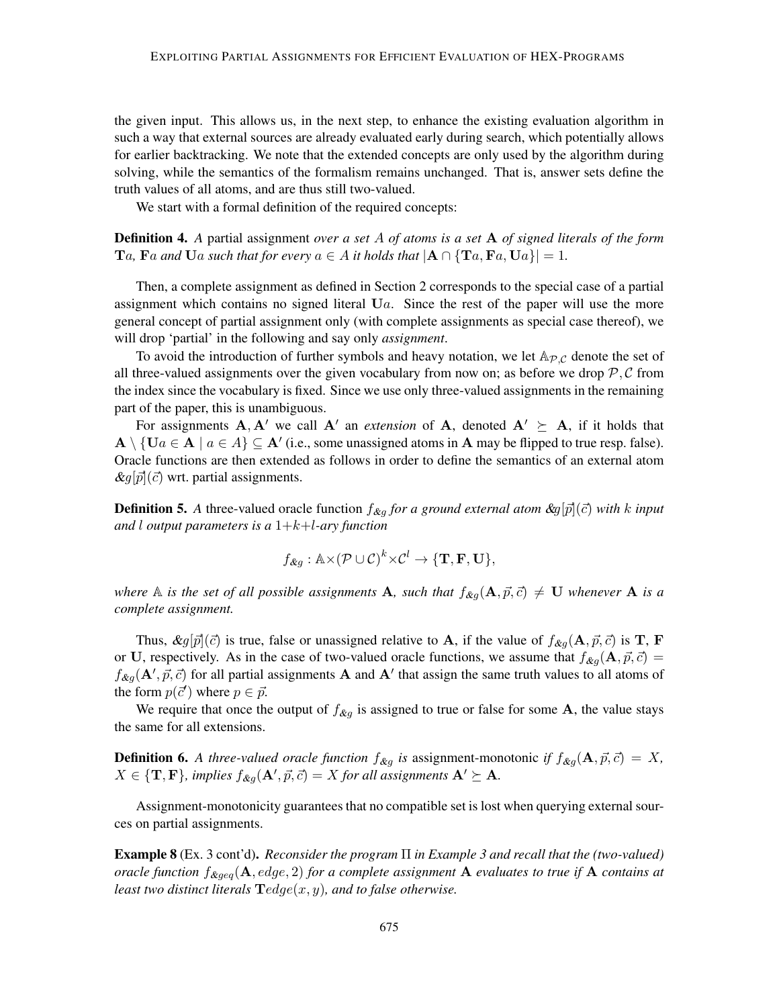the given input. This allows us, in the next step, to enhance the existing evaluation algorithm in such a way that external sources are already evaluated early during search, which potentially allows for earlier backtracking. We note that the extended concepts are only used by the algorithm during solving, while the semantics of the formalism remains unchanged. That is, answer sets define the truth values of all atoms, and are thus still two-valued.

We start with a formal definition of the required concepts:

Definition 4. *A* partial assignment *over a set* A *of atoms is a set* A *of signed literals of the form*  $T_a$ ,  $\text{F}_a$  and  $\text{U}_a$  such that for every  $a \in A$  it holds that  $|\mathbf{A} \cap {\{Ta, Fa, U_a\}}| = 1$ .

Then, a complete assignment as defined in Section 2 corresponds to the special case of a partial assignment which contains no signed literal  $U_a$ . Since the rest of the paper will use the more general concept of partial assignment only (with complete assignments as special case thereof), we will drop 'partial' in the following and say only *assignment*.

To avoid the introduction of further symbols and heavy notation, we let  $A_{\mathcal{P},\mathcal{C}}$  denote the set of all three-valued assignments over the given vocabulary from now on; as before we drop  $P, C$  from the index since the vocabulary is fixed. Since we use only three-valued assignments in the remaining part of the paper, this is unambiguous.

For assignments  $A, A'$  we call  $A'$  an *extension* of A, denoted  $A' \succeq A$ , if it holds that  $\mathbf{A} \setminus \{ \mathbf{U}a \in \mathbf{A} \mid a \in A \} \subseteq \mathbf{A}'$  (i.e., some unassigned atoms in  $\mathbf{A}$  may be flipped to true resp. false). Oracle functions are then extended as follows in order to define the semantics of an external atom  $\&q[\vec{p}](\vec{c})$  wrt. partial assignments.

**Definition 5.** A three-valued oracle function  $f_{\mathcal{X}g}$  for a ground external atom  $\mathcal{X}g[\vec{p}](\vec{c})$  with k input *and* l *output parameters is a* 1+k+l*-ary function*

$$
f_{\&g} : \mathbb{A} \times (\mathcal{P} \cup \mathcal{C})^k \times \mathcal{C}^l \to \{\mathbf{T}, \mathbf{F}, \mathbf{U}\},\
$$

*where* A *is the set of all possible assignments* A, such that  $f_{\&g}(\mathbf{A}, \vec{p}, \vec{c}) \neq \mathbf{U}$  *whenever* A *is a complete assignment.*

Thus,  $\&g[\vec{p}](\vec{c})$  is true, false or unassigned relative to **A**, if the value of  $f_{\&g}(\mathbf{A}, \vec{p}, \vec{c})$  is **T**, **F** or U, respectively. As in the case of two-valued oracle functions, we assume that  $f_{\&q}(\mathbf{A}, \vec{p}, \vec{c}) =$  $f_{\mathcal{L}g}(\mathbf{A}', \vec{p}, \vec{c})$  for all partial assignments **A** and **A**' that assign the same truth values to all atoms of the form  $p(\vec{c}')$  where  $p \in \vec{p}$ .

We require that once the output of  $f_{\&g}$  is assigned to true or false for some A, the value stays the same for all extensions.

**Definition 6.** A three-valued oracle function  $f_{\&g}$  is assignment-monotonic if  $f_{\&g}(\mathbf{A}, \vec{p}, \vec{c}) = X$ ,  $X \in \{T, F\}$ , implies  $f_{\mathcal{X}g}(\mathbf{A}', \vec{p}, \vec{c}) = X$  for all assignments  $\mathbf{A}' \succeq \mathbf{A}$ .

Assignment-monotonicity guarantees that no compatible set is lost when querying external sources on partial assignments.

Example 8 (Ex. 3 cont'd). *Reconsider the program* Π *in Example 3 and recall that the (two-valued) oracle function*  $f_{\&{geq}0}$ ( $A, edge, 2$ ) *for a complete assignment* A *evaluates to true if* A *contains at least two distinct literals* Tedge(x, y)*, and to false otherwise.*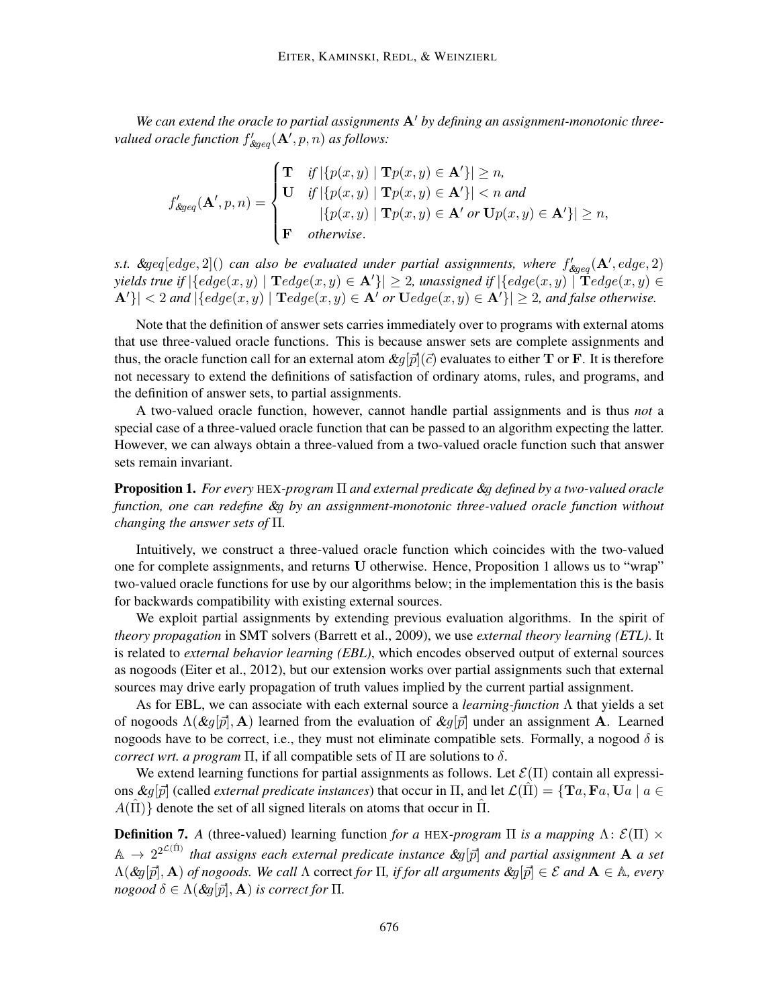We can extend the oracle to partial assignments  $A'$  by defining an assignment-monotonic threevalued oracle function  $f_{\mathcal{E} g e q}'(\mathbf{A}',p,n)$  as follows:

$$
f'_{\text{Regeq}}(\mathbf{A}', p, n) = \begin{cases} \mathbf{T} & \text{if } |\{p(x, y) \mid \mathbf{T}p(x, y) \in \mathbf{A}'\}| \ge n, \\ \mathbf{U} & \text{if } |\{p(x, y) \mid \mathbf{T}p(x, y) \in \mathbf{A}'\}| < n \text{ and} \\ & |\{p(x, y) \mid \mathbf{T}p(x, y) \in \mathbf{A}' \text{ or } \mathbf{U}p(x, y) \in \mathbf{A}'\}| \ge n, \\ \mathbf{F} & \text{otherwise.} \end{cases}
$$

s.t.  $\≥ [edge, 2]($ ) can also be evaluated under partial assignments, where  $f'_{\≥ q}(\mathbf{A}',edge, 2)$ *yields true if*  $|\{edge(x,y) | \textbf{T} edge(x,y) \in \mathbf{A}'\}| \geq 2$ , unassigned if  $|\{edge(x,y) | \textbf{T} edge(x,y) \in \mathbf{A}'\}|$  $|\mathbf{A}'| < 2$  and  $|\lbrace edge(x, y) | \mathbf{T} edge(x, y) \in \mathbf{A}' \text{ or } \mathbf{U} edge(x, y) \in \mathbf{A}' \rbrace| \geq 2$ , and false otherwise.

Note that the definition of answer sets carries immediately over to programs with external atoms that use three-valued oracle functions. This is because answer sets are complete assignments and thus, the oracle function call for an external atom  $\mathcal{L}q[\vec{p}](\vec{c})$  evaluates to either **T** or **F**. It is therefore not necessary to extend the definitions of satisfaction of ordinary atoms, rules, and programs, and the definition of answer sets, to partial assignments.

A two-valued oracle function, however, cannot handle partial assignments and is thus *not* a special case of a three-valued oracle function that can be passed to an algorithm expecting the latter. However, we can always obtain a three-valued from a two-valued oracle function such that answer sets remain invariant.

Proposition 1. *For every* HEX*-program* Π *and external predicate* &g *defined by a two-valued oracle function, one can redefine* &g *by an assignment-monotonic three-valued oracle function without changing the answer sets of* Π*.*

Intuitively, we construct a three-valued oracle function which coincides with the two-valued one for complete assignments, and returns U otherwise. Hence, Proposition 1 allows us to "wrap" two-valued oracle functions for use by our algorithms below; in the implementation this is the basis for backwards compatibility with existing external sources.

We exploit partial assignments by extending previous evaluation algorithms. In the spirit of *theory propagation* in SMT solvers (Barrett et al., 2009), we use *external theory learning (ETL)*. It is related to *external behavior learning (EBL)*, which encodes observed output of external sources as nogoods (Eiter et al., 2012), but our extension works over partial assignments such that external sources may drive early propagation of truth values implied by the current partial assignment.

As for EBL, we can associate with each external source a *learning-function* Λ that yields a set of nogoods  $\Lambda(\&g[\vec{p}], A)$  learned from the evaluation of  $\&g[\vec{p}]$  under an assignment A. Learned nogoods have to be correct, i.e., they must not eliminate compatible sets. Formally, a nogood  $\delta$  is *correct wrt. a program*  $\Pi$ , if all compatible sets of  $\Pi$  are solutions to  $\delta$ .

We extend learning functions for partial assignments as follows. Let  $\mathcal{E}(\Pi)$  contain all expressions  $\mathcal{L}g[\vec{p}]$  (called *external predicate instances*) that occur in  $\Pi$ , and let  $\mathcal{L}(\Pi) = \{Ta, Fa, Ua \mid a \in \Pi\}$  $A(\Pi)$  denote the set of all signed literals on atoms that occur in  $\Pi$ .

**Definition 7.** *A* (three-valued) learning function *for a* HEX-*program*  $\Pi$  *is a mapping*  $\Lambda$ :  $\mathcal{E}(\Pi) \times$  $A \to 2^{2^{\mathcal{L}(\hat{\Pi})}}$  that assigns each external predicate instance  $\mathcal{X}g[\vec{p}]$  and partial assignment  $\mathbf A$  a set  $\Lambda(\&q[\vec{p}], \mathbf{A})$  *of nogoods. We call*  $\Lambda$  correct *for*  $\Pi$ *, if for all arguments*  $\&q[\vec{p}] \in \mathcal{E}$  *and*  $\mathbf{A} \in \mathbb{A}$ *, every nogood*  $\delta \in \Lambda(\mathcal{L}q[\vec{p}], \mathbf{A})$  *is correct for*  $\Pi$ *.*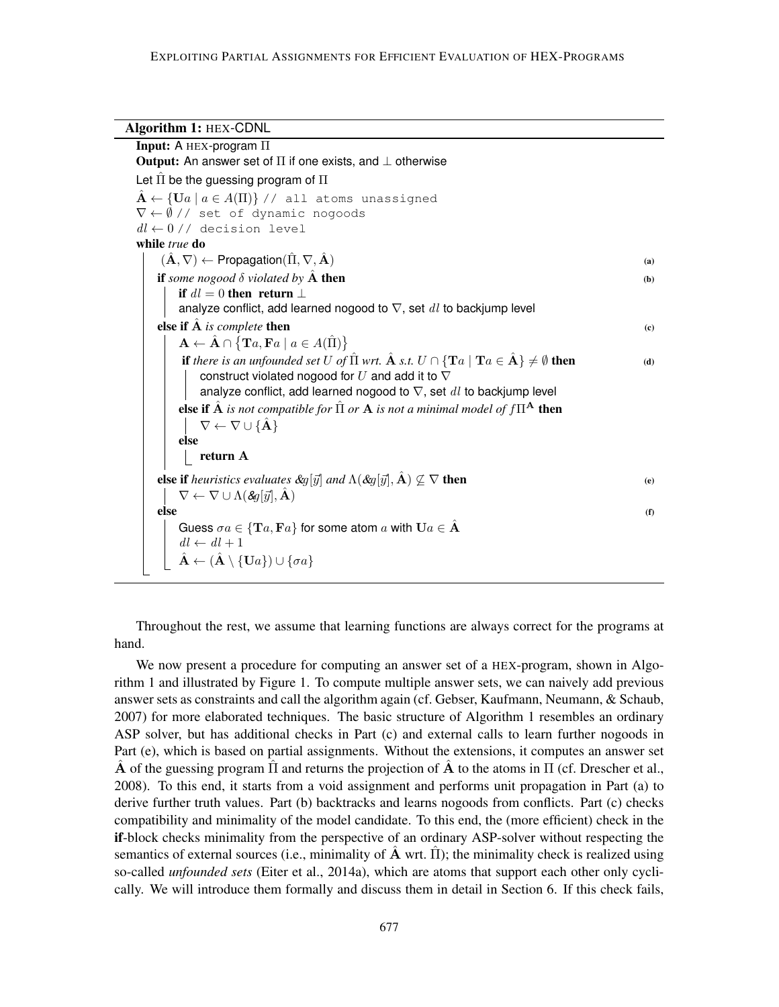## Algorithm 1: HEX-CDNL

| Input: A $HEX$ -program $\Pi$                                                                                                                                        |     |
|----------------------------------------------------------------------------------------------------------------------------------------------------------------------|-----|
| <b>Output:</b> An answer set of $\Pi$ if one exists, and $\bot$ otherwise                                                                                            |     |
| Let $\hat{\Pi}$ be the guessing program of $\Pi$                                                                                                                     |     |
| $\mathbf{A} \leftarrow \{\mathbf{U}a \mid a \in A(\Pi)\}\ / \ / \$ all atoms unassigned                                                                              |     |
| $\nabla \leftarrow \emptyset$ // set of dynamic nogoods                                                                                                              |     |
| $dl \leftarrow 0$ // decision level                                                                                                                                  |     |
| while true do                                                                                                                                                        |     |
| $(\hat{\mathbf{A}}, \nabla) \leftarrow$ Propagation $(\hat{\Pi}, \nabla, \hat{\mathbf{A}})$                                                                          | (a) |
| if some nogood $\delta$ violated by $\hat{A}$ then                                                                                                                   | (b) |
| if $dl = 0$ then return $\perp$                                                                                                                                      |     |
| analyze conflict, add learned nogood to $\nabla$ , set $dl$ to backjump level                                                                                        |     |
| else if $\hat{A}$ is complete then                                                                                                                                   | (c) |
| $\mathbf{A} \leftarrow \hat{\mathbf{A}} \cap {\mathbf{T}} a, \mathbf{F} a \mid a \in A(\hat{\Pi})$                                                                   |     |
| <b>if</b> there is an unfounded set U of $\hat{\Pi}$ wrt. $\hat{\mathbf{A}}$ s.t. $U \cap {\mathbf{T}}(a \mid \mathbf{T}a \in \hat{\mathbf{A}}) \neq \emptyset$ then | (d) |
| construct violated nogood for $U$ and add it to $\nabla$                                                                                                             |     |
| analyze conflict, add learned nogood to $\nabla$ , set $dl$ to backjump level                                                                                        |     |
| else if $\hat{A}$ is not compatible for $\hat{\Pi}$ or $A$ is not a minimal model of $f\Pi^A$ then                                                                   |     |
| $\nabla \leftarrow \nabla \cup {\hat{A}}$                                                                                                                            |     |
| else                                                                                                                                                                 |     |
| return A                                                                                                                                                             |     |
| <b>else if</b> heuristics evaluates $\&g[\vec{y}]$ and $\Lambda(\&g[\vec{y}], \hat{A}) \nsubseteq \nabla$ then                                                       | (e) |
| $\nabla \leftarrow \nabla \cup \Lambda(\mathcal{S}q[\vec{y}], \hat{\mathbf{A}})$                                                                                     |     |
| else                                                                                                                                                                 | (f) |
| Guess $\sigma a \in {\bf T}a, {\bf F}a$ for some atom a with ${\bf U}a \in \hat{\bf A}$                                                                              |     |
| $dl \leftarrow dl + 1$                                                                                                                                               |     |
| $\hat{\mathbf{A}} \leftarrow (\hat{\mathbf{A}} \setminus \{\mathbf{U}a\}) \cup \{\sigma a\}$                                                                         |     |
|                                                                                                                                                                      |     |

Throughout the rest, we assume that learning functions are always correct for the programs at hand.

We now present a procedure for computing an answer set of a HEX-program, shown in Algorithm 1 and illustrated by Figure 1. To compute multiple answer sets, we can naively add previous answer sets as constraints and call the algorithm again (cf. Gebser, Kaufmann, Neumann, & Schaub, 2007) for more elaborated techniques. The basic structure of Algorithm 1 resembles an ordinary ASP solver, but has additional checks in Part (c) and external calls to learn further nogoods in Part (e), which is based on partial assignments. Without the extensions, it computes an answer set  $\hat{A}$  of the guessing program  $\hat{\Pi}$  and returns the projection of  $\hat{A}$  to the atoms in  $\Pi$  (cf. Drescher et al., 2008). To this end, it starts from a void assignment and performs unit propagation in Part (a) to derive further truth values. Part (b) backtracks and learns nogoods from conflicts. Part (c) checks compatibility and minimality of the model candidate. To this end, the (more efficient) check in the if-block checks minimality from the perspective of an ordinary ASP-solver without respecting the semantics of external sources (i.e., minimality of  $\hat{A}$  wrt.  $\Pi$ ); the minimality check is realized using so-called *unfounded sets* (Eiter et al., 2014a), which are atoms that support each other only cyclically. We will introduce them formally and discuss them in detail in Section 6. If this check fails,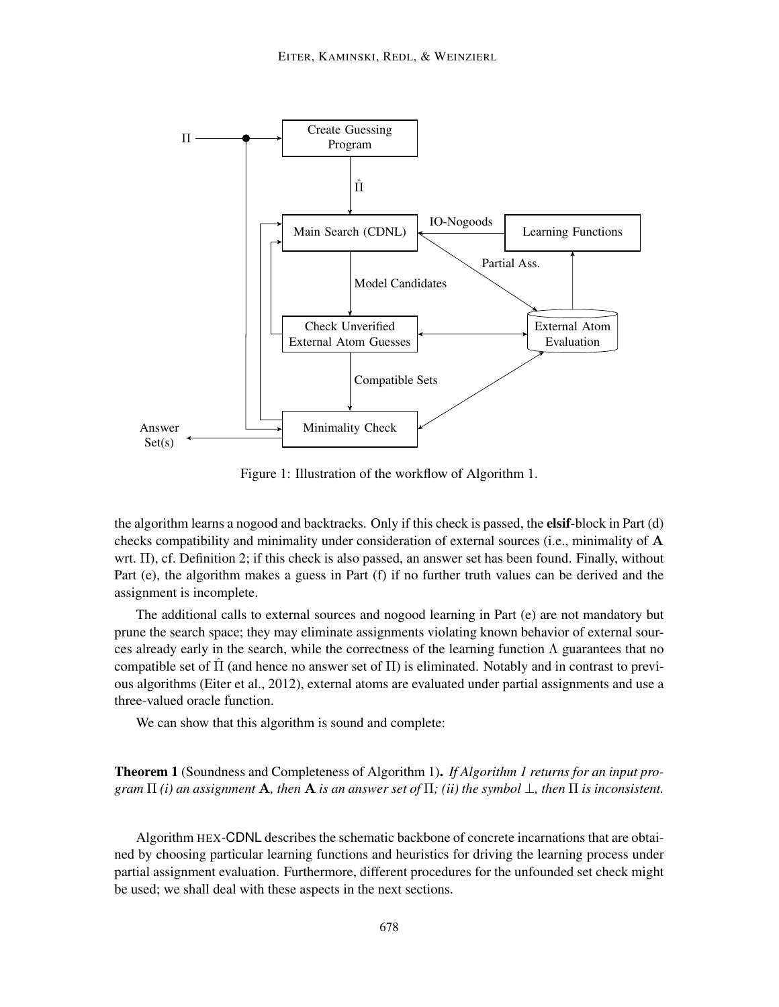

Figure 1: Illustration of the workflow of Algorithm 1.

the algorithm learns a nogood and backtracks. Only if this check is passed, the **elsif-block** in Part (d) checks compatibility and minimality under consideration of external sources (i.e., minimality of  $\bf{A}$ wrt. Π), cf. Definition 2; if this check is also passed, an answer set has been found. Finally, without Part (e), the algorithm makes a guess in Part (f) if no further truth values can be derived and the assignment is incomplete.

The additional calls to external sources and nogood learning in Part (e) are not mandatory but prune the search space; they may eliminate assignments violating known behavior of external sources already early in the search, while the correctness of the learning function  $\Lambda$  guarantees that no compatible set of  $\Pi$  (and hence no answer set of  $\Pi$ ) is eliminated. Notably and in contrast to previous algorithms (Eiter et al., 2012), external atoms are evaluated under partial assignments and use a three-valued oracle function.

We can show that this algorithm is sound and complete:

Theorem 1 (Soundness and Completeness of Algorithm 1). *If Algorithm 1 returns for an input program*  $\Pi$  *(i) an assignment* **A***, then* **A** *is an answer set of*  $\Pi$ *; (ii) the symbol*  $\bot$ *, then*  $\Pi$  *is inconsistent.* 

Algorithm HEX-CDNL describes the schematic backbone of concrete incarnations that are obtained by choosing particular learning functions and heuristics for driving the learning process under partial assignment evaluation. Furthermore, different procedures for the unfounded set check might be used; we shall deal with these aspects in the next sections.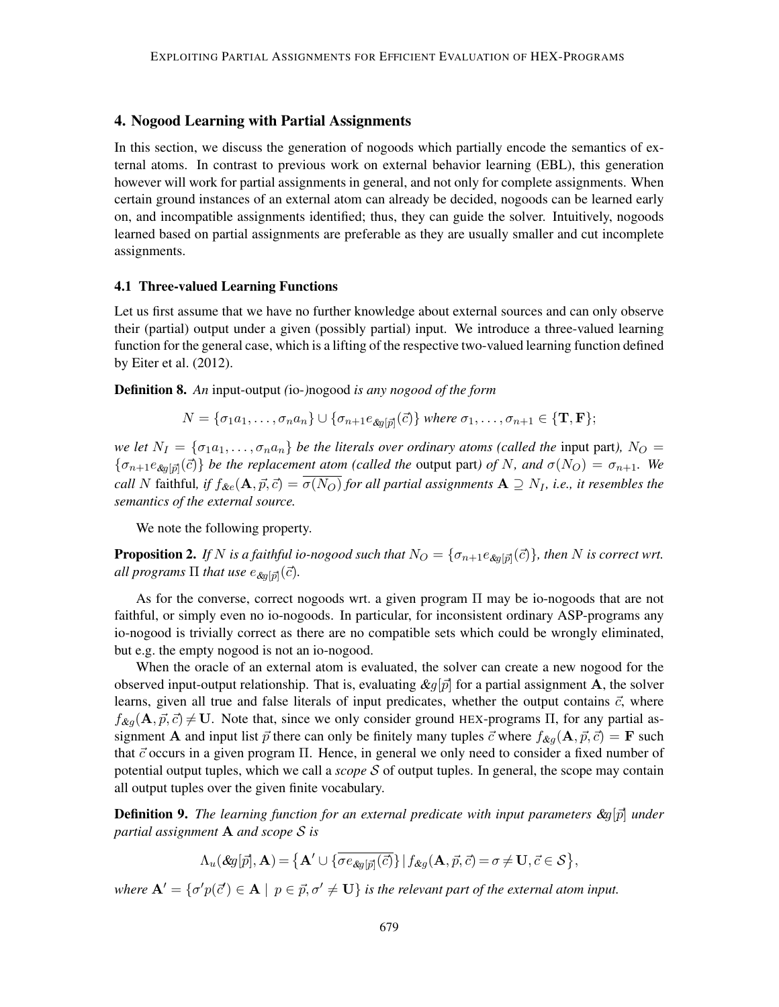## 4. Nogood Learning with Partial Assignments

In this section, we discuss the generation of nogoods which partially encode the semantics of external atoms. In contrast to previous work on external behavior learning (EBL), this generation however will work for partial assignments in general, and not only for complete assignments. When certain ground instances of an external atom can already be decided, nogoods can be learned early on, and incompatible assignments identified; thus, they can guide the solver. Intuitively, nogoods learned based on partial assignments are preferable as they are usually smaller and cut incomplete assignments.

## 4.1 Three-valued Learning Functions

Let us first assume that we have no further knowledge about external sources and can only observe their (partial) output under a given (possibly partial) input. We introduce a three-valued learning function for the general case, which is a lifting of the respective two-valued learning function defined by Eiter et al. (2012).

Definition 8. *An* input-output *(*io-*)*nogood *is any nogood of the form*

$$
N = {\sigma_1 a_1, \ldots, \sigma_n a_n} \cup {\sigma_{n+1} e_{\text{deg}[\vec{p}]}(\vec{c})}
$$
 where  $\sigma_1, \ldots, \sigma_{n+1} \in {\mathbf{T}, \mathbf{F}}$ 

*we let*  $N_I = \{\sigma_{1}a_1, \ldots, \sigma_{n}a_n\}$  *be the literals over ordinary atoms (called the input part),*  $N_O =$  $\{\sigma_{n+1}e_{\text{deg}[\vec{p}]}(\vec{c})\}$  *be the replacement atom (called the* output part) of N, and  $\sigma(N_O) = \sigma_{n+1}$ . We *call* N faithful, if  $f_{\&e}(\mathbf{A}, \vec{p}, \vec{c}) = \overline{\sigma(N_O)}$  *for all partial assignments*  $\mathbf{A} \supseteq N_I$ *, i.e., it resembles the semantics of the external source.*

We note the following property.

**Proposition 2.** If N is a faithful io-nogood such that  $N_O = \{\sigma_{n+1}e_{\text{dg}[\vec{p}]}(\vec{c})\}$ , then N is correct wrt. all programs  $\Pi$  that use  $e_{\mathcal{X}g[\vec{p}]}(\vec{c}).$ 

As for the converse, correct nogoods wrt. a given program Π may be io-nogoods that are not faithful, or simply even no io-nogoods. In particular, for inconsistent ordinary ASP-programs any io-nogood is trivially correct as there are no compatible sets which could be wrongly eliminated, but e.g. the empty nogood is not an io-nogood.

When the oracle of an external atom is evaluated, the solver can create a new nogood for the observed input-output relationship. That is, evaluating  $\&q[\vec{p}]$  for a partial assignment **A**, the solver learns, given all true and false literals of input predicates, whether the output contains  $\vec{c}$ , where  $f_{\&q}(\mathbf{A}, \vec{p}, \vec{c}) \neq \mathbf{U}$ . Note that, since we only consider ground HEX-programs  $\Pi$ , for any partial assignment **A** and input list  $\vec{p}$  there can only be finitely many tuples  $\vec{c}$  where  $f_{\&q}(\mathbf{A}, \vec{p}, \vec{c}) = \mathbf{F}$  such that  $\vec{c}$  occurs in a given program  $\Pi$ . Hence, in general we only need to consider a fixed number of potential output tuples, which we call a *scope* S of output tuples. In general, the scope may contain all output tuples over the given finite vocabulary.

**Definition 9.** The learning function for an external predicate with input parameters  $\mathcal{L}_q[\bar{p}]$  under *partial assignment* A *and scope* S *is*

$$
\Lambda_u(\mathcal{E}g[\vec{p}],\mathbf{A}) = \left\{ \mathbf{A}' \cup \{ \overline{\sigma e_{\mathcal{E}g[\vec{p}]}(\vec{c})} \} \middle| f_{\mathcal{E}g}(\mathbf{A}, \vec{p}, \vec{c}) = \sigma \neq \mathbf{U}, \vec{c} \in \mathcal{S} \right\},\
$$

*where*  $A' = {\sigma'p(\vec{c}') \in A \mid p \in \vec{p}, \sigma' \neq U}$  *is the relevant part of the external atom input.*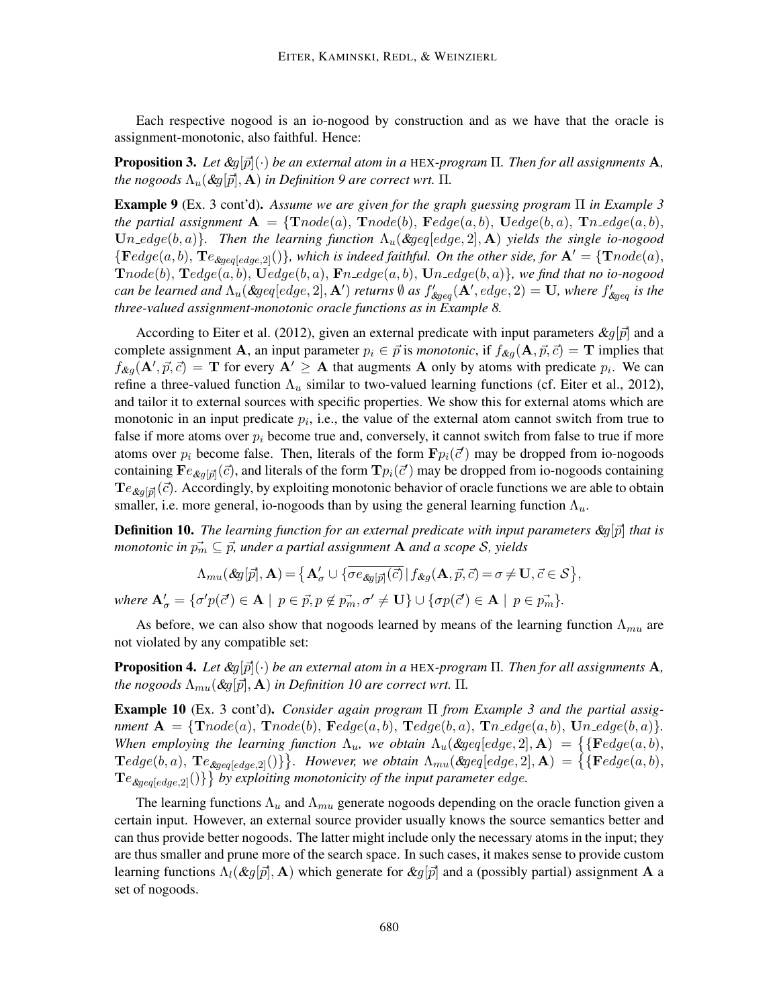Each respective nogood is an io-nogood by construction and as we have that the oracle is assignment-monotonic, also faithful. Hence:

**Proposition 3.** Let  $\&g[\vec{p}](\cdot)$  be an external atom in a HEX-program  $\Pi$ . Then for all assignments **A**, *the nogoods*  $\Lambda_u$  (&g[p], **A**) *in Definition* 9 are correct wrt.  $\Pi$ .

Example 9 (Ex. 3 cont'd). *Assume we are given for the graph guessing program* Π *in Example 3 the partial assignment*  $\mathbf{A} = \{ \text{T} node(a), \text{T} node(b), \text{F} edge(a, b), \text{U} edge(b, a), \text{T} n \text{=} edge(a, b), \}$  $Un\_edge(b, a)$ *. Then the learning function*  $\Lambda_u$ ( $\≥$   $[edge, 2]$ , A) *yields the single io-nogood*  ${Fedge(a, b), Te_{\&{geq} [edge, 2]}$ ), which is indeed faithful. On the other side, for  $A' = {Tnode(a),$  $\text{T}node(b), \text{T}edge(a, b), \text{T}edge(b, a), \text{F}n\_edge(a, b), \text{U}n\_edge(b, a)\}$ *, we find that no io-nogood can be learned and*  $\Lambda_u$ (&geq[edge, 2], **A**') *returns*  $\emptyset$  *as*  $f'_{\⩾ q}$  $(A',edge,2) = U$ *, where*  $f'_{\⩾ q}$  *is the three-valued assignment-monotonic oracle functions as in Example 8.*

According to Eiter et al. (2012), given an external predicate with input parameters  $\&g[\vec{p}]$  and a complete assignment A, an input parameter  $p_i \in \vec{p}$  is *monotonic*, if  $f_{\&q}(\mathbf{A}, \vec{p}, \vec{c}) = \mathbf{T}$  implies that  $f_{\&g}(\mathbf{A}', \vec{p}, \vec{c}) = \mathbf{T}$  for every  $\mathbf{A}' \geq \mathbf{A}$  that augments  $\mathbf{A}$  only by atoms with predicate  $p_i$ . We can refine a three-valued function  $\Lambda_u$  similar to two-valued learning functions (cf. Eiter et al., 2012), and tailor it to external sources with specific properties. We show this for external atoms which are monotonic in an input predicate  $p_i$ , i.e., the value of the external atom cannot switch from true to false if more atoms over  $p_i$  become true and, conversely, it cannot switch from false to true if more atoms over  $p_i$  become false. Then, literals of the form  $\mathbf{F} p_i(\vec{c}')$  may be dropped from io-nogoods containing  $\mathbf{F}e_{\&g[\vec{p}]}(\vec{c})$ , and literals of the form  $\mathbf{T}p_i(\vec{c}')$  may be dropped from io-nogoods containing  $Te_{\&g[\vec{p}]}(\vec{c})$ . Accordingly, by exploiting monotonic behavior of oracle functions we are able to obtain smaller, i.e. more general, io-nogoods than by using the general learning function  $\Lambda_u$ .

**Definition 10.** The learning function for an external predicate with input parameters  $\&g[\vec{p}]$  that is *monotonic in*  $\vec{p_m} \subseteq \vec{p}$ , under a partial assignment **A** and a scope *S*, yields

$$
\Lambda_{mu}(\&q[\vec{p}],\mathbf{A}) = \left\{ \mathbf{A}'_{\sigma} \cup \left\{ \overline{\sigma e_{\&q[\vec{p}]}(\vec{c})} \,|\, f_{\&q}(\mathbf{A}, \vec{p}, \vec{c}) = \sigma \neq \mathbf{U}, \vec{c} \in \mathcal{S} \right\},\right\}
$$

*where*  $\mathbf{A}'_{\sigma} = \{ \sigma' p(\vec{c}') \in \mathbf{A} \mid p \in \vec{p}, p \notin \vec{p}_m, \sigma' \neq \mathbf{U} \} \cup \{ \sigma p(\vec{c}') \in \mathbf{A} \mid p \in \vec{p}_m \}.$ 

As before, we can also show that nogoods learned by means of the learning function  $\Lambda_{mu}$  are not violated by any compatible set:

**Proposition 4.** Let  $\&g[\vec{p}](\cdot)$  be an external atom in a HEX-program  $\Pi$ . Then for all assignments **A**, *the nogoods*  $\Lambda_{mu}(\&g[\vec{p}], \mathbf{A})$  *in Definition 10 are correct wrt.*  $\Pi$ *.* 

Example 10 (Ex. 3 cont'd). *Consider again program* Π *from Example 3 and the partial assignment*  $\mathbf{A} = \{ \text{T} node(a), \text{T} node(b), \text{F} edge(a, b), \text{T} edge(b, a), \text{T} n\_edge(a, b), \text{U} n\_edge(b, a) \}.$ *When employing the learning function*  $\Lambda_u$ , we obtain  $\Lambda_u$ (&geq[edge, 2], **A**) = {{**F**edge(a, b),  $\textbf{T}edge(b,a), \textbf{T}e_{\textbf{dgge}[edge,2]}() \}$ . However, we obtain  $\Lambda_{mu}(\textbf{dgge}[edge,2], \mathbf{A}) = \{ \{\textbf{F}edge(a,b),$  $\{Te_{\text{ggeq}\text{[edge,2]}}() \}$  by exploiting monotonicity of the input parameter edge.

The learning functions  $\Lambda_u$  and  $\Lambda_{mu}$  generate nogoods depending on the oracle function given a certain input. However, an external source provider usually knows the source semantics better and can thus provide better nogoods. The latter might include only the necessary atoms in the input; they are thus smaller and prune more of the search space. In such cases, it makes sense to provide custom learning functions  $\Lambda_l(\&q[\vec{p}], \mathbf{A})$  which generate for  $\&q[\vec{p}]$  and a (possibly partial) assignment **A** a set of nogoods.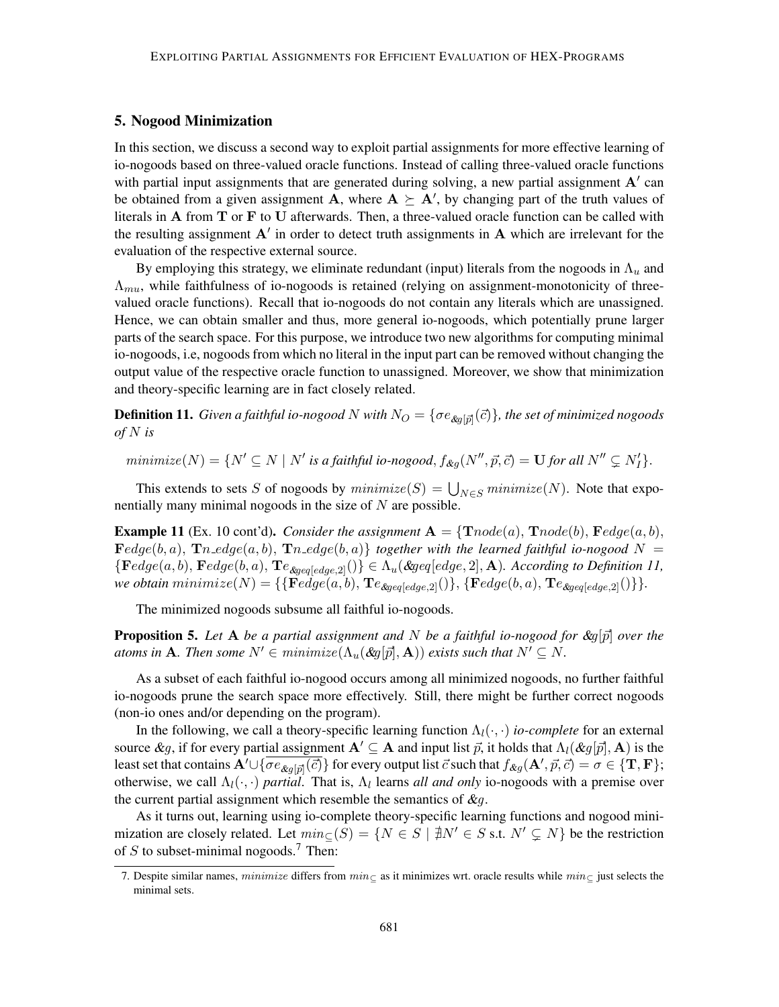## 5. Nogood Minimization

In this section, we discuss a second way to exploit partial assignments for more effective learning of io-nogoods based on three-valued oracle functions. Instead of calling three-valued oracle functions with partial input assignments that are generated during solving, a new partial assignment  $A'$  can be obtained from a given assignment **A**, where  $A \succeq A'$ , by changing part of the truth values of literals in A from T or F to U afterwards. Then, a three-valued oracle function can be called with the resulting assignment  $A'$  in order to detect truth assignments in  $A$  which are irrelevant for the evaluation of the respective external source.

By employing this strategy, we eliminate redundant (input) literals from the nogoods in  $\Lambda_u$  and  $\Lambda_{mu}$ , while faithfulness of io-nogoods is retained (relying on assignment-monotonicity of threevalued oracle functions). Recall that io-nogoods do not contain any literals which are unassigned. Hence, we can obtain smaller and thus, more general io-nogoods, which potentially prune larger parts of the search space. For this purpose, we introduce two new algorithms for computing minimal io-nogoods, i.e, nogoods from which no literal in the input part can be removed without changing the output value of the respective oracle function to unassigned. Moreover, we show that minimization and theory-specific learning are in fact closely related.

 ${\bf Definition ~11.}$  *Given a faithful io-nogood*  $N$  *with*  $N_O = \{\sigma e_{\mathcal{R} g[\vec{p}]}(\vec{c})\}$ *, the set of minimized nogoods of* N *is*

 $minimize(N) = \{N' \subseteq N \mid N' \text{ is a faithful io-nogood}, f_{\&g}(N'', \vec{p}, \vec{c}) = \mathbf{U} \text{ for all } N'' \subsetneq N'_I\}.$ 

This extends to sets S of nogoods by  $minimize(S) = \bigcup_{N \in S} minimize(N)$ . Note that exponentially many minimal nogoods in the size of  $N$  are possible.

**Example 11** (Ex. 10 cont'd). *Consider the assignment*  $A = \{Tnode(a), Tnode(b), Fedge(a, b),$  $\textbf{F}edge(b, a), \textbf{T}n_{\textit{edg}}(a, b), \textbf{T}n_{\textit{edg}}(b, a) \}$  together with the learned faithful io-nogood  $N =$ {Fedge(a, b), Fedge(b, a), Te&geq[edge,2]()} ∈ Λu(&geq[edge, 2], A)*. According to Definition 11, we obtain*  $minimize(N) = {\{\mathbf{F}edge(a, b), \mathbf{T}e_{\text{dgeg}\left[edge,2\right]}(\text{)}}, {\{\mathbf{F}edge}(b, a), \mathbf{T}e_{\text{dgeg}\left[edge,2\right]}(\text{)}\}.$ 

The minimized nogoods subsume all faithful io-nogoods.

**Proposition 5.** Let A be a partial assignment and N be a faithful io-nogood for  $\&g[\vec{p}]$  over the *atoms in* **A***. Then some*  $N' \in minimize(\Lambda_u(\& q[\vec{p}], \mathbf{A}))$  *exists such that*  $N' \subseteq N$ *.* 

As a subset of each faithful io-nogood occurs among all minimized nogoods, no further faithful io-nogoods prune the search space more effectively. Still, there might be further correct nogoods (non-io ones and/or depending on the program).

In the following, we call a theory-specific learning function  $\Lambda_l(\cdot, \cdot)$  *io-complete* for an external source  $\&g$ , if for every partial assignment  $A' \subseteq A$  and input list  $\vec{p}$ , it holds that  $\Lambda_l(\&g[\vec{p}], A)$  is the least set that contains  $\mathbf{A}'\cup\{\overline{\sigma e_{\& g[\vec{p}]}(\vec{c})}\}$  for every output list  $\vec{c}$  such that  $f_{\& g}(\mathbf{A}',\vec{p},\vec{c})=\sigma\in\{\mathbf{T},\mathbf{F}\};$ otherwise, we call  $\Lambda_l(\cdot, \cdot)$  *partial*. That is,  $\Lambda_l$  learns *all and only* io-nogoods with a premise over the current partial assignment which resemble the semantics of  $\&q$ .

As it turns out, learning using io-complete theory-specific learning functions and nogood minimization are closely related. Let  $min_{C}(S) = \{N \in S \mid \nexists N' \in S \text{ s.t. } N' \subseteq N\}$  be the restriction of S to subset-minimal nogoods.<sup>7</sup> Then:

<sup>7.</sup> Despite similar names, minimize differs from  $min_{\sub{c}}$  as it minimizes wrt. oracle results while  $min_{\sub{c}}$  just selects the minimal sets.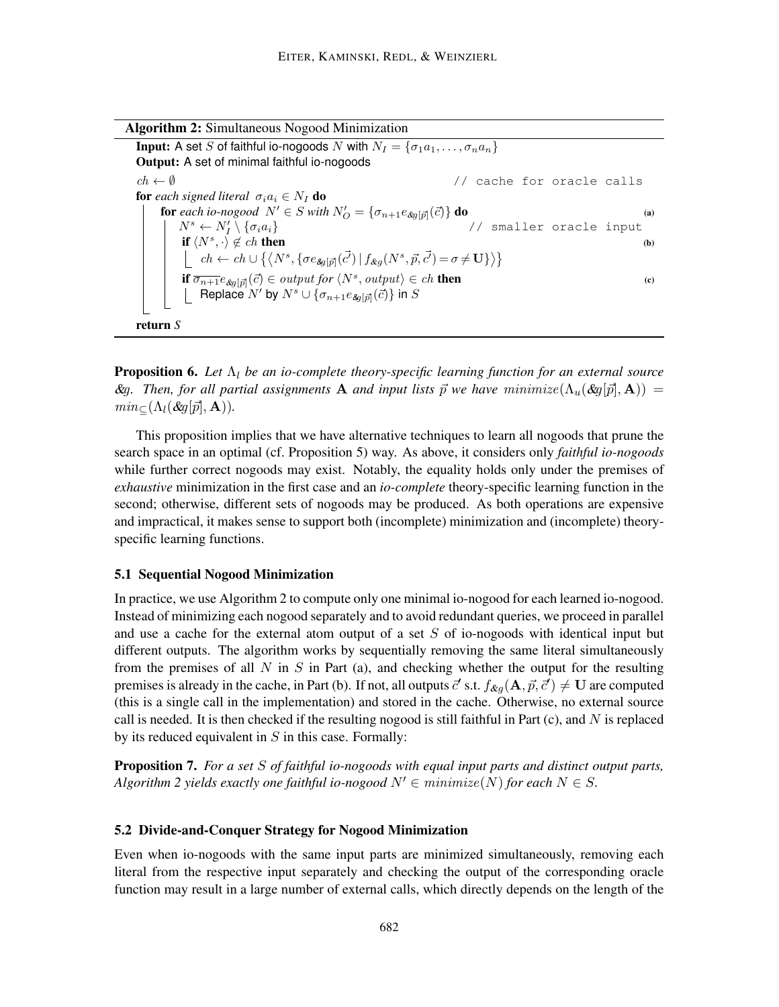**Input:** A set S of faithful io-nogoods N with  $N_I = \{\sigma_1 a_1, \ldots, \sigma_n a_n\}$ Output: A set of minimal faithful io-nogoods  $ch \leftarrow \emptyset$  // cache for oracle calls for *each signed literal*  $\sigma_i a_i \in N_I$  do **for** each io-nogood  $N' \in S$  with  $N'_O = {\sigma_{n+1}}e_{\text{log}[\vec{p}]}(\vec{c})$  **do** (a)  $N^s \leftarrow N'_I \setminus {\{\sigma_i a_i\}}$  // smaller oracle input if  $\langle N^s, \cdot \rangle \notin ch$  then (b)  $ch \leftarrow ch \cup \{ \langle N^s, \{ \sigma e_{\mathcal{A}[\vec{p}]}(\vec{c'}) \mid f_{\mathcal{A}g}(N^s, \vec{p}, \vec{c'}) = \sigma \neq \mathbf{U} \} \rangle \}$ **if**  $\overline{\sigma_{n+1}} e_{\text{deg}}[\overline{p}](\overline{c}) \in output \text{ for } \langle N^s, output \rangle \in ch$  **then** (c) Replace  $N'$  by  $N^s \cup \{ \sigma_{n+1} e_{\mathcal{S}q[\vec{p}]}(\vec{c}) \}$  in  $S$ return *S*

**Proposition 6.** Let  $\Lambda_l$  be an io-complete theory-specific learning function for an external source  $\mathcal{R}g$ . Then, for all partial assignments **A** and input lists  $\vec{p}$  we have minimize( $\Lambda_u(\mathcal{R}g[\vec{p}], \mathbf{A})$ ) =  $min_{\subseteq} (\Lambda_l(\&q[\vec{p}],\mathbf{A})).$ 

This proposition implies that we have alternative techniques to learn all nogoods that prune the search space in an optimal (cf. Proposition 5) way. As above, it considers only *faithful io-nogoods* while further correct nogoods may exist. Notably, the equality holds only under the premises of *exhaustive* minimization in the first case and an *io-complete* theory-specific learning function in the second; otherwise, different sets of nogoods may be produced. As both operations are expensive and impractical, it makes sense to support both (incomplete) minimization and (incomplete) theoryspecific learning functions.

## 5.1 Sequential Nogood Minimization

In practice, we use Algorithm 2 to compute only one minimal io-nogood for each learned io-nogood. Instead of minimizing each nogood separately and to avoid redundant queries, we proceed in parallel and use a cache for the external atom output of a set  $S$  of io-nogoods with identical input but different outputs. The algorithm works by sequentially removing the same literal simultaneously from the premises of all N in S in Part (a), and checking whether the output for the resulting premises is already in the cache, in Part (b). If not, all outputs  $\vec{c}'$  s.t.  $f_{\&g}(\mathbf{A}, \vec{p}, \vec{c}') \neq \mathbf{U}$  are computed (this is a single call in the implementation) and stored in the cache. Otherwise, no external source call is needed. It is then checked if the resulting nogood is still faithful in Part  $(c)$ , and N is replaced by its reduced equivalent in  $S$  in this case. Formally:

Proposition 7. *For a set* S *of faithful io-nogoods with equal input parts and distinct output parts, Algorithm 2 yields exactly one faithful io-nogood*  $N' \in \text{minimize}(N)$  *for each*  $N \in S$ *.* 

#### 5.2 Divide-and-Conquer Strategy for Nogood Minimization

Even when io-nogoods with the same input parts are minimized simultaneously, removing each literal from the respective input separately and checking the output of the corresponding oracle function may result in a large number of external calls, which directly depends on the length of the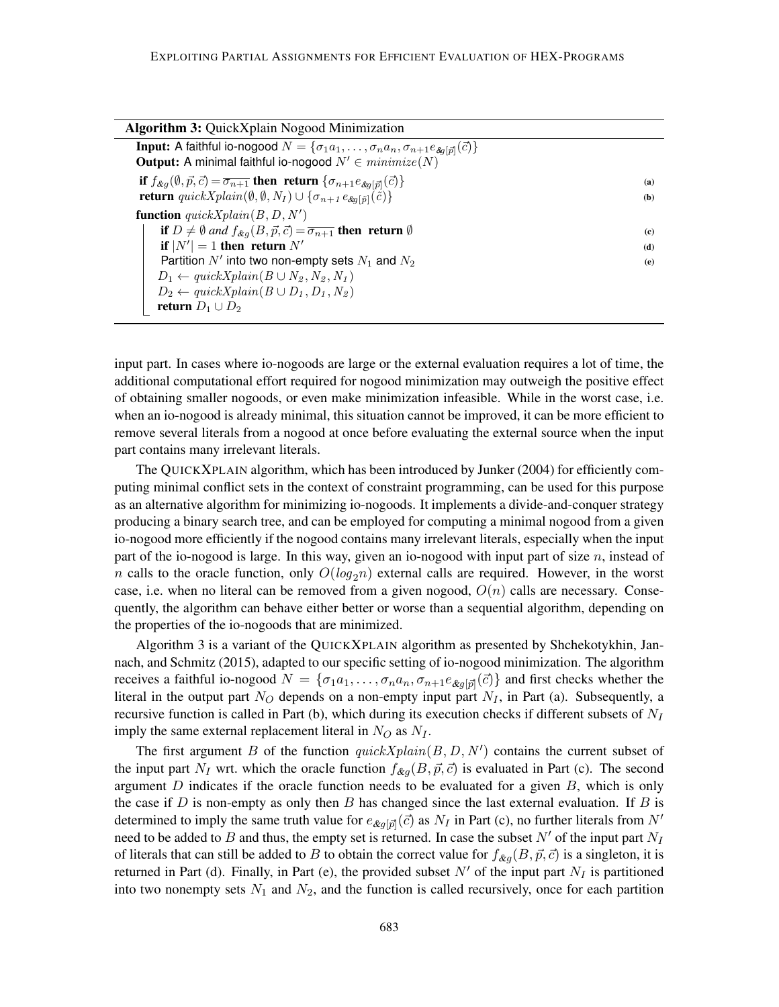| <b>Algorithm 3: QuickXplain Nogood Minimization</b>                                                                                                                                                                                                                                                                                                                                                     |                   |
|---------------------------------------------------------------------------------------------------------------------------------------------------------------------------------------------------------------------------------------------------------------------------------------------------------------------------------------------------------------------------------------------------------|-------------------|
| <b>Input:</b> A faithful io-nogood $N = {\sigma_1 a_1, \ldots, \sigma_n a_n, \sigma_{n+1} e_{\text{Eq}[\vec{p}]}(\vec{c})}$<br><b>Output:</b> A minimal faithful io-nogood $N' \in minimize(N)$                                                                                                                                                                                                         |                   |
| if $f_{\&q}(\emptyset, \vec{p}, \vec{c}) = \overline{\sigma_{n+1}}$ then return $\{\sigma_{n+1}e_{\&q[\vec{p}]}(\vec{c})\}$<br><b>return</b> quickXplain( $\emptyset$ , $\emptyset$ , $N_I$ ) $\cup$ { $\sigma_{n+1} e_{\&\sigma[\tilde{p}]}(\tilde{c})$ }                                                                                                                                              | (a)<br>(b)        |
| <b>function</b> $quickXplain(B, D, N')$<br>if $D \neq \emptyset$ and $f_{\&q}(B, \vec{p}, \vec{c}) = \overline{\sigma_{n+1}}$ then return $\emptyset$<br>if $ N'  = 1$ then return N'<br>Partition N' into two non-empty sets $N_1$ and $N_2$<br>$D_1 \leftarrow \text{quickXplain}(B \cup N_2, N_2, N_1)$<br>$D_2 \leftarrow \text{quickXplain}(B \cup D_1, D_1, N_2)$<br><b>return</b> $D_1 \cup D_2$ | (c)<br>(d)<br>(e) |

input part. In cases where io-nogoods are large or the external evaluation requires a lot of time, the additional computational effort required for nogood minimization may outweigh the positive effect of obtaining smaller nogoods, or even make minimization infeasible. While in the worst case, i.e. when an io-nogood is already minimal, this situation cannot be improved, it can be more efficient to remove several literals from a nogood at once before evaluating the external source when the input part contains many irrelevant literals.

The QUICKXPLAIN algorithm, which has been introduced by Junker (2004) for efficiently computing minimal conflict sets in the context of constraint programming, can be used for this purpose as an alternative algorithm for minimizing io-nogoods. It implements a divide-and-conquer strategy producing a binary search tree, and can be employed for computing a minimal nogood from a given io-nogood more efficiently if the nogood contains many irrelevant literals, especially when the input part of the io-nogood is large. In this way, given an io-nogood with input part of size  $n$ , instead of n calls to the oracle function, only  $O(log_2n)$  external calls are required. However, in the worst case, i.e. when no literal can be removed from a given nogood,  $O(n)$  calls are necessary. Consequently, the algorithm can behave either better or worse than a sequential algorithm, depending on the properties of the io-nogoods that are minimized.

Algorithm 3 is a variant of the QUICKXPLAIN algorithm as presented by Shchekotykhin, Jannach, and Schmitz (2015), adapted to our specific setting of io-nogood minimization. The algorithm receives a faithful io-nogood  $N = \{\sigma_1 a_1, \ldots, \sigma_n a_n, \sigma_{n+1} e_{\text{kg}[\vec{p}]}(\vec{c})\}$  and first checks whether the literal in the output part  $N_O$  depends on a non-empty input part  $N_I$ , in Part (a). Subsequently, a recursive function is called in Part (b), which during its execution checks if different subsets of  $N_I$ imply the same external replacement literal in  $N_Q$  as  $N_I$ .

The first argument B of the function  $quickXplain(B, D, N')$  contains the current subset of the input part  $N_I$  wrt. which the oracle function  $f_{\mathcal{A}q}(B, \vec{p}, \vec{c})$  is evaluated in Part (c). The second argument  $D$  indicates if the oracle function needs to be evaluated for a given  $B$ , which is only the case if  $D$  is non-empty as only then  $B$  has changed since the last external evaluation. If  $B$  is determined to imply the same truth value for  $e_{\&g[\vec{p}]}(\vec{c})$  as  $N_I$  in Part (c), no further literals from  $N'$ need to be added to B and thus, the empty set is returned. In case the subset N' of the input part  $N_I$ of literals that can still be added to B to obtain the correct value for  $f_{\&q}(B, \vec{p}, \vec{c})$  is a singleton, it is returned in Part (d). Finally, in Part (e), the provided subset  $N'$  of the input part  $N_I$  is partitioned into two nonempty sets  $N_1$  and  $N_2$ , and the function is called recursively, once for each partition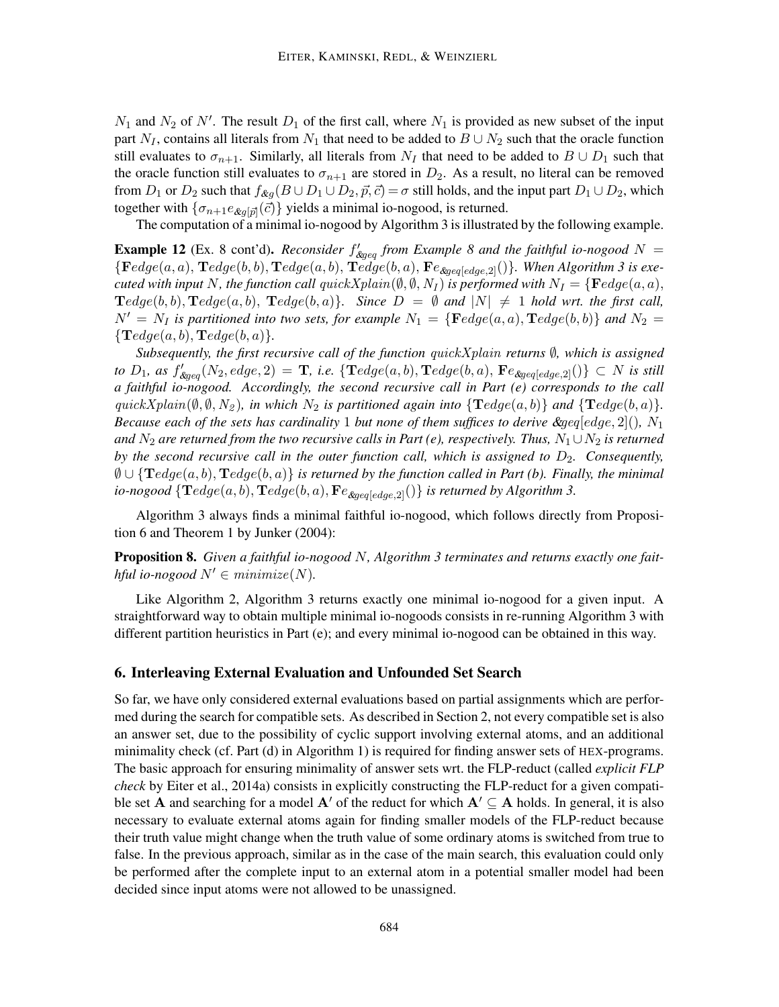$N_1$  and  $N_2$  of N'. The result  $D_1$  of the first call, where  $N_1$  is provided as new subset of the input part  $N_I$ , contains all literals from  $N_1$  that need to be added to  $B \cup N_2$  such that the oracle function still evaluates to  $\sigma_{n+1}$ . Similarly, all literals from  $N_I$  that need to be added to  $B \cup D_1$  such that the oracle function still evaluates to  $\sigma_{n+1}$  are stored in  $D_2$ . As a result, no literal can be removed from  $D_1$  or  $D_2$  such that  $f_{\&g}(B \cup D_1 \cup D_2, \vec{p}, \vec{c}) = \sigma$  still holds, and the input part  $D_1 \cup D_2$ , which together with  $\{\sigma_{n+1}e_{\&g[\vec{p}]}(\vec{c})\}$  yields a minimal io-nogood, is returned.

The computation of a minimal io-nogood by Algorithm 3 is illustrated by the following example.

**Example 12** (Ex. 8 cont'd). *Reconsider*  $f'_{\text{deg-}q}$  *from Example* 8 and the faithful io-nogood  $N =$  ${ \{ Fedge(a, a), \mathbf{T}edge(b, b), \mathbf{T}edge(a, b), \mathbf{T}edge(b, a), \mathbf{F}e_{\&{geq}[edge, 2]}(\} \} }$ *. When Algorithm 3 is executed with input* N, the function call  $quickXplain(\emptyset, \emptyset, N_I)$  *is performed with*  $N_I = \{ \mathbf{F} edge(a, a),$  $\textbf{T}edge(b, b), \textbf{T}edge(a, b), \textbf{T}edge(b, a)$ *.* Since  $D = \emptyset$  and  $|N| \neq 1$  hold wrt. the first call,  $N' = N_I$  is partitioned into two sets, for example  $N_1 = \{ \mathbf{F} edge(a, a), \mathbf{T} edge(b, b) \}$  and  $N_2 =$  ${\bf T}edge(a, b), {\bf T}edge(b, a).$ 

*Subsequently, the first recursive call of the function* quickXplain *returns* ∅*, which is assigned*  $to D_1$ , as  $f'_{\text{deg}q}(N_2, \text{edge}, 2) = \mathbf{T}$ , i.e. { $\mathbf{T}edge(a, b)$ ,  $\mathbf{T}edge(b, a)$ ,  $\mathbf{F}e_{\text{deg}q[edge, 2]}()$ } ⊂ N is still *a faithful io-nogood. Accordingly, the second recursive call in Part (e) corresponds to the call*  $quickXplain(\emptyset, \emptyset, N_2)$ *, in which*  $N_2$  *is partitioned again into*  $\{Tedge(a, b)\}$  *and*  $\{Tedge(b, a)\}.$ *Because each of the sets has cardinality* 1 *but none of them suffices to derive &geq*[edge, 2](),  $N_1$ *and*  $N_2$  *are returned from the two recursive calls in Part (e), respectively. Thus,*  $N_1 \cup N_2$  *is returned by the second recursive call in the outer function call, which is assigned to*  $D_2$ *. Consequently,*  $\emptyset \cup {\{}\text{T}edge(a,b),\text{T}edge(b,a)\}$  *is returned by the function called in Part (b). Finally, the minimal io-nogood*  $\{Tedge(a, b), Tedge(b, a), F_{\ell_{\text{Reval}}(c, a)}(\}\)$  *is returned by Algorithm 3.* 

Algorithm 3 always finds a minimal faithful io-nogood, which follows directly from Proposition 6 and Theorem 1 by Junker (2004):

Proposition 8. *Given a faithful io-nogood* N*, Algorithm 3 terminates and returns exactly one faithful io-nogood*  $N' \in minimize(N)$ .

Like Algorithm 2, Algorithm 3 returns exactly one minimal io-nogood for a given input. A straightforward way to obtain multiple minimal io-nogoods consists in re-running Algorithm 3 with different partition heuristics in Part (e); and every minimal io-nogood can be obtained in this way.

## 6. Interleaving External Evaluation and Unfounded Set Search

So far, we have only considered external evaluations based on partial assignments which are performed during the search for compatible sets. As described in Section 2, not every compatible set is also an answer set, due to the possibility of cyclic support involving external atoms, and an additional minimality check (cf. Part (d) in Algorithm 1) is required for finding answer sets of HEX-programs. The basic approach for ensuring minimality of answer sets wrt. the FLP-reduct (called *explicit FLP check* by Eiter et al., 2014a) consists in explicitly constructing the FLP-reduct for a given compatible set A and searching for a model A' of the reduct for which  $A' \subseteq A$  holds. In general, it is also necessary to evaluate external atoms again for finding smaller models of the FLP-reduct because their truth value might change when the truth value of some ordinary atoms is switched from true to false. In the previous approach, similar as in the case of the main search, this evaluation could only be performed after the complete input to an external atom in a potential smaller model had been decided since input atoms were not allowed to be unassigned.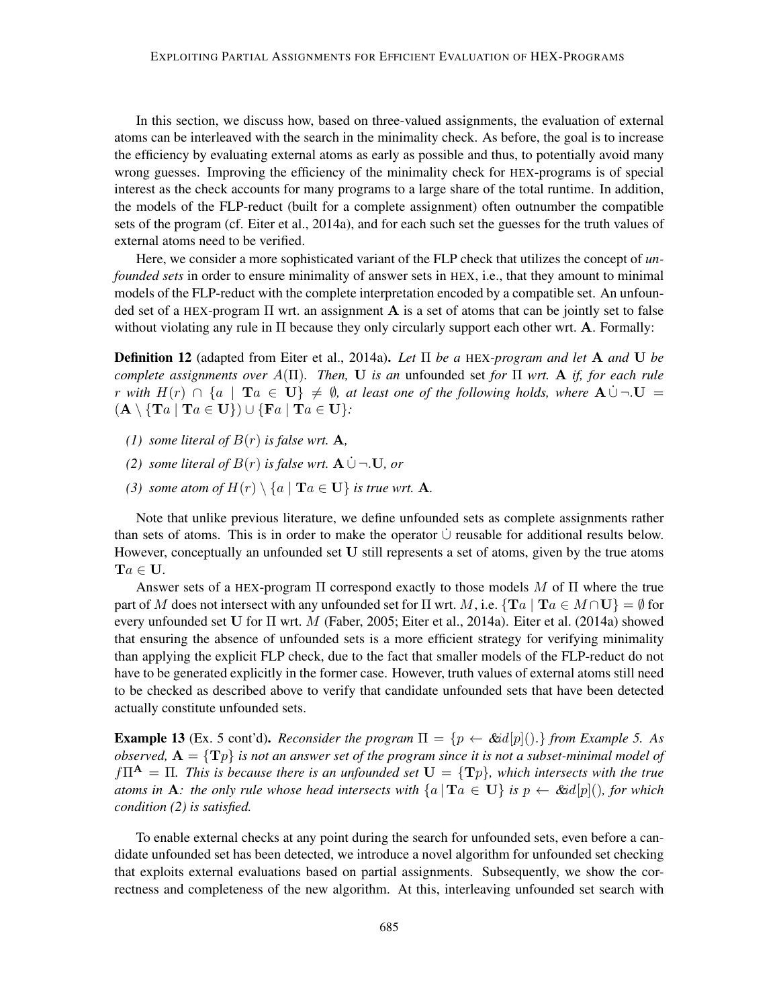In this section, we discuss how, based on three-valued assignments, the evaluation of external atoms can be interleaved with the search in the minimality check. As before, the goal is to increase the efficiency by evaluating external atoms as early as possible and thus, to potentially avoid many wrong guesses. Improving the efficiency of the minimality check for HEX-programs is of special interest as the check accounts for many programs to a large share of the total runtime. In addition, the models of the FLP-reduct (built for a complete assignment) often outnumber the compatible sets of the program (cf. Eiter et al., 2014a), and for each such set the guesses for the truth values of external atoms need to be verified.

Here, we consider a more sophisticated variant of the FLP check that utilizes the concept of *unfounded sets* in order to ensure minimality of answer sets in HEX, i.e., that they amount to minimal models of the FLP-reduct with the complete interpretation encoded by a compatible set. An unfounded set of a HEX-program  $\Pi$  wrt. an assignment  $A$  is a set of atoms that can be jointly set to false without violating any rule in  $\Pi$  because they only circularly support each other wrt. A. Formally:

Definition 12 (adapted from Eiter et al., 2014a). *Let* Π *be a* HEX*-program and let* A *and* U *be complete assignments over* A(Π)*. Then,* U *is an* unfounded set *for* Π *wrt.* A *if, for each rule* r with  $H(r) \cap \{a \mid Ta \in U\} \neq \emptyset$ , at least one of the following holds, where  $A \cup \neg U =$  $(A \setminus {\mathbf{T}} a | {\mathbf{T}} a \in U) \cup {\mathbf{F}} a | {\mathbf{T}} a \in U$ :

- *(1) some literal of*  $B(r)$  *is false wrt.* **A**,
- *(2) some literal of*  $B(r)$  *is false wrt.*  $A \cup \neg U$ , *or*
- *(3) some atom of*  $H(r) \setminus \{a \mid \textbf{T}a \in \mathbf{U}\}$  *is true wrt.* **A**.

Note that unlike previous literature, we define unfounded sets as complete assignments rather than sets of atoms. This is in order to make the operator  $\dot{\cup}$  reusable for additional results below. However, conceptually an unfounded set U still represents a set of atoms, given by the true atoms  $Ta \in U$ .

Answer sets of a HEX-program  $\Pi$  correspond exactly to those models M of  $\Pi$  where the true part of M does not intersect with any unfounded set for  $\Pi$  wrt. M, i.e.  $\{Ta \mid Ta \in M \cap U\} = \emptyset$  for every unfounded set U for Π wrt. M (Faber, 2005; Eiter et al., 2014a). Eiter et al. (2014a) showed that ensuring the absence of unfounded sets is a more efficient strategy for verifying minimality than applying the explicit FLP check, due to the fact that smaller models of the FLP-reduct do not have to be generated explicitly in the former case. However, truth values of external atoms still need to be checked as described above to verify that candidate unfounded sets that have been detected actually constitute unfounded sets.

**Example 13** (Ex. 5 cont'd). *Reconsider the program*  $\Pi = \{p \leftarrow \& id[p](\cdot)\}\$  *from Example 5. As observed,*  $A = \{T_p\}$  *is not an answer set of the program since it is not a subset-minimal model of*  $f\Pi^{\mathbf{A}} = \Pi$ . This is because there is an unfounded set  $\mathbf{U} = {\{T_p\}}$ , which intersects with the true *atoms in* **A**: the only rule whose head intersects with  $\{a \mid Ta \in \mathbf{U}\}\$ is  $p \leftarrow \& id[p](\)$ , for which *condition (2) is satisfied.*

To enable external checks at any point during the search for unfounded sets, even before a candidate unfounded set has been detected, we introduce a novel algorithm for unfounded set checking that exploits external evaluations based on partial assignments. Subsequently, we show the correctness and completeness of the new algorithm. At this, interleaving unfounded set search with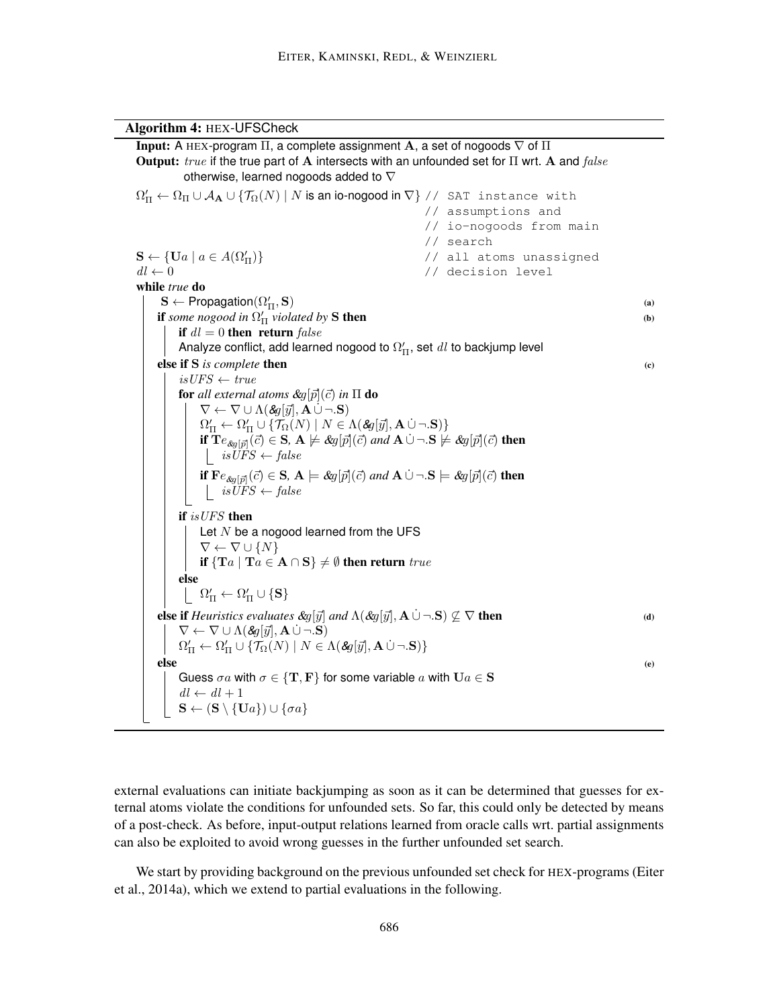Algorithm 4: HEX-UFSCheck **Input:** A HEX-program  $\Pi$ , a complete assignment A, a set of nogoods  $\nabla$  of  $\Pi$ Output: true if the true part of A intersects with an unfounded set for  $\Pi$  wrt. A and  $false$ otherwise, learned nogoods added to  $\nabla$  $\Omega_{\Pi}'\leftarrow \Omega_{\Pi}\cup \mathcal{A}_{\mathbf{A}}\cup \{\mathcal{T}_{\Omega}(N)\mid N\text{ is an io-nogood in }\nabla\}\text{ // SAT instance with }$ // assumptions and // io-nogoods from main // search  $\mathbf{S} \leftarrow {\mathbf{U}} a \mid a \in A(\Omega'_\Pi)$ // all atoms unassigned  $dl \leftarrow 0$  // decision level while *true* do  $\mathbf{S} \leftarrow \mathsf{Propagation}(\Omega'_{\Pi}, \mathbf{S})$  (a) **if** *some nogood in*  $\Omega'_{\Pi}$  *violated by* **S** then (b) if  $dl = 0$  then return false Analyze conflict, add learned nogood to  $\Omega_{\Pi}^{\prime}$ , set  $\emph{dl}$  to backjump level else if S *is complete* then (c)  $isUFS \leftarrow true$ for all external atoms  $\&g[\vec{p}](\vec{c})$  in  $\Pi$  do  $\nabla \leftarrow \nabla \cup \Lambda(\mathcal{S}g[\vec{y}], \mathbf{A}\cup \neg \mathbf{S})$  $\Omega'_{\Pi} \leftarrow \Omega'_{\Pi} \cup \{ \mathcal{T}_{\Omega}(N) \mid N \in \Lambda(\mathcal{LG}[\vec{y}], \mathbf{A} \cup \neg \mathbf{.S}) \}$ if  $Te_{\&g[\vec{p}]}(\vec{c}) \in S$ ,  $A \not\models \&g[\vec{p}](\vec{c})$  *and*  $A \cup \neg S \not\models \&g[\vec{p}](\vec{c})$  then |  $isUFS \leftarrow false$ if  $\mathbf{F}e_{\text{deg}[\vec{p}]}(\vec{c}) \in \mathbf{S}, \mathbf{A} \models \text{deg}[\vec{p}](\vec{c})$  *and*  $\mathbf{A} \cup \neg \mathbf{S} \models \text{deg}[\vec{p}](\vec{c})$  then  $i sUFS \leftarrow false$ if isUFS then Let  $N$  be a nogood learned from the UFS  $\nabla \leftarrow \nabla \cup \{N\}$ if  $\{Ta \mid Ta \in A \cap S\} \neq \emptyset$  then return true else  $\Omega_{\Pi}' \leftarrow \Omega_{\Pi}' \cup \{\mathbf{S}\}\$ **else if** *Heuristics evaluates*  $\&g[\vec{y}]$  *and*  $\Lambda(\&g[\vec{y}], \mathbf{A} \cup \neg \cdot \mathbf{S}) \not\subseteq \nabla$  **then** (d)  $\nabla \leftarrow \nabla \cup \Lambda(\mathcal{S}g[\vec{y}], \mathbf{A} \cup \neg \mathbf{S})$  $\Omega'_{\Pi} \leftarrow \Omega'_{\Pi} \cup \{ \mathcal{T}_{\Omega}(N) \mid N \in \Lambda(\mathcal{S}g[\vec{y}], \mathbf{A} \cup \neg.\mathbf{S}) \}$ else (e) Guess  $\sigma a$  with  $\sigma \in \{T, F\}$  for some variable a with  $Ua \in S$  $dl \leftarrow dl + 1$  $\mathbf{S} \leftarrow (\mathbf{S} \setminus {\mathbf{U}} a) \cup {\sigma a}$ 

external evaluations can initiate backjumping as soon as it can be determined that guesses for external atoms violate the conditions for unfounded sets. So far, this could only be detected by means of a post-check. As before, input-output relations learned from oracle calls wrt. partial assignments can also be exploited to avoid wrong guesses in the further unfounded set search.

We start by providing background on the previous unfounded set check for HEX-programs (Eiter et al., 2014a), which we extend to partial evaluations in the following.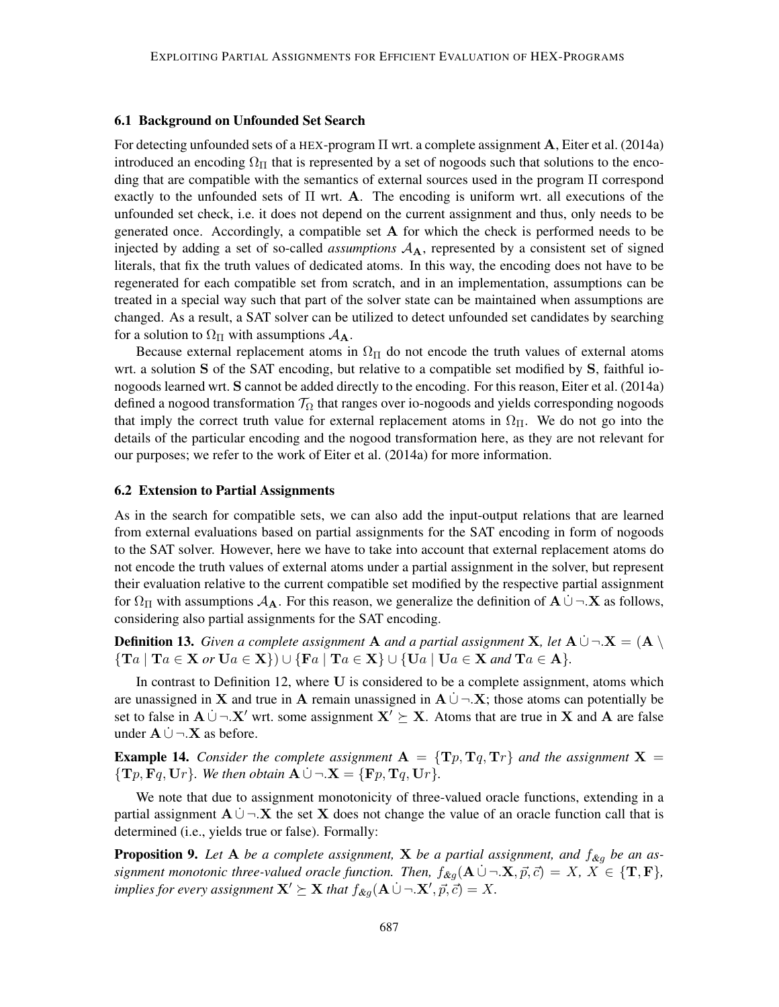#### 6.1 Background on Unfounded Set Search

For detecting unfounded sets of a HEX-program Π wrt. a complete assignment A, Eiter et al. (2014a) introduced an encoding  $\Omega_{\Pi}$  that is represented by a set of nogoods such that solutions to the encoding that are compatible with the semantics of external sources used in the program Π correspond exactly to the unfounded sets of  $\Pi$  wrt. A. The encoding is uniform wrt. all executions of the unfounded set check, i.e. it does not depend on the current assignment and thus, only needs to be generated once. Accordingly, a compatible set A for which the check is performed needs to be injected by adding a set of so-called *assumptions*  $A_A$ , represented by a consistent set of signed literals, that fix the truth values of dedicated atoms. In this way, the encoding does not have to be regenerated for each compatible set from scratch, and in an implementation, assumptions can be treated in a special way such that part of the solver state can be maintained when assumptions are changed. As a result, a SAT solver can be utilized to detect unfounded set candidates by searching for a solution to  $\Omega_{\Pi}$  with assumptions  $\mathcal{A}_{\mathbf{A}}$ .

Because external replacement atoms in  $\Omega_{\Pi}$  do not encode the truth values of external atoms wrt. a solution S of the SAT encoding, but relative to a compatible set modified by S, faithful ionogoods learned wrt. S cannot be added directly to the encoding. For this reason, Eiter et al. (2014a) defined a nogood transformation  $T_{\Omega}$  that ranges over io-nogoods and yields corresponding nogoods that imply the correct truth value for external replacement atoms in  $\Omega_{\Pi}$ . We do not go into the details of the particular encoding and the nogood transformation here, as they are not relevant for our purposes; we refer to the work of Eiter et al. (2014a) for more information.

## 6.2 Extension to Partial Assignments

As in the search for compatible sets, we can also add the input-output relations that are learned from external evaluations based on partial assignments for the SAT encoding in form of nogoods to the SAT solver. However, here we have to take into account that external replacement atoms do not encode the truth values of external atoms under a partial assignment in the solver, but represent their evaluation relative to the current compatible set modified by the respective partial assignment for  $\Omega_{\Pi}$  with assumptions  $\mathcal{A}_{\mathbf{A}}$ . For this reason, we generalize the definition of  $\mathbf{A} \cup \neg \mathbf{X}$  as follows, considering also partial assignments for the SAT encoding.

**Definition 13.** *Given a complete assignment* **A** *and a partial assignment* **X**, let **A**  $\cup$  ¬  $X = (A \setminus B)$  ${\rm Tr}\{Ta \mid Ta \in X \text{ or } Ua \in X\} \cup {\rm Tr}\{Fa \mid Ta \in X\} \cup {\rm Tr}\{Ua \mid Ua \in X \text{ and } Ta \in A\}.$ 

In contrast to Definition 12, where U is considered to be a complete assignment, atoms which are unassigned in X and true in A remain unassigned in  $A \cup \neg X$ ; those atoms can potentially be set to false in  $A \cup \neg X'$  wrt. some assignment  $X' \succeq X$ . Atoms that are true in X and A are false under  ${\bf A} \cup \neg {\bf X}$  as before.

**Example 14.** *Consider the complete assignment*  $A = \{Tp, Tq, Tr\}$  *and the assignment*  $X =$  ${\bf T}_p, {\bf F}_q, {\bf U}_r$ *). We then obtain*  ${\bf A} \cup \neg {\bf X} = {\bf F}_p, {\bf T}_q, {\bf U}_r$ *).* 

We note that due to assignment monotonicity of three-valued oracle functions, extending in a partial assignment  $A \cup \neg X$  the set X does not change the value of an oracle function call that is determined (i.e., yields true or false). Formally:

**Proposition 9.** Let A be a complete assignment, X be a partial assignment, and  $f_{\mathcal{X}_q}$  be an as*signment monotonic three-valued oracle function. Then,*  $f_{\&g}(\mathbf{A} \cup \neg \mathbf{X}, \vec{p}, \vec{c}) = X, X \in \{\mathbf{T}, \mathbf{F}\},\$ *implies for every assignment*  $X' \succeq X$  *that*  $f_{\&g}(\mathbf{A} \cup \neg X', \vec{p}, \vec{c}) = X$ .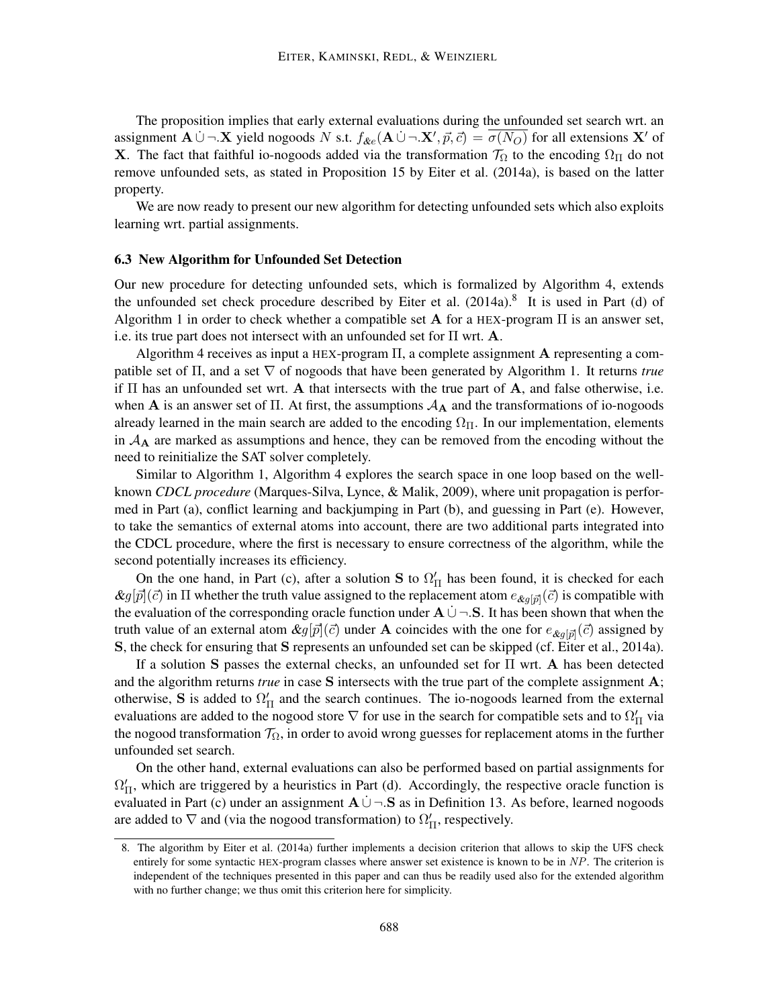The proposition implies that early external evaluations during the unfounded set search wrt. an assignment  $\mathbf{A} \cup \neg \mathbf{X}$  yield nogoods N s.t.  $f_{\&e}(\mathbf{A} \cup \neg \mathbf{X}', \vec{p}, \vec{c}) = \overline{\sigma(N_O)}$  for all extensions  $\mathbf{X}'$  of **X**. The fact that faithful io-nogoods added via the transformation  $\mathcal{T}_{\Omega}$  to the encoding  $\Omega_{\Pi}$  do not remove unfounded sets, as stated in Proposition 15 by Eiter et al. (2014a), is based on the latter property.

We are now ready to present our new algorithm for detecting unfounded sets which also exploits learning wrt. partial assignments.

## 6.3 New Algorithm for Unfounded Set Detection

Our new procedure for detecting unfounded sets, which is formalized by Algorithm 4, extends the unfounded set check procedure described by Eiter et al.  $(2014a)$ .<sup>8</sup> It is used in Part (d) of Algorithm 1 in order to check whether a compatible set **A** for a HEX-program  $\Pi$  is an answer set, i.e. its true part does not intersect with an unfounded set for  $\Pi$  wrt. A.

Algorithm 4 receives as input a HEX-program  $\Pi$ , a complete assignment **A** representing a compatible set of Π, and a set ∇ of nogoods that have been generated by Algorithm 1. It returns *true* if Π has an unfounded set wrt. A that intersects with the true part of A, and false otherwise, i.e. when A is an answer set of  $\Pi$ . At first, the assumptions  $\mathcal{A}_{\mathbf{A}}$  and the transformations of io-nogoods already learned in the main search are added to the encoding  $\Omega$ <sub>Π</sub>. In our implementation, elements in  $A_A$  are marked as assumptions and hence, they can be removed from the encoding without the need to reinitialize the SAT solver completely.

Similar to Algorithm 1, Algorithm 4 explores the search space in one loop based on the wellknown *CDCL procedure* (Marques-Silva, Lynce, & Malik, 2009), where unit propagation is performed in Part (a), conflict learning and backjumping in Part (b), and guessing in Part (e). However, to take the semantics of external atoms into account, there are two additional parts integrated into the CDCL procedure, where the first is necessary to ensure correctness of the algorithm, while the second potentially increases its efficiency.

On the one hand, in Part (c), after a solution S to  $\Omega'_{\Pi}$  has been found, it is checked for each  $\&g[\vec{p}](\vec{c})$  in  $\Pi$  whether the truth value assigned to the replacement atom  $e_{\&g[\vec{p}]}(\vec{c})$  is compatible with the evaluation of the corresponding oracle function under  $A \cup \neg S$ . It has been shown that when the truth value of an external atom  $\&g[\vec{p}](\vec{c})$  under A coincides with the one for  $e_{\&g[\vec{p}]}(\vec{c})$  assigned by S, the check for ensuring that S represents an unfounded set can be skipped (cf. Eiter et al., 2014a).

If a solution S passes the external checks, an unfounded set for Π wrt. A has been detected and the algorithm returns *true* in case S intersects with the true part of the complete assignment A; otherwise, S is added to  $\Omega'_{\Pi}$  and the search continues. The io-nogoods learned from the external evaluations are added to the nogood store  $\nabla$  for use in the search for compatible sets and to  $\Omega_{\Pi}'$  via the nogood transformation  $\mathcal{T}_{\Omega}$ , in order to avoid wrong guesses for replacement atoms in the further unfounded set search.

On the other hand, external evaluations can also be performed based on partial assignments for  $\Omega'_{\Pi}$ , which are triggered by a heuristics in Part (d). Accordingly, the respective oracle function is evaluated in Part (c) under an assignment  $\mathbf{A} \cup \neg \mathbf{S}$  as in Definition 13. As before, learned nogoods are added to  $\nabla$  and (via the nogood transformation) to  $\Omega'_{\Pi}$ , respectively.

<sup>8.</sup> The algorithm by Eiter et al. (2014a) further implements a decision criterion that allows to skip the UFS check entirely for some syntactic HEX-program classes where answer set existence is known to be in NP. The criterion is independent of the techniques presented in this paper and can thus be readily used also for the extended algorithm with no further change; we thus omit this criterion here for simplicity.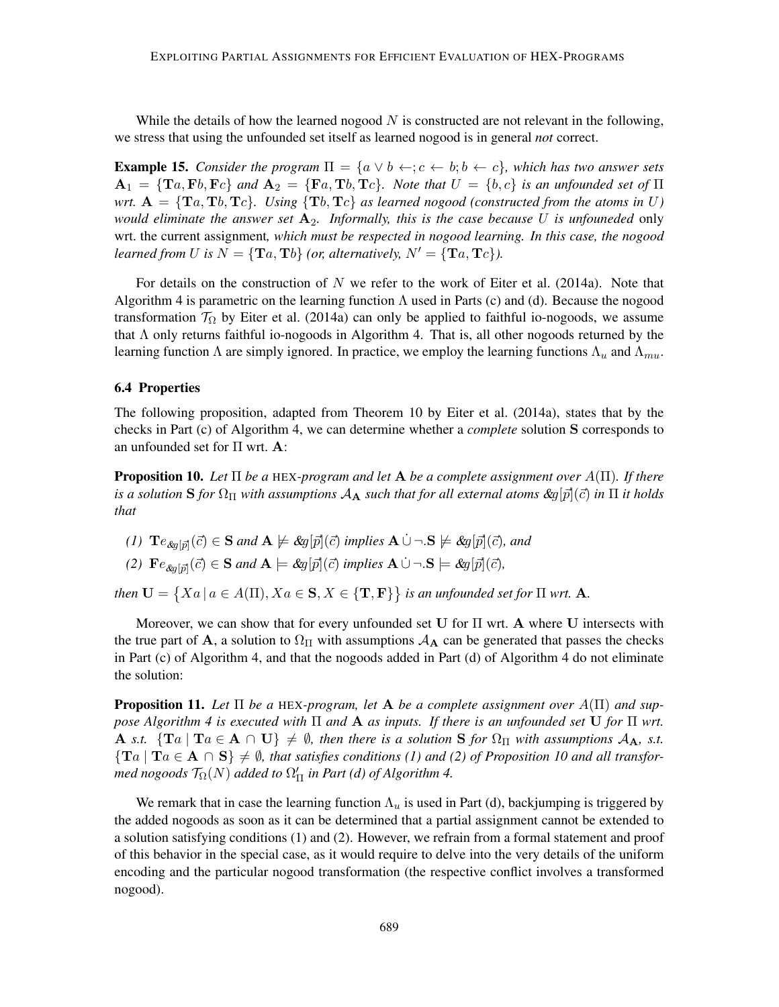While the details of how the learned nogood  $N$  is constructed are not relevant in the following, we stress that using the unfounded set itself as learned nogood is in general *not* correct.

**Example 15.** *Consider the program*  $\Pi = \{a \lor b \leftarrow c; c \leftarrow b; b \leftarrow c\}$ *, which has two answer sets*  $A_1 = \{Ta, Fb, Fc\}$  *and*  $A_2 = \{Fa, Tb, Tc\}$ *. Note that*  $U = \{b, c\}$  *is an unfounded set of*  $\Pi$ *wrt.*  $A = \{Ta, Tb, Tc\}$ *. Using*  $\{Tb, Tc\}$  *as learned nogood (constructed from the atoms in* U) *would eliminate the answer set* A2*. Informally, this is the case because* U *is unfouneded* only wrt. the current assignment*, which must be respected in nogood learning. In this case, the nogood learned from* U *is*  $N = {\mathbf{T}a, \mathbf{T}b}$  *(or, alternatively,*  $N' = {\mathbf{T}a, \mathbf{T}c}$ *).* 

For details on the construction of  $N$  we refer to the work of Eiter et al. (2014a). Note that Algorithm 4 is parametric on the learning function  $\Lambda$  used in Parts (c) and (d). Because the nogood transformation  $\mathcal{T}_{\Omega}$  by Eiter et al. (2014a) can only be applied to faithful io-nogoods, we assume that  $\Lambda$  only returns faithful io-nogoods in Algorithm 4. That is, all other nogoods returned by the learning function  $\Lambda$  are simply ignored. In practice, we employ the learning functions  $\Lambda_u$  and  $\Lambda_{mu}$ .

## 6.4 Properties

The following proposition, adapted from Theorem 10 by Eiter et al. (2014a), states that by the checks in Part (c) of Algorithm 4, we can determine whether a *complete* solution S corresponds to an unfounded set for Π wrt. A:

Proposition 10. *Let* Π *be a* HEX*-program and let* A *be a complete assignment over* A(Π)*. If there is a solution* **S** *for*  $\Omega_{\Pi}$  *with assumptions*  $A_{\bf A}$  *such that for all external atoms*  $\mathcal{X}_q[\bar{p}](\bar{c})$  *in*  $\Pi$  *it holds that*

- *(1)*  $\mathbf{T}e_{\mathcal{S}g[\vec{p}]}(\vec{c}) \in \mathbf{S}$  and  $\mathbf{A} \not\models \mathcal{S}g[\vec{p}](\vec{c})$  implies  $\mathbf{A} \cup \neg \mathbf{S} \not\models \mathcal{S}g[\vec{p}](\vec{c})$ , and
- *(2)*  $\mathbf{F}e_{\&g[\vec{p}]}(\vec{c}) \in \mathbf{S}$  *and*  $\mathbf{A} \models \&g[\vec{p}](\vec{c})$  *implies*  $\mathbf{A} \cup \neg \cdot \mathbf{S} \models \&g[\vec{p}](\vec{c})$ *,*

*then*  $\mathbf{U} = \{ Xa \mid a \in A(\Pi), Xa \in \mathbf{S}, X \in \{ \mathbf{T}, \mathbf{F} \} \}$  is an unfounded set for  $\Pi$  wrt. A.

Moreover, we can show that for every unfounded set U for Π wrt. A where U intersects with the true part of A, a solution to  $\Omega_{\Pi}$  with assumptions  $A_{\bf A}$  can be generated that passes the checks in Part (c) of Algorithm 4, and that the nogoods added in Part (d) of Algorithm 4 do not eliminate the solution:

**Proposition 11.** Let  $\Pi$  be a HEX-program, let  $A$  be a complete assignment over  $A(\Pi)$  and sup*pose Algorithm 4 is executed with* Π *and* A *as inputs. If there is an unfounded set* U *for* Π *wrt.* A *s.t.*  $\{Ta \mid Ta \in A \cap U\} \neq \emptyset$ , then there is a solution S for  $\Omega_{\Pi}$  with assumptions  $A_A$ , *s.t.*  ${T_a | Ta \in A \cap S} \neq \emptyset$ , that satisfies conditions (1) and (2) of Proposition 10 and all transformed nogoods  $\mathcal{T}_\Omega(N)$  added to  $\Omega'_\Pi$  in Part (d) of Algorithm 4.

We remark that in case the learning function  $\Lambda_u$  is used in Part (d), backjumping is triggered by the added nogoods as soon as it can be determined that a partial assignment cannot be extended to a solution satisfying conditions (1) and (2). However, we refrain from a formal statement and proof of this behavior in the special case, as it would require to delve into the very details of the uniform encoding and the particular nogood transformation (the respective conflict involves a transformed nogood).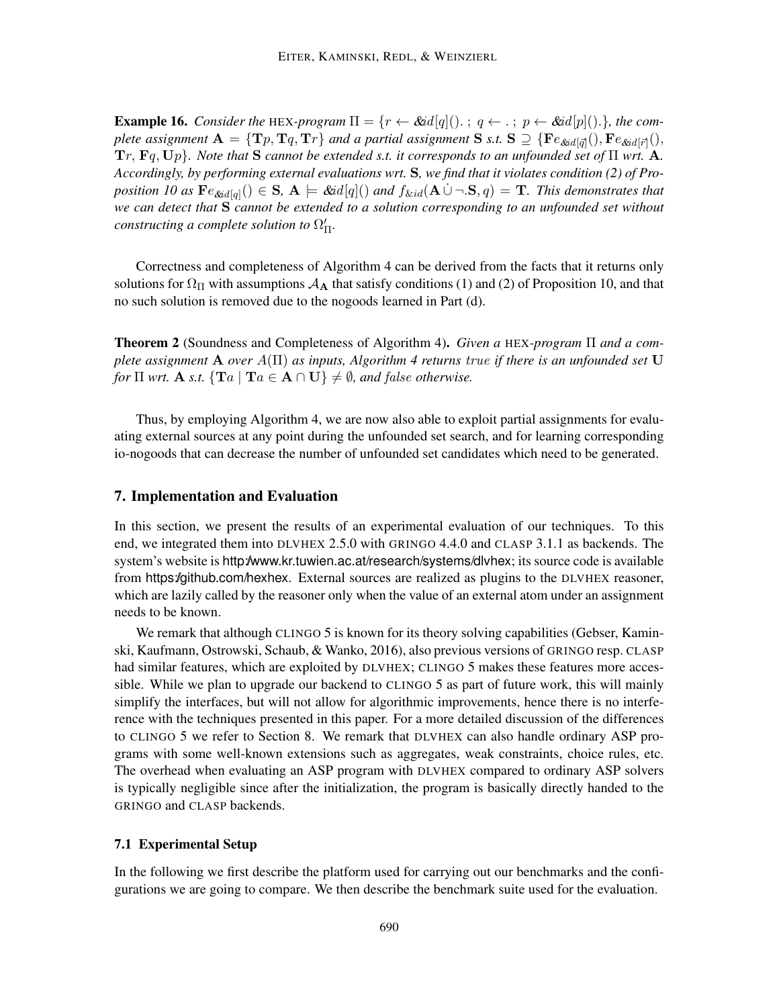**Example 16.** *Consider the* HEX-program  $\Pi = \{r \leftarrow \& id[q](\cdot) : q \leftarrow \cdot : p \leftarrow \& id[p](\cdot) \}$ *, the com*plete assignment  $A = \{Tp, Tq, Tr\}$  and a partial assignment S s.t.  $S \supseteq \{Fe_{\&id[\vec{q}]}(), Fe_{\&id[\vec{r}]}(),$ Tr, Fq, Up}*. Note that* S *cannot be extended s.t. it corresponds to an unfounded set of* Π *wrt.* A*. Accordingly, by performing external evaluations wrt.* S*, we find that it violates condition (2) of Pro*position 10 as  $Fe_{\&ad[q]}() \in S$ ,  $A \models \&ad[q](\)$  and  $f_{\&id}(A \cup \neg S, q) = T$ . This demonstrates that *we can detect that* S *cannot be extended to a solution corresponding to an unfounded set without constructing a complete solution to*  $\Omega'_{\Pi}$ *.* 

Correctness and completeness of Algorithm 4 can be derived from the facts that it returns only solutions for  $\Omega_{\Pi}$  with assumptions  $\mathcal{A}_{\Lambda}$  that satisfy conditions (1) and (2) of Proposition 10, and that no such solution is removed due to the nogoods learned in Part (d).

Theorem 2 (Soundness and Completeness of Algorithm 4). *Given a* HEX*-program* Π *and a complete assignment* A *over* A(Π) *as inputs, Algorithm 4 returns* true *if there is an unfounded set* U *for*  $\Pi$  *wrt.* **A** *s.t.*  $\{Ta \mid Ta \in A \cap U\} \neq \emptyset$ *, and false otherwise.* 

Thus, by employing Algorithm 4, we are now also able to exploit partial assignments for evaluating external sources at any point during the unfounded set search, and for learning corresponding io-nogoods that can decrease the number of unfounded set candidates which need to be generated.

## 7. Implementation and Evaluation

In this section, we present the results of an experimental evaluation of our techniques. To this end, we integrated them into DLVHEX 2.5.0 with GRINGO 4.4.0 and CLASP 3.1.1 as backends. The system's website is http://www.kr.tuwien.ac.at/research/systems/dlvhex; its source code is available from https://github.com/hexhex. External sources are realized as plugins to the DLVHEX reasoner, which are lazily called by the reasoner only when the value of an external atom under an assignment needs to be known.

We remark that although CLINGO 5 is known for its theory solving capabilities (Gebser, Kaminski, Kaufmann, Ostrowski, Schaub, & Wanko, 2016), also previous versions of GRINGO resp. CLASP had similar features, which are exploited by DLVHEX; CLINGO 5 makes these features more accessible. While we plan to upgrade our backend to CLINGO 5 as part of future work, this will mainly simplify the interfaces, but will not allow for algorithmic improvements, hence there is no interference with the techniques presented in this paper. For a more detailed discussion of the differences to CLINGO 5 we refer to Section 8. We remark that DLVHEX can also handle ordinary ASP programs with some well-known extensions such as aggregates, weak constraints, choice rules, etc. The overhead when evaluating an ASP program with DLVHEX compared to ordinary ASP solvers is typically negligible since after the initialization, the program is basically directly handed to the GRINGO and CLASP backends.

## 7.1 Experimental Setup

In the following we first describe the platform used for carrying out our benchmarks and the configurations we are going to compare. We then describe the benchmark suite used for the evaluation.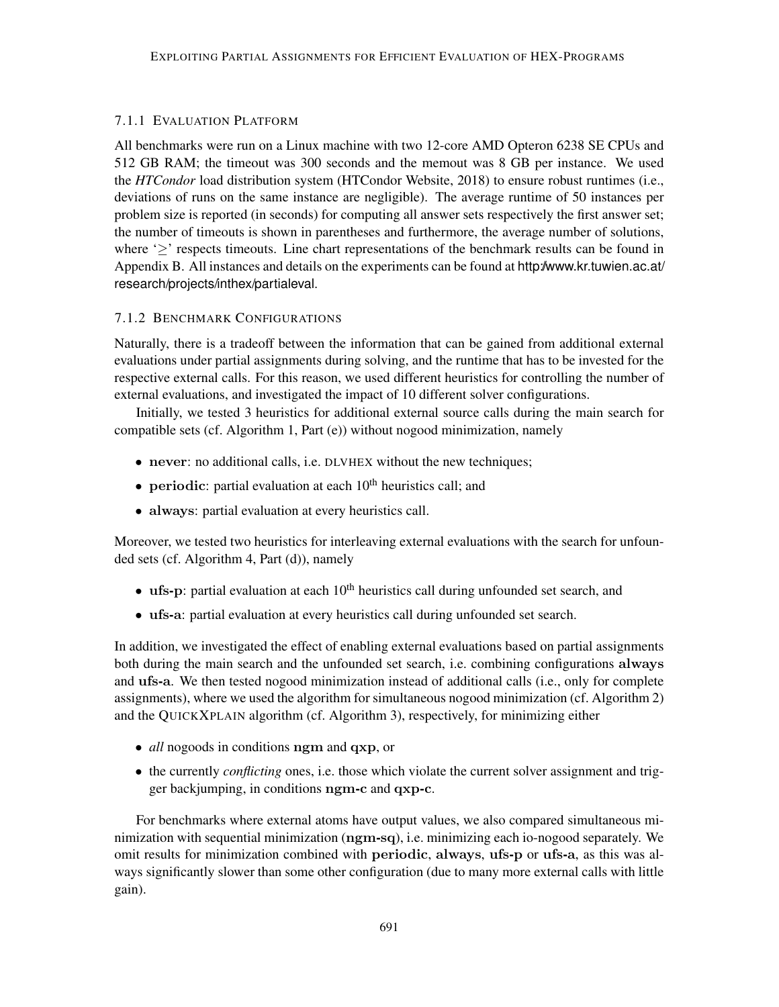## 7.1.1 EVALUATION PLATFORM

All benchmarks were run on a Linux machine with two 12-core AMD Opteron 6238 SE CPUs and 512 GB RAM; the timeout was 300 seconds and the memout was 8 GB per instance. We used the *HTCondor* load distribution system (HTCondor Website, 2018) to ensure robust runtimes (i.e., deviations of runs on the same instance are negligible). The average runtime of 50 instances per problem size is reported (in seconds) for computing all answer sets respectively the first answer set; the number of timeouts is shown in parentheses and furthermore, the average number of solutions, where  $\geq$  respects timeouts. Line chart representations of the benchmark results can be found in Appendix B. All instances and details on the experiments can be found at http://www.kr.tuwien.ac.at/ research/projects/inthex/partialeval.

## 7.1.2 BENCHMARK CONFIGURATIONS

Naturally, there is a tradeoff between the information that can be gained from additional external evaluations under partial assignments during solving, and the runtime that has to be invested for the respective external calls. For this reason, we used different heuristics for controlling the number of external evaluations, and investigated the impact of 10 different solver configurations.

Initially, we tested 3 heuristics for additional external source calls during the main search for compatible sets (cf. Algorithm 1, Part (e)) without nogood minimization, namely

- never: no additional calls, i.e. DLVHEX without the new techniques;
- periodic: partial evaluation at each  $10<sup>th</sup>$  heuristics call; and
- always: partial evaluation at every heuristics call.

Moreover, we tested two heuristics for interleaving external evaluations with the search for unfounded sets (cf. Algorithm 4, Part (d)), namely

- ufs-p: partial evaluation at each  $10<sup>th</sup>$  heuristics call during unfounded set search, and
- ufs-a: partial evaluation at every heuristics call during unfounded set search.

In addition, we investigated the effect of enabling external evaluations based on partial assignments both during the main search and the unfounded set search, i.e. combining configurations always and ufs-a. We then tested nogood minimization instead of additional calls (i.e., only for complete assignments), where we used the algorithm for simultaneous nogood minimization (cf. Algorithm 2) and the QUICKXPLAIN algorithm (cf. Algorithm 3), respectively, for minimizing either

- *all* nogoods in conditions ngm and qxp, or
- the currently *conflicting* ones, i.e. those which violate the current solver assignment and trigger backjumping, in conditions ngm-c and qxp-c.

For benchmarks where external atoms have output values, we also compared simultaneous minimization with sequential minimization (ngm-sq), i.e. minimizing each io-nogood separately. We omit results for minimization combined with periodic, always, ufs-p or ufs-a, as this was always significantly slower than some other configuration (due to many more external calls with little gain).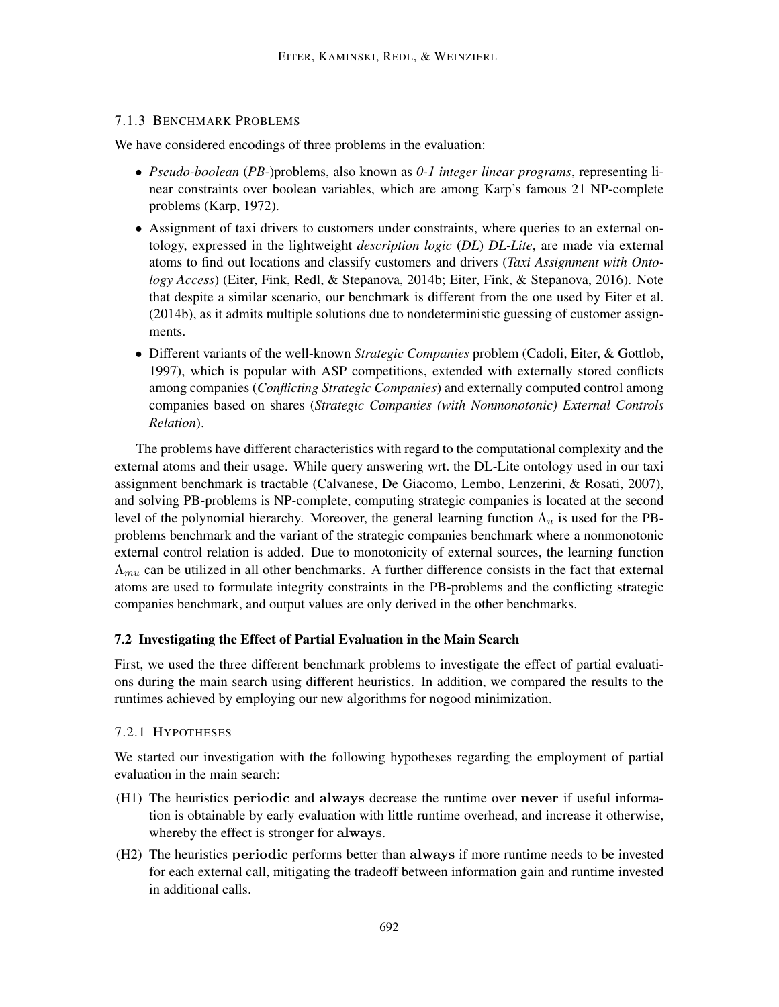## 7.1.3 BENCHMARK PROBLEMS

We have considered encodings of three problems in the evaluation:

- *Pseudo-boolean* (*PB-*)problems, also known as *0-1 integer linear programs*, representing linear constraints over boolean variables, which are among Karp's famous 21 NP-complete problems (Karp, 1972).
- Assignment of taxi drivers to customers under constraints, where queries to an external ontology, expressed in the lightweight *description logic* (*DL*) *DL-Lite*, are made via external atoms to find out locations and classify customers and drivers (*Taxi Assignment with Ontology Access*) (Eiter, Fink, Redl, & Stepanova, 2014b; Eiter, Fink, & Stepanova, 2016). Note that despite a similar scenario, our benchmark is different from the one used by Eiter et al. (2014b), as it admits multiple solutions due to nondeterministic guessing of customer assignments.
- Different variants of the well-known *Strategic Companies* problem (Cadoli, Eiter, & Gottlob, 1997), which is popular with ASP competitions, extended with externally stored conflicts among companies (*Conflicting Strategic Companies*) and externally computed control among companies based on shares (*Strategic Companies (with Nonmonotonic) External Controls Relation*).

The problems have different characteristics with regard to the computational complexity and the external atoms and their usage. While query answering wrt. the DL-Lite ontology used in our taxi assignment benchmark is tractable (Calvanese, De Giacomo, Lembo, Lenzerini, & Rosati, 2007), and solving PB-problems is NP-complete, computing strategic companies is located at the second level of the polynomial hierarchy. Moreover, the general learning function  $\Lambda_u$  is used for the PBproblems benchmark and the variant of the strategic companies benchmark where a nonmonotonic external control relation is added. Due to monotonicity of external sources, the learning function  $\Lambda_{mu}$  can be utilized in all other benchmarks. A further difference consists in the fact that external atoms are used to formulate integrity constraints in the PB-problems and the conflicting strategic companies benchmark, and output values are only derived in the other benchmarks.

## 7.2 Investigating the Effect of Partial Evaluation in the Main Search

First, we used the three different benchmark problems to investigate the effect of partial evaluations during the main search using different heuristics. In addition, we compared the results to the runtimes achieved by employing our new algorithms for nogood minimization.

## 7.2.1 HYPOTHESES

We started our investigation with the following hypotheses regarding the employment of partial evaluation in the main search:

- (H1) The heuristics periodic and always decrease the runtime over never if useful information is obtainable by early evaluation with little runtime overhead, and increase it otherwise, whereby the effect is stronger for always.
- (H2) The heuristics periodic performs better than always if more runtime needs to be invested for each external call, mitigating the tradeoff between information gain and runtime invested in additional calls.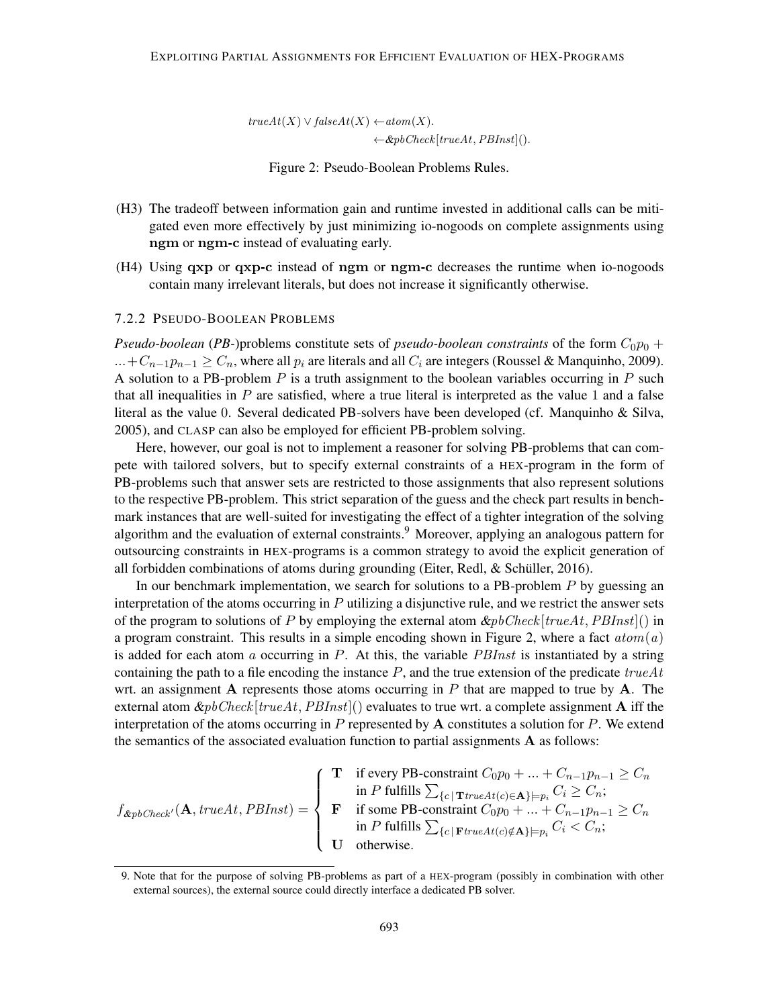$trueAt(X) \vee falseAt(X) \leftarrow atom(X).$  $\leftarrow$  &pbCheck[trueAt, PBInst]().

Figure 2: Pseudo-Boolean Problems Rules.

- (H3) The tradeoff between information gain and runtime invested in additional calls can be mitigated even more effectively by just minimizing io-nogoods on complete assignments using ngm or ngm-c instead of evaluating early.
- (H4) Using qxp or qxp-c instead of ngm or ngm-c decreases the runtime when io-nogoods contain many irrelevant literals, but does not increase it significantly otherwise.

## 7.2.2 PSEUDO-BOOLEAN PROBLEMS

*Pseudo-boolean* (*PB*-)problems constitute sets of *pseudo-boolean constraints* of the form  $C_0p_0$  + ...+ $C_{n-1}p_{n-1} \ge C_n$ , where all  $p_i$  are literals and all  $C_i$  are integers (Roussel & Manquinho, 2009). A solution to a PB-problem  $P$  is a truth assignment to the boolean variables occurring in  $P$  such that all inequalities in  $P$  are satisfied, where a true literal is interpreted as the value 1 and a false literal as the value 0. Several dedicated PB-solvers have been developed (cf. Manquinho & Silva, 2005), and CLASP can also be employed for efficient PB-problem solving.

Here, however, our goal is not to implement a reasoner for solving PB-problems that can compete with tailored solvers, but to specify external constraints of a HEX-program in the form of PB-problems such that answer sets are restricted to those assignments that also represent solutions to the respective PB-problem. This strict separation of the guess and the check part results in benchmark instances that are well-suited for investigating the effect of a tighter integration of the solving algorithm and the evaluation of external constraints.<sup>9</sup> Moreover, applying an analogous pattern for outsourcing constraints in HEX-programs is a common strategy to avoid the explicit generation of all forbidden combinations of atoms during grounding (Eiter, Redl,  $\&$  Schüller, 2016).

In our benchmark implementation, we search for solutions to a PB-problem  $P$  by guessing an interpretation of the atoms occurring in  $P$  utilizing a disjunctive rule, and we restrict the answer sets of the program to solutions of P by employing the external atom  $\&pbCheck[trueAt, PBInst]()$  in a program constraint. This results in a simple encoding shown in Figure 2, where a fact  $atom(a)$ is added for each atom a occurring in  $P$ . At this, the variable *PBInst* is instantiated by a string containing the path to a file encoding the instance  $P$ , and the true extension of the predicate trueAt wrt. an assignment A represents those atoms occurring in  $P$  that are mapped to true by  $A$ . The external atom  $\&pbCheck[trueAt,PBInst])$  evaluates to true wrt. a complete assignment **A** iff the interpretation of the atoms occurring in  $P$  represented by  $A$  constitutes a solution for  $P$ . We extend the semantics of the associated evaluation function to partial assignments  $A$  as follows:

$$
f_{\&pbCheck'}(\mathbf{A},\text{trueAt},PBInst) = \left\{\begin{array}{ll}\mathbf{T} & \text{if every PB-constraint } C_0p_0 + \ldots + C_{n-1}p_{n-1} \geq C_n\\ & \text{in } P \text{ fulfills } \sum_{\{c \mid \mathbf{T} \text{trueAt}(c) \in \mathbf{A}\} \models p_i} C_i \geq C_n;\\ \mathbf{F} & \text{if some PB-constraint } C_0p_0 + \ldots + C_{n-1}p_{n-1} \geq C_n\\ & \text{in } P \text{ fulfills } \sum_{\{c \mid \mathbf{F} \text{trueAt}(c) \notin \mathbf{A}\} \models p_i} C_i < C_n;\\ & \text{otherwise.}\end{array}\right.
$$

<sup>9.</sup> Note that for the purpose of solving PB-problems as part of a HEX-program (possibly in combination with other external sources), the external source could directly interface a dedicated PB solver.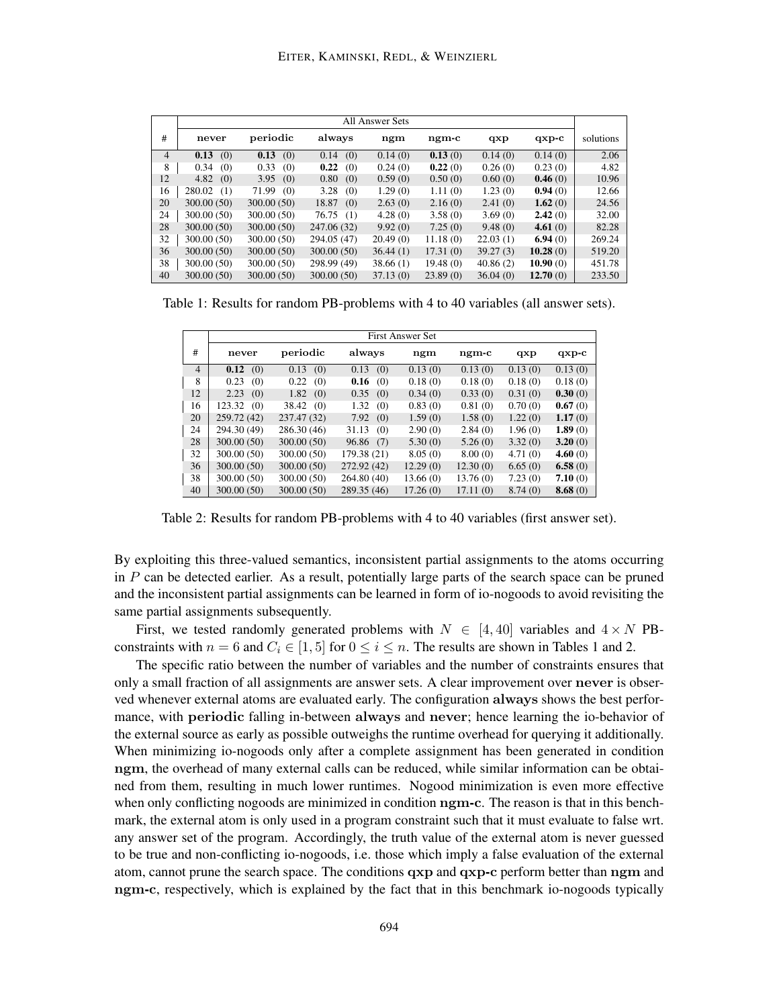|                |               |              |              | <b>All Answer Sets</b> |          |          |          |           |
|----------------|---------------|--------------|--------------|------------------------|----------|----------|----------|-----------|
| #              | never         | periodic     | always       | ngm                    | ngm-c    | qxp      | $qxp-c$  | solutions |
| $\overline{4}$ | 0.13<br>(0)   | 0.13<br>(0)  | 0.14<br>(0)  | 0.14(0)                | 0.13(0)  | 0.14(0)  | 0.14(0)  | 2.06      |
| 8              | 0.34<br>(0)   | 0.33<br>(0)  | 0.22<br>(0)  | 0.24(0)                | 0.22(0)  | 0.26(0)  | 0.23(0)  | 4.82      |
| 12             | 4.82<br>(0)   | 3.95<br>(0)  | 0.80<br>(0)  | 0.59(0)                | 0.50(0)  | 0.60(0)  | 0.46(0)  | 10.96     |
| 16             | 280.02<br>(1) | 71.99<br>(0) | 3.28<br>(0)  | 1.29(0)                | 1.11(0)  | 1.23(0)  | 0.94(0)  | 12.66     |
| 20             | 300.00 (50)   | 300.00(50)   | 18.87<br>(0) | 2.63(0)                | 2.16(0)  | 2.41(0)  | 1.62(0)  | 24.56     |
| 24             | 300.00 (50)   | 300.00 (50)  | 76.75(1)     | 4.28(0)                | 3.58(0)  | 3.69(0)  | 2.42(0)  | 32.00     |
| 28             | 300.00(50)    | 300.00(50)   | 247.06 (32)  | 9.92(0)                | 7.25(0)  | 9.48(0)  | 4.61(0)  | 82.28     |
| 32             | 300.00 (50)   | 300.00 (50)  | 294.05 (47)  | 20.49(0)               | 11.18(0) | 22.03(1) | 6.94(0)  | 269.24    |
| 36             | 300.00 (50)   | 300.00(50)   | 300.00(50)   | 36.44(1)               | 17.31(0) | 39.27(3) | 10.28(0) | 519.20    |
| 38             | 300.00 (50)   | 300.00 (50)  | 298.99 (49)  | 38.66(1)               | 19.48(0) | 40.86(2) | 10.90(0) | 451.78    |
| 40             | 300.00(50)    | 300.00(50)   | 300.00(50)   | 37.13(0)               | 23.89(0) | 36.04(0) | 12.70(0) | 233.50    |

Table 1: Results for random PB-problems with 4 to 40 variables (all answer sets).

|                |               | First Answer Set |              |          |               |         |         |  |  |  |  |
|----------------|---------------|------------------|--------------|----------|---------------|---------|---------|--|--|--|--|
| #              | never         | periodic         | always       | ngm      | $\n  ngm-c\n$ | qxp     | $qxp-c$ |  |  |  |  |
| $\overline{4}$ | 0.12<br>(0)   | 0.13<br>(0)      | (0)<br>0.13  | 0.13(0)  | 0.13(0)       | 0.13(0) | 0.13(0) |  |  |  |  |
| 8              | 0.23<br>(0)   | 0.22<br>(0)      | $0.16$ (0)   | 0.18(0)  | 0.18(0)       | 0.18(0) | 0.18(0) |  |  |  |  |
| 12             | 2.23<br>(0)   | 1.82<br>(0)      | (0)<br>0.35  | 0.34(0)  | 0.33(0)       | 0.31(0) | 0.30(0) |  |  |  |  |
| 16             | 123.32<br>(0) | 38.42<br>(0)     | 1.32<br>(0)  | 0.83(0)  | 0.81(0)       | 0.70(0) | 0.67(0) |  |  |  |  |
| 20             | 259.72 (42)   | 237.47 (32)      | 7.92(0)      | 1.59(0)  | 1.58(0)       | 1.22(0) | 1.17(0) |  |  |  |  |
| 24             | 294.30 (49)   | 286.30 (46)      | 31.13<br>(0) | 2.90(0)  | 2.84(0)       | 1.96(0) | 1.89(0) |  |  |  |  |
| 28             | 300.00(50)    | 300.00(50)       | 96.86 (7)    | 5.30(0)  | 5.26(0)       | 3.32(0) | 3.20(0) |  |  |  |  |
| 32             | 300.00 (50)   | 300.00 (50)      | 179.38 (21)  | 8.05(0)  | 8.00(0)       | 4.71(0) | 4.60(0) |  |  |  |  |
| 36             | 300.00(50)    | 300.00(50)       | 272.92 (42)  | 12.29(0) | 12.30(0)      | 6.65(0) | 6.58(0) |  |  |  |  |
| 38             | 300.00 (50)   | 300.00 (50)      | 264.80 (40)  | 13.66(0) | 13.76(0)      | 7.23(0) | 7.10(0) |  |  |  |  |
| 40             | 300.00(50)    | 300.00(50)       | 289.35 (46)  | 17.26(0) | 17.11(0)      | 8.74(0) | 8.68(0) |  |  |  |  |

Table 2: Results for random PB-problems with 4 to 40 variables (first answer set).

By exploiting this three-valued semantics, inconsistent partial assignments to the atoms occurring in  $P$  can be detected earlier. As a result, potentially large parts of the search space can be pruned and the inconsistent partial assignments can be learned in form of io-nogoods to avoid revisiting the same partial assignments subsequently.

First, we tested randomly generated problems with  $N \in [4, 40]$  variables and  $4 \times N$  PBconstraints with  $n = 6$  and  $C_i \in [1, 5]$  for  $0 \le i \le n$ . The results are shown in Tables 1 and 2.

The specific ratio between the number of variables and the number of constraints ensures that only a small fraction of all assignments are answer sets. A clear improvement over never is observed whenever external atoms are evaluated early. The configuration always shows the best performance, with periodic falling in-between always and never; hence learning the io-behavior of the external source as early as possible outweighs the runtime overhead for querying it additionally. When minimizing io-nogoods only after a complete assignment has been generated in condition ngm, the overhead of many external calls can be reduced, while similar information can be obtained from them, resulting in much lower runtimes. Nogood minimization is even more effective when only conflicting nogoods are minimized in condition ngm-c. The reason is that in this benchmark, the external atom is only used in a program constraint such that it must evaluate to false wrt. any answer set of the program. Accordingly, the truth value of the external atom is never guessed to be true and non-conflicting io-nogoods, i.e. those which imply a false evaluation of the external atom, cannot prune the search space. The conditions qxp and qxp-c perform better than ngm and ngm-c, respectively, which is explained by the fact that in this benchmark io-nogoods typically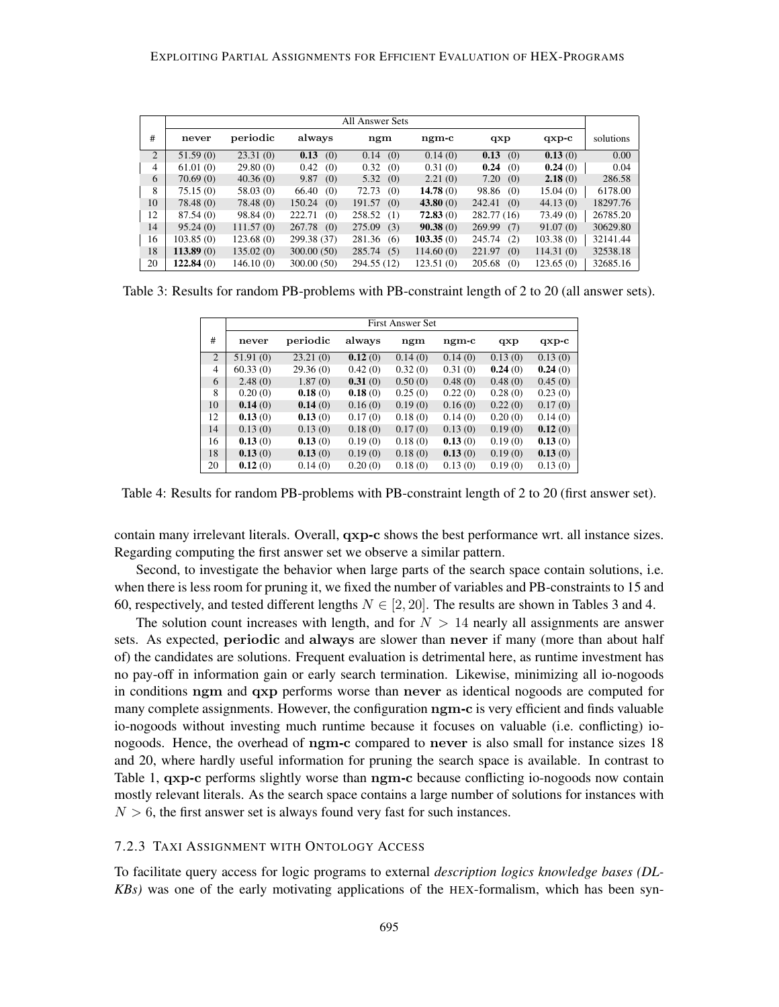|    |           |           |               | All Answer Sets |               |               |           |           |
|----|-----------|-----------|---------------|-----------------|---------------|---------------|-----------|-----------|
| #  | never     | periodic  | always        | ngm             | $\n  ngm-c\n$ | qxp           | $qxp-c$   | solutions |
| 2  | 51.59(0)  | 23.31(0)  | 0.13(0)       | 0.14<br>(0)     | 0.14(0)       | 0.13<br>(0)   | 0.13(0)   | 0.00      |
| 4  | 61.01(0)  | 29.80(0)  | 0.42<br>(0)   | 0.32<br>(0)     | 0.31(0)       | 0.24<br>(0)   | 0.24(0)   | 0.04      |
| 6  | 70.69(0)  | 40.36(0)  | 9.87<br>(0)   | 5.32(0)         | 2.21(0)       | 7.20(0)       | 2.18(0)   | 286.58    |
| 8  | 75.15(0)  | 58.03(0)  | 66.40<br>(0)  | 72.73<br>(0)    | 14.78(0)      | 98.86 (0)     | 15.04(0)  | 6178.00   |
| 10 | 78.48(0)  | 78.48(0)  | 150.24<br>(0) | 191.57<br>(0)   | 43.80(0)      | 242.41<br>(0) | 44.13(0)  | 18297.76  |
| 12 | 87.54(0)  | 98.84(0)  | 222.71<br>(0) | 258.52<br>(1)   | 72.83(0)      | 282.77 (16)   | 73.49(0)  | 26785.20  |
| 14 | 95.24(0)  | 111.57(0) | 267.78(0)     | 275.09<br>(3)   | 90.38(0)      | 269.99<br>(7) | 91.07(0)  | 30629.80  |
| 16 | 103.85(0) | 123.68(0) | 299.38 (37)   | 281.36<br>(6)   | 103.35(0)     | 245.74<br>(2) | 103.38(0) | 32141.44  |
| 18 | 113.89(0) | 135.02(0) | 300.00(50)    | 285.74(5)       | 114.60(0)     | 221.97<br>(0) | 114.31(0) | 32538.18  |
| 20 | 122.84(0) | 146.10(0) | 300.00 (50)   | 294.55 (12)     | 123.51(0)     | 205.68<br>(0) | 123.65(0) | 32685.16  |

Table 3: Results for random PB-problems with PB-constraint length of 2 to 20 (all answer sets).

|                | <b>First Answer Set</b> |          |         |         |         |         |         |  |  |  |
|----------------|-------------------------|----------|---------|---------|---------|---------|---------|--|--|--|
| #              | never                   | periodic | always  | ngm     | ngm-c   | qxp     | $qxp-c$ |  |  |  |
| 2              | 51.91(0)                | 23.21(0) | 0.12(0) | 0.14(0) | 0.14(0) | 0.13(0) | 0.13(0) |  |  |  |
| $\overline{4}$ | 60.33(0)                | 29.36(0) | 0.42(0) | 0.32(0) | 0.31(0) | 0.24(0) | 0.24(0) |  |  |  |
| 6              | 2.48(0)                 | 1.87(0)  | 0.31(0) | 0.50(0) | 0.48(0) | 0.48(0) | 0.45(0) |  |  |  |
| 8              | 0.20(0)                 | 0.18(0)  | 0.18(0) | 0.25(0) | 0.22(0) | 0.28(0) | 0.23(0) |  |  |  |
| 10             | 0.14(0)                 | 0.14(0)  | 0.16(0) | 0.19(0) | 0.16(0) | 0.22(0) | 0.17(0) |  |  |  |
| 12             | 0.13(0)                 | 0.13(0)  | 0.17(0) | 0.18(0) | 0.14(0) | 0.20(0) | 0.14(0) |  |  |  |
| 14             | 0.13(0)                 | 0.13(0)  | 0.18(0) | 0.17(0) | 0.13(0) | 0.19(0) | 0.12(0) |  |  |  |
| 16             | 0.13(0)                 | 0.13(0)  | 0.19(0) | 0.18(0) | 0.13(0) | 0.19(0) | 0.13(0) |  |  |  |
| 18             | 0.13(0)                 | 0.13(0)  | 0.19(0) | 0.18(0) | 0.13(0) | 0.19(0) | 0.13(0) |  |  |  |
| 20             | 0.12(0)                 | 0.14(0)  | 0.20(0) | 0.18(0) | 0.13(0) | 0.19(0) | 0.13(0) |  |  |  |

Table 4: Results for random PB-problems with PB-constraint length of 2 to 20 (first answer set).

contain many irrelevant literals. Overall, qxp-c shows the best performance wrt. all instance sizes. Regarding computing the first answer set we observe a similar pattern.

Second, to investigate the behavior when large parts of the search space contain solutions, i.e. when there is less room for pruning it, we fixed the number of variables and PB-constraints to 15 and 60, respectively, and tested different lengths  $N \in [2, 20]$ . The results are shown in Tables 3 and 4.

The solution count increases with length, and for  $N > 14$  nearly all assignments are answer sets. As expected, periodic and always are slower than never if many (more than about half of) the candidates are solutions. Frequent evaluation is detrimental here, as runtime investment has no pay-off in information gain or early search termination. Likewise, minimizing all io-nogoods in conditions ngm and qxp performs worse than never as identical nogoods are computed for many complete assignments. However, the configuration ngm-c is very efficient and finds valuable io-nogoods without investing much runtime because it focuses on valuable (i.e. conflicting) ionogoods. Hence, the overhead of ngm-c compared to never is also small for instance sizes 18 and 20, where hardly useful information for pruning the search space is available. In contrast to Table 1, **qxp-c** performs slightly worse than **ngm-c** because conflicting io-nogoods now contain mostly relevant literals. As the search space contains a large number of solutions for instances with  $N > 6$ , the first answer set is always found very fast for such instances.

## 7.2.3 TAXI ASSIGNMENT WITH ONTOLOGY ACCESS

To facilitate query access for logic programs to external *description logics knowledge bases (DL-KBs)* was one of the early motivating applications of the HEX-formalism, which has been syn-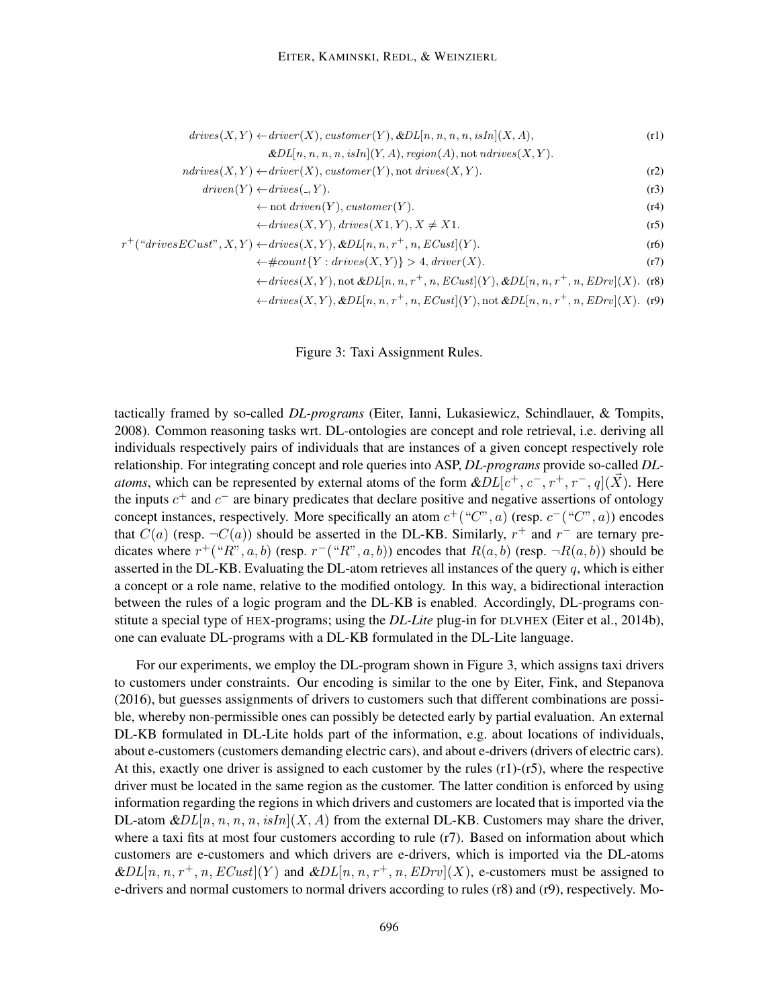$$
drives(X, Y) \leftarrow driver(X), customer(Y), & DL[n, n, n, n, isIn](X, A), \qquad (r1)
$$
\n
$$
& DL[n, n, n, n, isIn](Y, A), region(A), not \,ndrives(X, Y).
$$
\n
$$
ndrives(X, Y) \leftarrow driver(X), customer(Y), not \,drives(X, Y).
$$
\n
$$
driven(Y) \leftarrow drive(s', Y).
$$
\n
$$
\leftarrow not \,drives(X, Y), divisor(Y).
$$
\n
$$
\leftarrow drive(s(X, Y), drives(X1, Y), X \neq X1.
$$
\n
$$
r^+(``drivesECust", X, Y) \leftarrow drives(X, Y), & DL[n, n, r^+, n, ECust](Y).
$$
\n
$$
\leftarrow #count\{Y : drives(X, Y)\} > 4, driver(X).
$$
\n
$$
(r7)
$$

$$
\leftarrow drives(X,Y), not \& DL[n, n, r^+, n, ECust](Y), \& DL[n, n, r^+, n, EDrv](X). \tag{r8}
$$

$$
\leftarrow drives(X,Y), \& DL[n, n, r^+, n, ECust](Y), not \& DL[n, n, r^+, n, EDrv](X). (r9)
$$

Figure 3: Taxi Assignment Rules.

tactically framed by so-called *DL-programs* (Eiter, Ianni, Lukasiewicz, Schindlauer, & Tompits, 2008). Common reasoning tasks wrt. DL-ontologies are concept and role retrieval, i.e. deriving all individuals respectively pairs of individuals that are instances of a given concept respectively role relationship. For integrating concept and role queries into ASP, *DL-programs* provide so-called *DLatoms*, which can be represented by external atoms of the form  $\&DL[c^+, c^-, r^+, r^-, q](\vec{X})$ . Here the inputs  $c^{+}$  and  $c^{-}$  are binary predicates that declare positive and negative assertions of ontology concept instances, respectively. More specifically an atom  $c^+(\degree C^{\degree}, a)$  (resp.  $c^-(\degree C^{\degree}, a)$ ) encodes that  $C(a)$  (resp.  $\neg C(a)$ ) should be asserted in the DL-KB. Similarly,  $r^+$  and  $r^-$  are ternary predicates where  $r^+$  ("R", a, b) (resp.  $r^-$  ("R", a, b)) encodes that  $R(a, b)$  (resp.  $\neg R(a, b)$ ) should be asserted in the DL-KB. Evaluating the DL-atom retrieves all instances of the query  $q$ , which is either a concept or a role name, relative to the modified ontology. In this way, a bidirectional interaction between the rules of a logic program and the DL-KB is enabled. Accordingly, DL-programs constitute a special type of HEX-programs; using the *DL-Lite* plug-in for DLVHEX (Eiter et al., 2014b), one can evaluate DL-programs with a DL-KB formulated in the DL-Lite language.

For our experiments, we employ the DL-program shown in Figure 3, which assigns taxi drivers to customers under constraints. Our encoding is similar to the one by Eiter, Fink, and Stepanova (2016), but guesses assignments of drivers to customers such that different combinations are possible, whereby non-permissible ones can possibly be detected early by partial evaluation. An external DL-KB formulated in DL-Lite holds part of the information, e.g. about locations of individuals, about e-customers (customers demanding electric cars), and about e-drivers (drivers of electric cars). At this, exactly one driver is assigned to each customer by the rules (r1)-(r5), where the respective driver must be located in the same region as the customer. The latter condition is enforced by using information regarding the regions in which drivers and customers are located that is imported via the DL-atom  $\&DL[n, n, n, n, i\sin[(X, A)]$  from the external DL-KB. Customers may share the driver, where a taxi fits at most four customers according to rule (r7). Based on information about which customers are e-customers and which drivers are e-drivers, which is imported via the DL-atoms  $\&DL[n, n, r^+, n, ECust](Y)$  and  $\&DL[n, n, r^+, n, EDrv](X)$ , e-customers must be assigned to e-drivers and normal customers to normal drivers according to rules (r8) and (r9), respectively. Mo-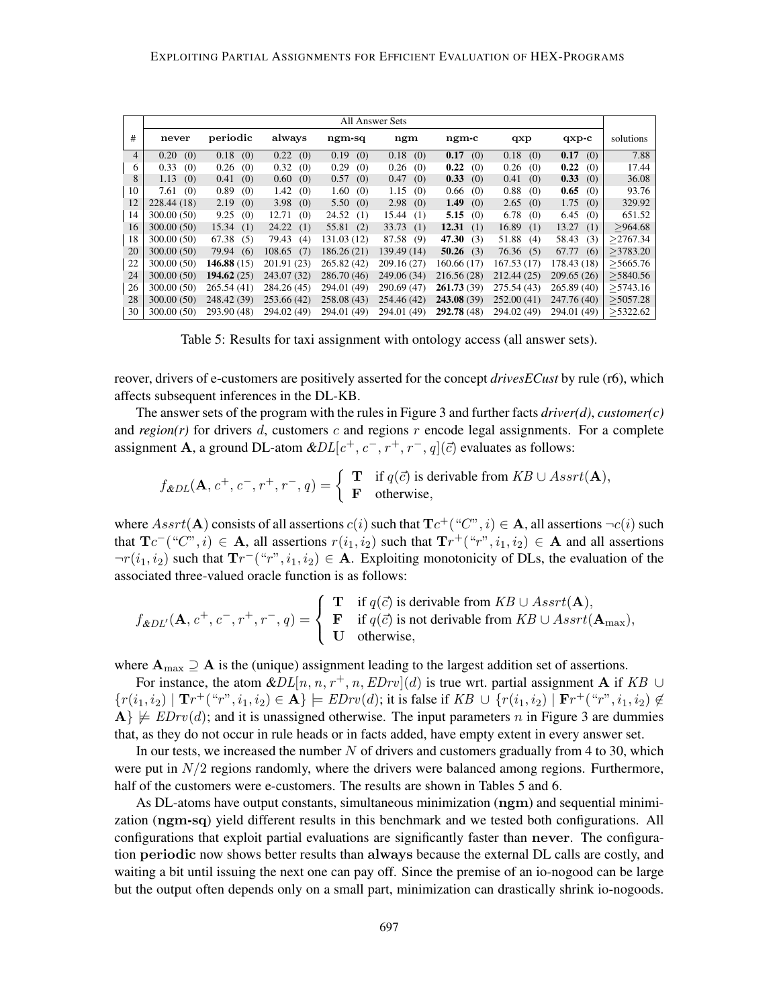|    |             |              |               |              | All Answer Sets |              |              |              |           |
|----|-------------|--------------|---------------|--------------|-----------------|--------------|--------------|--------------|-----------|
| #  | never       | periodic     | always        | ngm-sq       | ngm             | ngm-c        | qxp          | $qxp-c$      | solutions |
| 4  | (0)<br>0.20 | 0.18<br>(0)  | 0.22<br>(0)   | 0.19<br>(0)  | 0.18<br>(0)     | 0.17<br>(0)  | 0.18<br>(0)  | 0.17<br>(0)  | 7.88      |
| 6  | 0.33<br>(0) | 0.26<br>(0)  | 0.32<br>(0)   | 0.29<br>(0)  | 0.26<br>(0)     | 0.22<br>(0)  | 0.26<br>(0)  | 0.22<br>(0)  | 17.44     |
| 8  | 1.13<br>(0) | 0.41<br>(0)  | 0.60<br>(0)   | 0.57<br>(0)  | 0.47<br>(0)     | 0.33<br>(0)  | 0.41<br>(0)  | 0.33<br>(0)  | 36.08     |
| 10 | 7.61<br>(0) | 0.89<br>(0)  | 1.42<br>(0)   | 1.60<br>(0)  | 1.15<br>(0)     | 0.66<br>(0)  | 0.88<br>(0)  | 0.65<br>(0)  | 93.76     |
| 12 | 228.44 (18) | 2.19<br>(0)  | 3.98<br>(0)   | 5.50<br>(0)  | 2.98<br>(0)     | 1.49<br>(0)  | 2.65<br>(0)  | 1.75<br>(0)  | 329.92    |
| 14 | 300.00(50)  | 9.25<br>(0)  | 12.71<br>(0)  | 24.52<br>(1) | 15.44<br>(1)    | 5.15<br>(0)  | 6.78<br>(0)  | 6.45<br>(0)  | 651.52    |
| 16 | 300.00(50)  | 15.34<br>(1) | 24.22<br>(1)  | 55.81<br>(2) | 33.73<br>(1)    | 12.31<br>(1) | 16.89<br>(1) | 13.27<br>(1) | >964.68   |
| 18 | 300.00(50)  | 67.38<br>(5) | 79.43<br>(4)  | 131.03 (12)  | 87.58<br>(9)    | 47.30<br>(3) | 51.88<br>(4) | 58.43<br>(3) | >2767.34  |
| 20 | 300.00(50)  | 79.94<br>(6) | 108.65<br>(7) | 186.26 (21)  | 139.49 (14)     | 50.26<br>(3) | 76.36<br>(5) | 67.77<br>(6) | >3783.20  |
| 22 | 300.00 (50) | 146.88(15)   | 201.91 (23)   | 265.82 (42)  | 209.16 (27)     | 160.66 (17)  | 167.53(17)   | 178.43 (18)  | >5665.76  |
| 24 | 300.00 (50) | 194.62(25)   | 243.07 (32)   | 286.70 (46)  | 249.06 (34)     | 216.56 (28)  | 212.44 (25)  | 209.65(26)   | >5840.56  |
| 26 | 300.00 (50) | 265.54 (41)  | 284.26 (45)   | 294.01 (49)  | 290.69 (47)     | 261.73(39)   | 275.54 (43)  | 265.89 (40)  | >5743.16  |
| 28 | 300.00(50)  | 248.42 (39)  | 253.66 (42)   | 258.08 (43)  | 254.46 (42)     | 243.08 (39)  | 252.00(41)   | 247.76 (40)  | >5057.28  |
| 30 | 300.00 (50) | 293.90 (48)  | 294.02 (49)   | 294.01 (49)  | 294.01 (49)     | 292.78 (48)  | 294.02 (49)  | 294.01 (49)  | >5322.62  |

Table 5: Results for taxi assignment with ontology access (all answer sets).

reover, drivers of e-customers are positively asserted for the concept *drivesECust* by rule (r6), which affects subsequent inferences in the DL-KB.

The answer sets of the program with the rules in Figure 3 and further facts *driver(d)*, *customer(c)* and  $region(r)$  for drivers d, customers c and regions r encode legal assignments. For a complete assignment **A**, a ground DL-atom  $\&DL[c^+, c^-, r^+, r^-, q](\vec{c})$  evaluates as follows:

$$
f_{\&DL}(\mathbf{A}, c^+, c^-, r^+, r^-, q) = \begin{cases} \mathbf{T} & \text{if } q(\vec{c}) \text{ is derivable from } KB \cup Assrt(\mathbf{A}), \\ \mathbf{F} & \text{otherwise,} \end{cases}
$$

where  $Asrt(\mathbf{A})$  consists of all assertions  $c(i)$  such that  $\mathbf{T}c^+(\degree C",i) \in \mathbf{A}$ , all assertions  $\neg c(i)$  such that  $T_c^-(``C", i) \in A$ , all assertions  $r(i_1, i_2)$  such that  $T_r^+(``r", i_1, i_2) \in A$  and all assertions  $\neg r(i_1, i_2)$  such that  $\mathrm{Tr}^{-\left(\mathrm{Tr}v_1, i_1, i_2\right)} \in \mathbf{A}$ . Exploiting monotonicity of DLs, the evaluation of the associated three-valued oracle function is as follows:

$$
f_{\&DL'}(\mathbf{A}, c^+, c^-, r^+, r^-, q) = \begin{cases} \mathbf{T} & \text{if } q(\vec{c}) \text{ is derivable from } KB \cup Assrt(\mathbf{A}), \\ \mathbf{F} & \text{if } q(\vec{c}) \text{ is not derivable from } KB \cup Assrt(\mathbf{A}_{\text{max}}), \\ \mathbf{U} & \text{otherwise,} \end{cases}
$$

where  $A_{\text{max}} \supseteq A$  is the (unique) assignment leading to the largest addition set of assertions.

For instance, the atom  $\&DL[n, n, r^+, n, EDrv](d)$  is true wrt. partial assignment **A** if KB ∪  ${r(i_1, i_2) | \mathbf{T}r^+(i_1, i_2) \in \mathbf{A}} \models \text{EDrv}(d)$ ; it is false if  $KB \cup {r(i_1, i_2) | \mathbf{F}r^+(i_1, i_2) \notin \mathbf{A}}$  $\mathbf{A}\}\not\models \text{EDrv}(d)$ ; and it is unassigned otherwise. The input parameters n in Figure 3 are dummies that, as they do not occur in rule heads or in facts added, have empty extent in every answer set.

In our tests, we increased the number  $N$  of drivers and customers gradually from 4 to 30, which were put in  $N/2$  regions randomly, where the drivers were balanced among regions. Furthermore, half of the customers were e-customers. The results are shown in Tables 5 and 6.

As DL-atoms have output constants, simultaneous minimization (ngm) and sequential minimization (ngm-sq) yield different results in this benchmark and we tested both configurations. All configurations that exploit partial evaluations are significantly faster than never. The configuration periodic now shows better results than always because the external DL calls are costly, and waiting a bit until issuing the next one can pay off. Since the premise of an io-nogood can be large but the output often depends only on a small part, minimization can drastically shrink io-nogoods.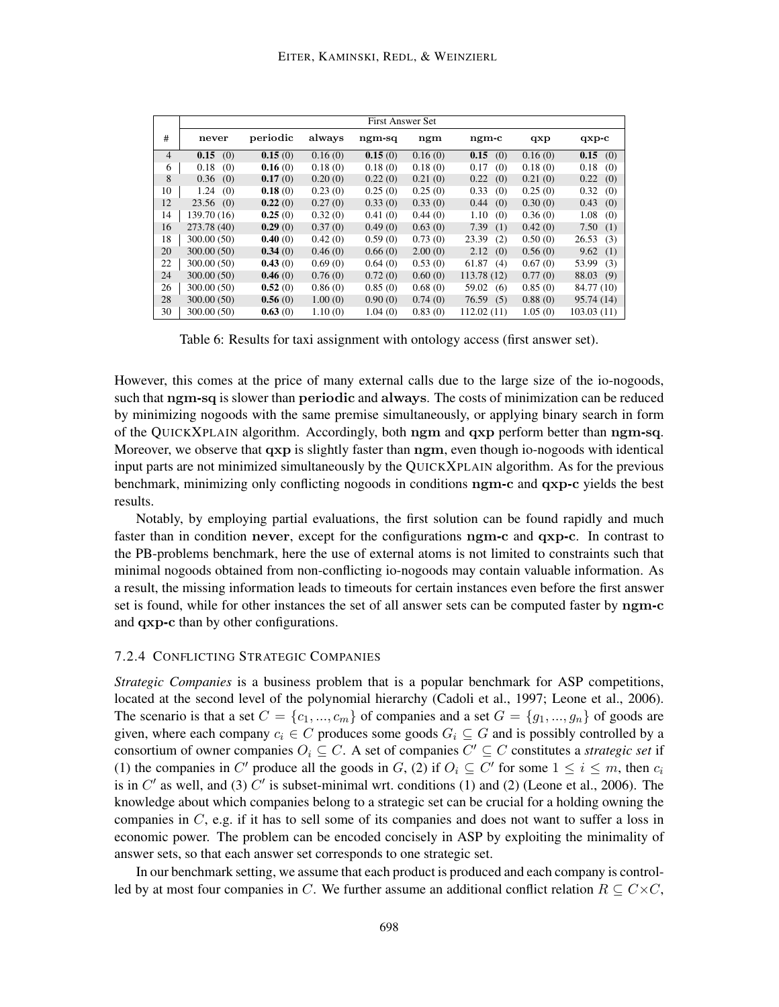|                |              |          |         | <b>First Answer Set</b> |         |              |         |              |
|----------------|--------------|----------|---------|-------------------------|---------|--------------|---------|--------------|
| #              | never        | periodic | always  | ngm-sq                  | ngm     | ngm-c        | qxp     | $qxp-c$      |
| $\overline{4}$ | 0.15<br>(0)  | 0.15(0)  | 0.16(0) | 0.15(0)                 | 0.16(0) | 0.15<br>(0)  | 0.16(0) | 0.15<br>(0)  |
| 6              | 0.18<br>(0)  | 0.16(0)  | 0.18(0) | 0.18(0)                 | 0.18(0) | 0.17<br>(0)  | 0.18(0) | 0.18<br>(0)  |
| 8              | 0.36<br>(0)  | 0.17(0)  | 0.20(0) | 0.22(0)                 | 0.21(0) | 0.22<br>(0)  | 0.21(0) | 0.22<br>(0)  |
| 10             | 1.24<br>(0)  | 0.18(0)  | 0.23(0) | 0.25(0)                 | 0.25(0) | 0.33<br>(0)  | 0.25(0) | 0.32<br>(0)  |
| 12             | 23.56<br>(0) | 0.22(0)  | 0.27(0) | 0.33(0)                 | 0.33(0) | 0.44<br>(0)  | 0.30(0) | (0)<br>0.43  |
| 14             | 139.70 (16)  | 0.25(0)  | 0.32(0) | 0.41(0)                 | 0.44(0) | 1.10<br>(0)  | 0.36(0) | 1.08<br>(0)  |
| 16             | 273.78 (40)  | 0.29(0)  | 0.37(0) | 0.49(0)                 | 0.63(0) | 7.39<br>(1)  | 0.42(0) | 7.50<br>(1)  |
| 18             | 300.00 (50)  | 0.40(0)  | 0.42(0) | 0.59(0)                 | 0.73(0) | 23.39<br>(2) | 0.50(0) | 26.53<br>(3) |
| 20             | 300.00(50)   | 0.34(0)  | 0.46(0) | 0.66(0)                 | 2.00(0) | 2.12<br>(0)  | 0.56(0) | 9.62<br>(1)  |
| 22             | 300.00 (50)  | 0.43(0)  | 0.69(0) | 0.64(0)                 | 0.53(0) | 61.87<br>(4) | 0.67(0) | 53.99<br>(3) |
| 24             | 300.00(50)   | 0.46(0)  | 0.76(0) | 0.72(0)                 | 0.60(0) | 113.78 (12)  | 0.77(0) | 88.03<br>(9) |
| 26             | 300.00 (50)  | 0.52(0)  | 0.86(0) | 0.85(0)                 | 0.68(0) | 59.02<br>(6) | 0.85(0) | 84.77 (10)   |
| 28             | 300.00(50)   | 0.56(0)  | 1.00(0) | 0.90(0)                 | 0.74(0) | 76.59<br>(5) | 0.88(0) | 95.74(14)    |
| 30             | 300.00(50)   | 0.63(0)  | 1.10(0) | 1.04(0)                 | 0.83(0) | 112.02(11)   | 1.05(0) | 103.03(11)   |

Table 6: Results for taxi assignment with ontology access (first answer set).

However, this comes at the price of many external calls due to the large size of the io-nogoods, such that ngm-sq is slower than periodic and always. The costs of minimization can be reduced by minimizing nogoods with the same premise simultaneously, or applying binary search in form of the QUICKXPLAIN algorithm. Accordingly, both ngm and qxp perform better than ngm-sq. Moreover, we observe that  $qxp$  is slightly faster than  $ngm$ , even though io-nogoods with identical input parts are not minimized simultaneously by the QUICKXPLAIN algorithm. As for the previous benchmark, minimizing only conflicting nogoods in conditions ngm-c and qxp-c yields the best results.

Notably, by employing partial evaluations, the first solution can be found rapidly and much faster than in condition never, except for the configurations ngm-c and qxp-c. In contrast to the PB-problems benchmark, here the use of external atoms is not limited to constraints such that minimal nogoods obtained from non-conflicting io-nogoods may contain valuable information. As a result, the missing information leads to timeouts for certain instances even before the first answer set is found, while for other instances the set of all answer sets can be computed faster by ngm-c and qxp-c than by other configurations.

## 7.2.4 CONFLICTING STRATEGIC COMPANIES

*Strategic Companies* is a business problem that is a popular benchmark for ASP competitions, located at the second level of the polynomial hierarchy (Cadoli et al., 1997; Leone et al., 2006). The scenario is that a set  $C = \{c_1, ..., c_m\}$  of companies and a set  $G = \{g_1, ..., g_n\}$  of goods are given, where each company  $c_i \in C$  produces some goods  $G_i \subseteq G$  and is possibly controlled by a consortium of owner companies  $O_i \subseteq C$ . A set of companies  $C' \subseteq C$  constitutes a *strategic set* if (1) the companies in C' produce all the goods in G, (2) if  $O_i \subseteq C'$  for some  $1 \le i \le m$ , then  $c_i$ is in  $C'$  as well, and (3)  $C'$  is subset-minimal wrt. conditions (1) and (2) (Leone et al., 2006). The knowledge about which companies belong to a strategic set can be crucial for a holding owning the companies in  $C$ , e.g. if it has to sell some of its companies and does not want to suffer a loss in economic power. The problem can be encoded concisely in ASP by exploiting the minimality of answer sets, so that each answer set corresponds to one strategic set.

In our benchmark setting, we assume that each product is produced and each company is controlled by at most four companies in C. We further assume an additional conflict relation  $R \subseteq C \times C$ ,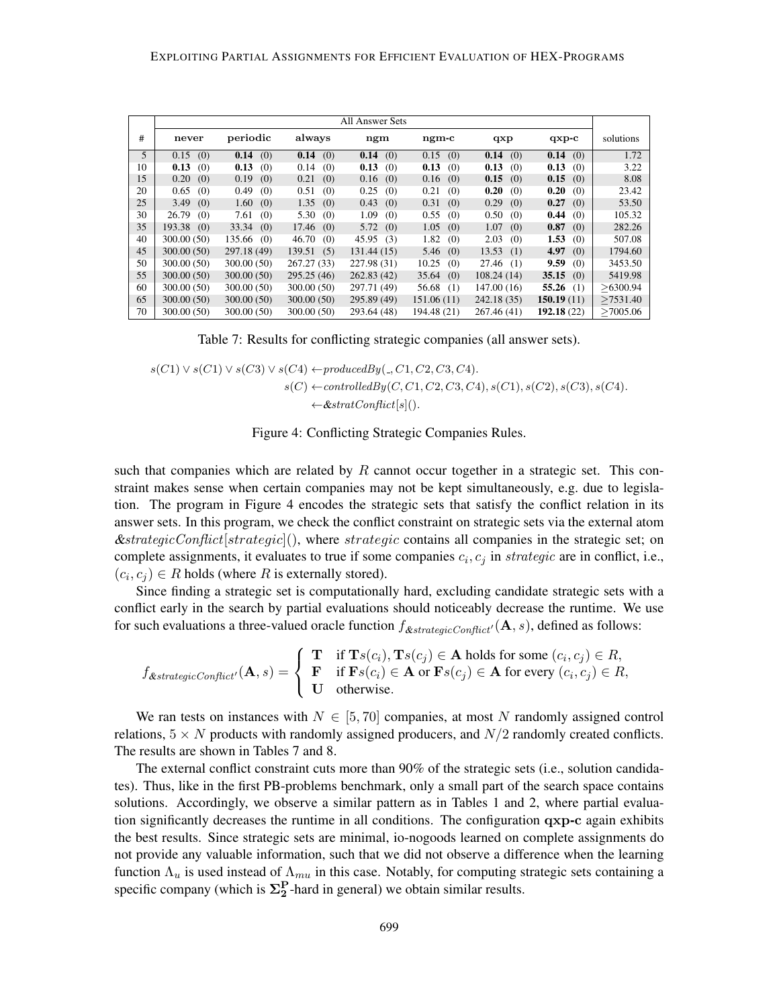|    |              |               |             | All Answer Sets |              |              |              |           |
|----|--------------|---------------|-------------|-----------------|--------------|--------------|--------------|-----------|
| #  | never        | periodic      | always      | ngm             | ngm-c        | qxp          | $qxp-c$      | solutions |
| 5  | 0.15(0)      | 0.14<br>(0)   | 0.14(0)     | 0.14<br>(0)     | 0.15(0)      | 0.14<br>(0)  | 0.14(0)      | 1.72      |
| 10 | 0.13<br>(0)  | 0.13<br>(0)   | 0.14<br>(0) | 0.13<br>(0)     | 0.13<br>(0)  | 0.13<br>(0)  | 0.13<br>(0)  | 3.22      |
| 15 | 0.20<br>(0)  | 0.19<br>(0)   | 0.21<br>(0) | 0.16<br>(0)     | 0.16<br>(0)  | 0.15<br>(0)  | 0.15<br>(0)  | 8.08      |
| 20 | 0.65<br>(0)  | 0.49<br>(0)   | 0.51<br>(0) | 0.25<br>(0)     | 0.21<br>(0)  | 0.20<br>(0)  | 0.20<br>(0)  | 23.42     |
| 25 | 3.49<br>(0)  | 1.60<br>(0)   | 1.35<br>(0) | 0.43<br>(0)     | 0.31<br>(0)  | 0.29<br>(0)  | 0.27<br>(0)  | 53.50     |
| 30 | 26.79<br>(0) | 7.61<br>(0)   | 5.30<br>(0) | 1.09<br>(0)     | 0.55<br>(0)  | 0.50<br>(0)  | 0.44<br>(0)  | 105.32    |
| 35 | 193.38(0)    | 33.34<br>(0)  | 17.46(0)    | 5.72<br>(0)     | 1.05<br>(0)  | 1.07<br>(0)  | 0.87<br>(0)  | 282.26    |
| 40 | 300.00 (50)  | 135.66<br>(0) | 46.70(0)    | 45.95<br>(3)    | 1.82<br>(0)  | 2.03<br>(0)  | 1.53<br>(0)  | 507.08    |
| 45 | 300.00(50)   | 297.18 (49)   | 139.51(5)   | 131.44(15)      | 5.46(0)      | 13.53<br>(1) | 4.97<br>(0)  | 1794.60   |
| 50 | 300.00(50)   | 300.00 (50)   | 267.27(33)  | 227.98 (31)     | 10.25<br>(0) | 27.46<br>(1) | 9.59<br>(0)  | 3453.50   |
| 55 | 300.00(50)   | 300.00(50)    | 295.25(46)  | 262.83(42)      | 35.64<br>(0) | 108.24(14)   | 35.15<br>(0) | 5419.98   |
| 60 | 300.00 (50)  | 300.00 (50)   | 300.00(50)  | 297.71 (49)     | 56.68<br>(1) | 147.00(16)   | 55.26 $(1)$  | >6300.94  |
| 65 | 300.00 (50)  | 300.00(50)    | 300.00(50)  | 295.89 (49)     | 151.06(11)   | 242.18 (35)  | 150.19(11)   | >7531.40  |
| 70 | 300.00 (50)  | 300.00 (50)   | 300.00(50)  | 293.64 (48)     | 194.48 (21)  | 267.46 (41)  | 192.18 (22)  | >7005.06  |

Table 7: Results for conflicting strategic companies (all answer sets).

$$
s(C1) \vee s(C1) \vee s(C3) \vee s(C4) \leftarrow producedBy(., C1, C2, C3, C4).
$$

 $s(C) \leftarrow controlledBy(C, C1, C2, C3, C4), s(C1), s(C2), s(C3), s(C4).$  $\leftarrow$  &stratConflict[s]().

Figure 4: Conflicting Strategic Companies Rules.

such that companies which are related by  $R$  cannot occur together in a strategic set. This constraint makes sense when certain companies may not be kept simultaneously, e.g. due to legislation. The program in Figure 4 encodes the strategic sets that satisfy the conflict relation in its answer sets. In this program, we check the conflict constraint on strategic sets via the external atom  $\&\text{strategic}(\text{Conflict}[\text{strategic}]),$  where  $\text{strategic}$  contains all companies in the strategic set; on complete assignments, it evaluates to true if some companies  $c_i, c_j$  in strategic are in conflict, i.e.,  $(c_i, c_j) \in R$  holds (where R is externally stored).

Since finding a strategic set is computationally hard, excluding candidate strategic sets with a conflict early in the search by partial evaluations should noticeably decrease the runtime. We use for such evaluations a three-valued oracle function  $f_{\&stratonicConflict'}(\mathbf{A}, s)$ , defined as follows:

$$
f_{\&\text{strategicConflict}'}(\mathbf{A},s) = \left\{\begin{array}{ll}\mathbf{T} & \text{if } \mathbf{T}s(c_i), \mathbf{T}s(c_j) \in \mathbf{A} \text{ holds for some } (c_i, c_j) \in R, \\ \mathbf{F} & \text{if } \mathbf{F}s(c_i) \in \mathbf{A} \text{ or } \mathbf{F}s(c_j) \in \mathbf{A} \text{ for every } (c_i, c_j) \in R, \\ \mathbf{U} & \text{otherwise.}\end{array}\right.
$$

We ran tests on instances with  $N \in [5, 70]$  companies, at most N randomly assigned control relations,  $5 \times N$  products with randomly assigned producers, and  $N/2$  randomly created conflicts. The results are shown in Tables 7 and 8.

The external conflict constraint cuts more than 90% of the strategic sets (i.e., solution candidates). Thus, like in the first PB-problems benchmark, only a small part of the search space contains solutions. Accordingly, we observe a similar pattern as in Tables 1 and 2, where partial evaluation significantly decreases the runtime in all conditions. The configuration  $\alpha xp-c$  again exhibits the best results. Since strategic sets are minimal, io-nogoods learned on complete assignments do not provide any valuable information, such that we did not observe a difference when the learning function  $\Lambda_u$  is used instead of  $\Lambda_{mu}$  in this case. Notably, for computing strategic sets containing a specific company (which is  $\Sigma_2^P$ -hard in general) we obtain similar results.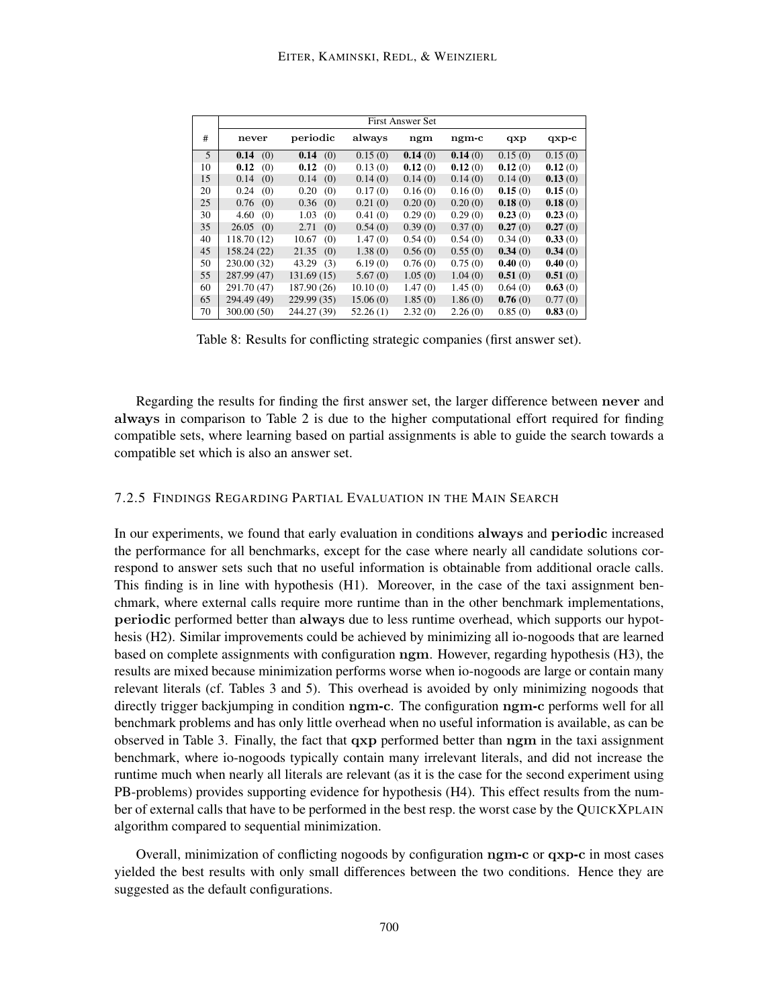|    |              | <b>First Answer Set</b> |          |         |         |         |         |  |  |  |
|----|--------------|-------------------------|----------|---------|---------|---------|---------|--|--|--|
| #  | never        | periodic                | always   | ngm     | ngm-c   | qxp     | $qxp-c$ |  |  |  |
| 5  | 0.14<br>(0)  | 0.14<br>(0)             | 0.15(0)  | 0.14(0) | 0.14(0) | 0.15(0) | 0.15(0) |  |  |  |
| 10 | 0.12<br>(0)  | 0.12<br>(0)             | 0.13(0)  | 0.12(0) | 0.12(0) | 0.12(0) | 0.12(0) |  |  |  |
| 15 | 0.14<br>(0)  | (0)<br>0.14             | 0.14(0)  | 0.14(0) | 0.14(0) | 0.14(0) | 0.13(0) |  |  |  |
| 20 | 0.24<br>(0)  | 0.20<br>(0)             | 0.17(0)  | 0.16(0) | 0.16(0) | 0.15(0) | 0.15(0) |  |  |  |
| 25 | 0.76<br>(0)  | 0.36<br>(0)             | 0.21(0)  | 0.20(0) | 0.20(0) | 0.18(0) | 0.18(0) |  |  |  |
| 30 | 4.60<br>(0)  | 1.03<br>(0)             | 0.41(0)  | 0.29(0) | 0.29(0) | 0.23(0) | 0.23(0) |  |  |  |
| 35 | 26.05<br>(0) | 2.71<br>(0)             | 0.54(0)  | 0.39(0) | 0.37(0) | 0.27(0) | 0.27(0) |  |  |  |
| 40 | 118.70 (12)  | 10.67<br>(0)            | 1.47(0)  | 0.54(0) | 0.54(0) | 0.34(0) | 0.33(0) |  |  |  |
| 45 | 158.24 (22)  | 21.35<br>(0)            | 1.38(0)  | 0.56(0) | 0.55(0) | 0.34(0) | 0.34(0) |  |  |  |
| 50 | 230.00 (32)  | 43.29<br>(3)            | 6.19(0)  | 0.76(0) | 0.75(0) | 0.40(0) | 0.40(0) |  |  |  |
| 55 | 287.99 (47)  | 131.69 (15)             | 5.67(0)  | 1.05(0) | 1.04(0) | 0.51(0) | 0.51(0) |  |  |  |
| 60 | 291.70 (47)  | 187.90 (26)             | 10.10(0) | 1.47(0) | 1.45(0) | 0.64(0) | 0.63(0) |  |  |  |
| 65 | 294.49 (49)  | 229.99(35)              | 15.06(0) | 1.85(0) | 1.86(0) | 0.76(0) | 0.77(0) |  |  |  |
| 70 | 300.00 (50)  | 244.27 (39)             | 52.26(1) | 2.32(0) | 2.26(0) | 0.85(0) | 0.83(0) |  |  |  |

Table 8: Results for conflicting strategic companies (first answer set).

Regarding the results for finding the first answer set, the larger difference between never and always in comparison to Table 2 is due to the higher computational effort required for finding compatible sets, where learning based on partial assignments is able to guide the search towards a compatible set which is also an answer set.

## 7.2.5 FINDINGS REGARDING PARTIAL EVALUATION IN THE MAIN SEARCH

In our experiments, we found that early evaluation in conditions always and periodic increased the performance for all benchmarks, except for the case where nearly all candidate solutions correspond to answer sets such that no useful information is obtainable from additional oracle calls. This finding is in line with hypothesis (H1). Moreover, in the case of the taxi assignment benchmark, where external calls require more runtime than in the other benchmark implementations, periodic performed better than always due to less runtime overhead, which supports our hypothesis (H2). Similar improvements could be achieved by minimizing all io-nogoods that are learned based on complete assignments with configuration ngm. However, regarding hypothesis (H3), the results are mixed because minimization performs worse when io-nogoods are large or contain many relevant literals (cf. Tables 3 and 5). This overhead is avoided by only minimizing nogoods that directly trigger backjumping in condition ngm-c. The configuration ngm-c performs well for all benchmark problems and has only little overhead when no useful information is available, as can be observed in Table 3. Finally, the fact that qxp performed better than ngm in the taxi assignment benchmark, where io-nogoods typically contain many irrelevant literals, and did not increase the runtime much when nearly all literals are relevant (as it is the case for the second experiment using PB-problems) provides supporting evidence for hypothesis (H4). This effect results from the number of external calls that have to be performed in the best resp. the worst case by the QUICKXPLAIN algorithm compared to sequential minimization.

Overall, minimization of conflicting nogoods by configuration ngm-c or qxp-c in most cases yielded the best results with only small differences between the two conditions. Hence they are suggested as the default configurations.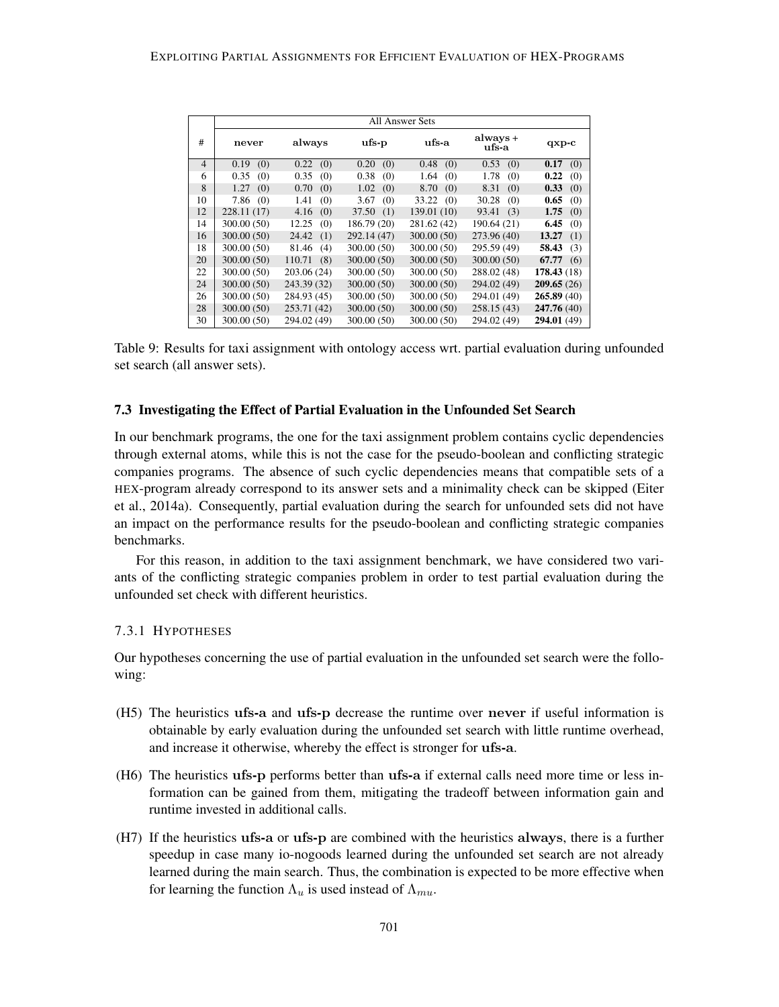|                |             |               | All Answer Sets |              |                   |              |
|----------------|-------------|---------------|-----------------|--------------|-------------------|--------------|
| #              | never       | always        | $\bf{ufs-p}$    | ufs-a        | always +<br>ufs-a | $qxp-c$      |
| $\overline{4}$ | (0)<br>0.19 | (0)<br>0.22   | (0)<br>0.20     | (0)<br>0.48  | 0.53<br>(0)       | 0.17<br>(0)  |
| 6              | 0.35<br>(0) | 0.35<br>(0)   | 0.38<br>(0)     | 1.64<br>(0)  | 1.78<br>(0)       | 0.22<br>(0)  |
| 8              | (0)<br>1.27 | 0.70<br>(0)   | 1.02<br>(0)     | 8.70<br>(0)  | 8.31<br>(0)       | 0.33<br>(0)  |
| 10             | 7.86<br>(0) | 1.41<br>(0)   | 3.67<br>(0)     | 33.22<br>(0) | 30.28<br>(0)      | 0.65<br>(0)  |
| 12             | 228.11(17)  | 4.16<br>(0)   | 37.50<br>(1)    | 139.01 (10)  | 93.41<br>(3)      | 1.75<br>(0)  |
| 14             | 300.00(50)  | 12.25<br>(0)  | 186.79(20)      | 281.62 (42)  | 190.64 (21)       | 6.45<br>(0)  |
| 16             | 300.00(50)  | 24.42<br>(1)  | 292.14 (47)     | 300.00(50)   | 273.96 (40)       | 13.27<br>(1) |
| 18             | 300.00 (50) | 81.46<br>(4)  | 300.00(50)      | 300.00(50)   | 295.59 (49)       | 58.43<br>(3) |
| 20             | 300.00(50)  | 110.71<br>(8) | 300.00(50)      | 300.00(50)   | 300.00(50)        | 67.77<br>(6) |
| 22             | 300.00(50)  | 203.06 (24)   | 300.00(50)      | 300.00(50)   | 288.02 (48)       | 178.43(18)   |
| 24             | 300.00(50)  | 243.39 (32)   | 300.00(50)      | 300.00 (50)  | 294.02 (49)       | 209.65(26)   |
| 26             | 300.00(50)  | 284.93 (45)   | 300.00(50)      | 300.00(50)   | 294.01 (49)       | 265.89(40)   |
| 28             | 300.00(50)  | 253.71 (42)   | 300.00(50)      | 300.00 (50)  | 258.15(43)        | 247.76 (40)  |
| 30             | 300.00(50)  | 294.02 (49)   | 300.00 (50)     | 300.00 (50)  | 294.02 (49)       | 294.01 (49)  |

Table 9: Results for taxi assignment with ontology access wrt. partial evaluation during unfounded set search (all answer sets).

## 7.3 Investigating the Effect of Partial Evaluation in the Unfounded Set Search

In our benchmark programs, the one for the taxi assignment problem contains cyclic dependencies through external atoms, while this is not the case for the pseudo-boolean and conflicting strategic companies programs. The absence of such cyclic dependencies means that compatible sets of a HEX-program already correspond to its answer sets and a minimality check can be skipped (Eiter et al., 2014a). Consequently, partial evaluation during the search for unfounded sets did not have an impact on the performance results for the pseudo-boolean and conflicting strategic companies benchmarks.

For this reason, in addition to the taxi assignment benchmark, we have considered two variants of the conflicting strategic companies problem in order to test partial evaluation during the unfounded set check with different heuristics.

## 7.3.1 HYPOTHESES

Our hypotheses concerning the use of partial evaluation in the unfounded set search were the following:

- (H5) The heuristics ufs-a and ufs-p decrease the runtime over never if useful information is obtainable by early evaluation during the unfounded set search with little runtime overhead, and increase it otherwise, whereby the effect is stronger for ufs-a.
- (H6) The heuristics ufs-p performs better than ufs-a if external calls need more time or less information can be gained from them, mitigating the tradeoff between information gain and runtime invested in additional calls.
- (H7) If the heuristics ufs-a or ufs-p are combined with the heuristics always, there is a further speedup in case many io-nogoods learned during the unfounded set search are not already learned during the main search. Thus, the combination is expected to be more effective when for learning the function  $\Lambda_u$  is used instead of  $\Lambda_{mu}$ .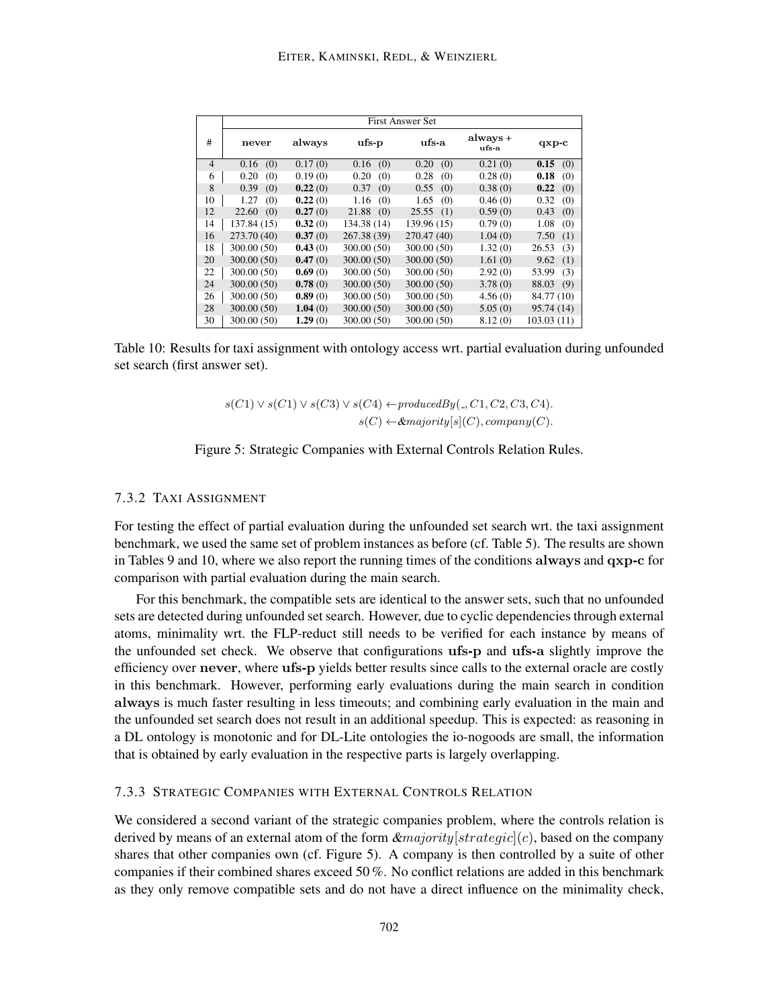|                | <b>First Answer Set</b> |         |                |              |                   |              |  |  |
|----------------|-------------------------|---------|----------------|--------------|-------------------|--------------|--|--|
| #              | always<br>never         |         | ufs-a<br>ufs-p |              | always +<br>ufs-a | $qxp-c$      |  |  |
| $\overline{4}$ | (0)<br>0.16             | 0.17(0) | (0)<br>0.16    | (0)<br>0.20  | 0.21(0)           | 0.15<br>(0)  |  |  |
| 6              | 0.20<br>(0)             | 0.19(0) | (0)<br>0.20    | 0.28<br>(0)  | 0.28(0)           | 0.18<br>(0)  |  |  |
| 8              | 0.39<br>(0)             | 0.22(0) | (0)<br>0.37    | (0)<br>0.55  | 0.38(0)           | 0.22<br>(0)  |  |  |
| 10             | 1.27<br>(0)             | 0.22(0) | 1.16<br>(0)    | 1.65<br>(0)  | 0.46(0)           | 0.32<br>(0)  |  |  |
| 12             | 22.60<br>(0)            | 0.27(0) | 21.88<br>(0)   | 25.55<br>(1) | 0.59(0)           | 0.43<br>(0)  |  |  |
| 14             | 137.84 (15)             | 0.32(0) | 134.38 (14)    | 139.96 (15)  | 0.79(0)           | 1.08<br>(0)  |  |  |
| 16             | 273.70 (40)             | 0.37(0) | 267.38 (39)    | 270.47 (40)  | 1.04(0)           | 7.50<br>(1)  |  |  |
| 18             | 300.00(50)              | 0.43(0) | 300.00(50)     | 300.00 (50)  | 1.32(0)           | 26.53<br>(3) |  |  |
| 20             | 300.00 (50)             | 0.47(0) | 300.00(50)     | 300.00 (50)  | 1.61(0)           | (1)<br>9.62  |  |  |
| 22             | 300.00 (50)             | 0.69(0) | 300.00 (50)    | 300.00 (50)  | 2.92(0)           | 53.99<br>(3) |  |  |
| 24             | 300.00(50)              | 0.78(0) | 300.00(50)     | 300.00(50)   | 3.78(0)           | 88.03<br>(9) |  |  |
| 26             | 300.00(50)              | 0.89(0) | 300.00(50)     | 300.00 (50)  | 4.56(0)           | 84.77 (10)   |  |  |
| 28             | 300.00 (50)             | 1.04(0) | 300.00(50)     | 300.00 (50)  | 5.05(0)           | 95.74 (14)   |  |  |
| 30             | 300.00 (50)             | 1.29(0) | 300.00 (50)    | 300.00 (50)  | 8.12(0)           | 103.03(11)   |  |  |

Table 10: Results for taxi assignment with ontology access wrt. partial evaluation during unfounded set search (first answer set).

$$
s(C1) \lor s(C1) \lor s(C3) \lor s(C4) \leftarrow producedBy(\_,C1,C2,C3,C4).
$$

$$
s(C) \leftarrow \& majority[s](C), company(C).
$$

## Figure 5: Strategic Companies with External Controls Relation Rules.

## 7.3.2 TAXI ASSIGNMENT

For testing the effect of partial evaluation during the unfounded set search wrt. the taxi assignment benchmark, we used the same set of problem instances as before (cf. Table 5). The results are shown in Tables 9 and 10, where we also report the running times of the conditions always and qxp-c for comparison with partial evaluation during the main search.

For this benchmark, the compatible sets are identical to the answer sets, such that no unfounded sets are detected during unfounded set search. However, due to cyclic dependencies through external atoms, minimality wrt. the FLP-reduct still needs to be verified for each instance by means of the unfounded set check. We observe that configurations ufs-p and ufs-a slightly improve the efficiency over never, where ufs-p yields better results since calls to the external oracle are costly in this benchmark. However, performing early evaluations during the main search in condition always is much faster resulting in less timeouts; and combining early evaluation in the main and the unfounded set search does not result in an additional speedup. This is expected: as reasoning in a DL ontology is monotonic and for DL-Lite ontologies the io-nogoods are small, the information that is obtained by early evaluation in the respective parts is largely overlapping.

## 7.3.3 STRATEGIC COMPANIES WITH EXTERNAL CONTROLS RELATION

We considered a second variant of the strategic companies problem, where the controls relation is derived by means of an external atom of the form  $\&$ majority  $|strategy(c)|$ , based on the company shares that other companies own (cf. Figure 5). A company is then controlled by a suite of other companies if their combined shares exceed 50 %. No conflict relations are added in this benchmark as they only remove compatible sets and do not have a direct influence on the minimality check,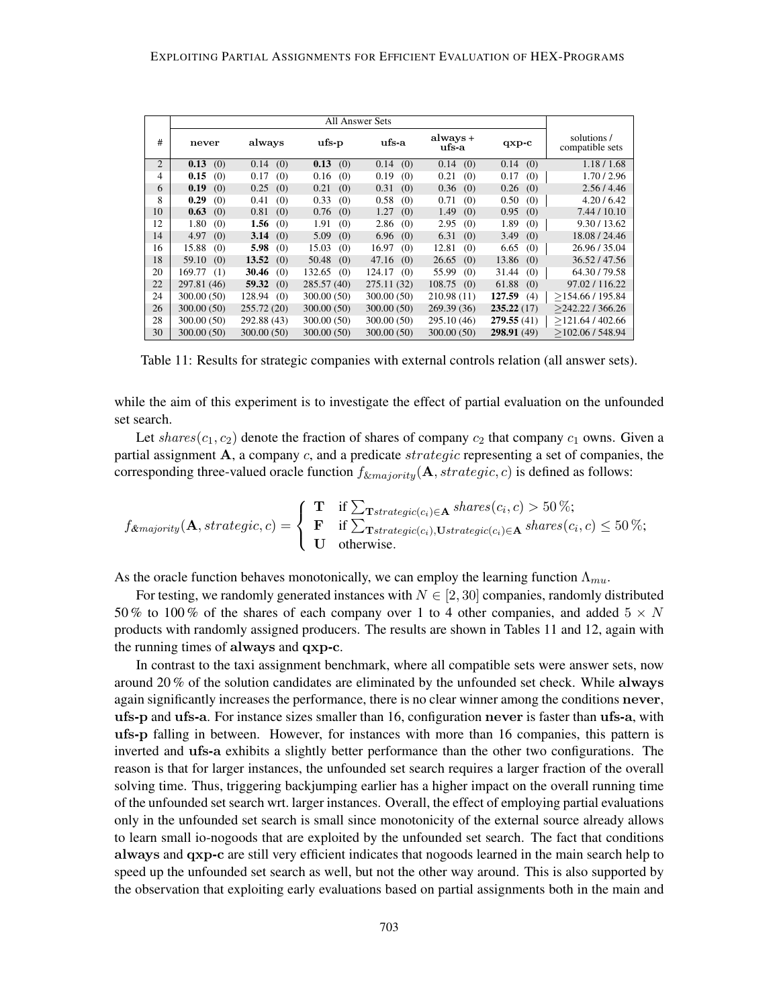|                | <b>All Answer Sets</b> |               |               |               |                   |               |                                |
|----------------|------------------------|---------------|---------------|---------------|-------------------|---------------|--------------------------------|
| #              | never                  | always        | ufs-p         | ufs-a         | always +<br>ufs-a | $qxp-c$       | solutions /<br>compatible sets |
| 2              | 0.13<br>(0)            | (0)<br>0.14   | 0.13<br>(0)   | 0.14<br>(0)   | (0)<br>0.14       | (0)<br>0.14   | 1.18 / 1.68                    |
| $\overline{4}$ | 0.15<br>(0)            | (0)<br>0.17   | 0.16<br>(0)   | 0.19<br>(0)   | 0.21<br>(0)       | 0.17<br>(0)   | 1.70 / 2.96                    |
| 6              | 0.19<br>(0)            | (0)<br>0.25   | (0)<br>0.21   | 0.31<br>(0)   | (0)<br>0.36       | (0)<br>0.26   | 2.56/4.46                      |
| 8              | 0.29<br>(0)            | (0)<br>0.41   | 0.33<br>(0)   | 0.58<br>(0)   | 0.71<br>(0)       | 0.50<br>(0)   | 4.20/6.42                      |
| 10             | 0.63<br>(0)            | 0.81<br>(0)   | 0.76<br>(0)   | (0)<br>1.27   | 1.49<br>(0)       | (0)<br>0.95   | 7.44 / 10.10                   |
| 12             | 1.80<br>(0)            | 1.56<br>(0)   | 1.91<br>(0)   | 2.86<br>(0)   | 2.95<br>(0)       | 1.89<br>(0)   | 9.30 / 13.62                   |
| 14             | 4.97<br>(0)            | 3.14<br>(0)   | 5.09<br>(0)   | 6.96<br>(0)   | 6.31<br>(0)       | 3.49<br>(0)   | 18.08 / 24.46                  |
| 16             | 15.88<br>(0)           | 5.98<br>(0)   | 15.03<br>(0)  | 16.97<br>(0)  | 12.81<br>(0)      | 6.65<br>(0)   | 26.96 / 35.04                  |
| 18             | 59.10<br>(0)           | 13.52<br>(0)  | 50.48<br>(0)  | 47.16<br>(0)  | 26.65<br>(0)      | 13.86<br>(0)  | 36.52/47.56                    |
| 20             | 169.77<br>(1)          | 30.46<br>(0)  | 132.65<br>(0) | 124.17<br>(0) | 55.99<br>(0)      | 31.44<br>(0)  | 64.30 / 79.58                  |
| 22             | 297.81 (46)            | 59.32<br>(0)  | 285.57 (40)   | 275.11 (32)   | 108.75<br>(0)     | 61.88<br>(0)  | 97.02 / 116.22                 |
| 24             | 300.00 (50)            | 128.94<br>(0) | 300.00 (50)   | 300.00 (50)   | 210.98 (11)       | 127.59<br>(4) | >154.66/195.84                 |
| 26             | 300.00 (50)            | 255.72(20)    | 300.00(50)    | 300.00(50)    | 269.39 (36)       | 235.22(17)    | $>$ 242.22 / 366.26            |
| 28             | 300.00 (50)            | 292.88 (43)   | 300.00 (50)   | 300.00 (50)   | 295.10 (46)       | 279.55(41)    | >121.64/402.66                 |
| 30             | 300.00 (50)            | 300.00 (50)   | 300.00(50)    | 300.00 (50)   | 300.00 (50)       | 298.91 (49)   | >102.06/548.94                 |

Table 11: Results for strategic companies with external controls relation (all answer sets).

while the aim of this experiment is to investigate the effect of partial evaluation on the unfounded set search.

Let shares( $c_1, c_2$ ) denote the fraction of shares of company  $c_2$  that company  $c_1$  owns. Given a partial assignment  $A$ , a company  $c$ , and a predicate strategic representing a set of companies, the corresponding three-valued oracle function  $f_{\&majority}(\mathbf{A}, strategic, c)$  is defined as follows:

$$
f_{\&majority}(\mathbf{A}, strategic, c) = \begin{cases} \mathbf{T} & \text{if } \sum_{\mathbf{T}strategic(c_i) \in \mathbf{A}} shares(c_i, c) > 50\%; \\ \mathbf{F} & \text{if } \sum_{\mathbf{T}strategic(c_i), \mathbf{U}strategic(c_i) \in \mathbf{A}} shares(c_i, c) \leq 50\%; \\ \mathbf{U} & \text{otherwise.} \end{cases}
$$

As the oracle function behaves monotonically, we can employ the learning function  $\Lambda_{mu}$ .

For testing, we randomly generated instances with  $N \in [2, 30]$  companies, randomly distributed 50 % to 100 % of the shares of each company over 1 to 4 other companies, and added  $5 \times N$ products with randomly assigned producers. The results are shown in Tables 11 and 12, again with the running times of always and qxp-c.

In contrast to the taxi assignment benchmark, where all compatible sets were answer sets, now around 20 % of the solution candidates are eliminated by the unfounded set check. While always again significantly increases the performance, there is no clear winner among the conditions never, ufs-p and ufs-a. For instance sizes smaller than 16, configuration never is faster than ufs-a, with ufs-p falling in between. However, for instances with more than 16 companies, this pattern is inverted and ufs-a exhibits a slightly better performance than the other two configurations. The reason is that for larger instances, the unfounded set search requires a larger fraction of the overall solving time. Thus, triggering backjumping earlier has a higher impact on the overall running time of the unfounded set search wrt. larger instances. Overall, the effect of employing partial evaluations only in the unfounded set search is small since monotonicity of the external source already allows to learn small io-nogoods that are exploited by the unfounded set search. The fact that conditions always and qxp-c are still very efficient indicates that nogoods learned in the main search help to speed up the unfounded set search as well, but not the other way around. This is also supported by the observation that exploiting early evaluations based on partial assignments both in the main and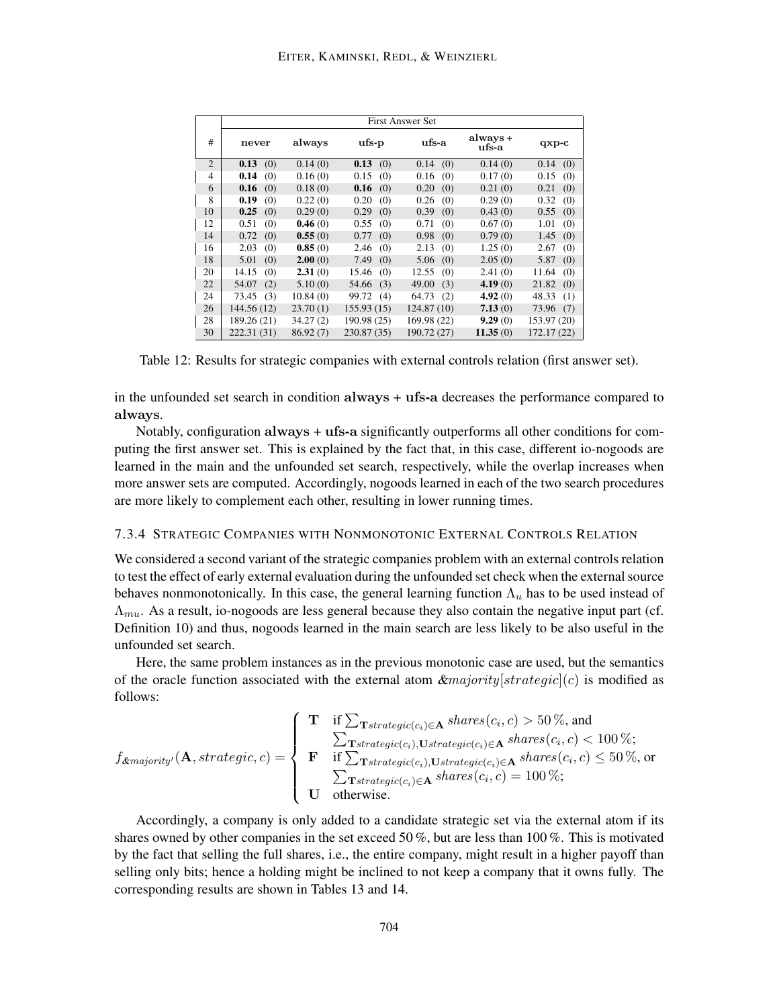|                | <b>First Answer Set</b> |          |              |              |                   |              |  |
|----------------|-------------------------|----------|--------------|--------------|-------------------|--------------|--|
| #              | never                   | always   | ufs-p        | ufs-a        | always +<br>ufs-a | $qxp-c$      |  |
| $\overline{2}$ | 0.13<br>(0)             | 0.14(0)  | 0.13<br>(0)  | (0)<br>0.14  | 0.14(0)           | 0.14<br>(0)  |  |
| $\overline{4}$ | 0.14<br>(0)             | 0.16(0)  | 0.15<br>(0)  | 0.16<br>(0)  | 0.17(0)           | 0.15<br>(0)  |  |
| 6              | 0.16<br>(0)             | 0.18(0)  | 0.16<br>(0)  | 0.20<br>(0)  | 0.21(0)           | 0.21<br>(0)  |  |
| 8              | 0.19<br>(0)             | 0.22(0)  | 0.20<br>(0)  | 0.26<br>(0)  | 0.29(0)           | 0.32<br>(0)  |  |
| 10             | 0.25<br>(0)             | 0.29(0)  | 0.29<br>(0)  | 0.39<br>(0)  | 0.43(0)           | 0.55<br>(0)  |  |
| 12             | 0.51<br>(0)             | 0.46(0)  | 0.55<br>(0)  | 0.71<br>(0)  | 0.67(0)           | 1.01<br>(0)  |  |
| 14             | 0.72<br>(0)             | 0.55(0)  | 0.77<br>(0)  | 0.98<br>(0)  | 0.79(0)           | 1.45<br>(0)  |  |
| 16             | 2.03<br>(0)             | 0.85(0)  | 2.46<br>(0)  | 2.13<br>(0)  | 1.25(0)           | 2.67<br>(0)  |  |
| 18             | 5.01<br>(0)             | 2.00(0)  | 7.49<br>(0)  | 5.06<br>(0)  | 2.05(0)           | 5.87<br>(0)  |  |
| 20             | 14.15<br>(0)            | 2.31(0)  | 15.46<br>(0) | 12.55<br>(0) | 2.41(0)           | (0)<br>11.64 |  |
| 22             | 54.07<br>(2)            | 5.10(0)  | 54.66<br>(3) | 49.00<br>(3) | 4.19(0)           | (0)<br>21.82 |  |
| 24             | 73.45<br>(3)            | 10.84(0) | 99.72<br>(4) | 64.73<br>(2) | 4.92(0)           | 48.33<br>(1) |  |
| 26             | 144.56 (12)             | 23.70(1) | 155.93(15)   | 124.87 (10)  | 7.13(0)           | 73.96<br>(7) |  |
| 28             | 189.26 (21)             | 34.27(2) | 190.98 (25)  | 169.98 (22)  | 9.29(0)           | 153.97 (20)  |  |
| 30             | 222.31 (31)             | 86.92(7) | 230.87 (35)  | 190.72 (27)  | 11.35(0)          | 172.17 (22)  |  |

Table 12: Results for strategic companies with external controls relation (first answer set).

in the unfounded set search in condition always + ufs-a decreases the performance compared to always.

Notably, configuration always + ufs-a significantly outperforms all other conditions for computing the first answer set. This is explained by the fact that, in this case, different io-nogoods are learned in the main and the unfounded set search, respectively, while the overlap increases when more answer sets are computed. Accordingly, nogoods learned in each of the two search procedures are more likely to complement each other, resulting in lower running times.

## 7.3.4 STRATEGIC COMPANIES WITH NONMONOTONIC EXTERNAL CONTROLS RELATION

We considered a second variant of the strategic companies problem with an external controls relation to test the effect of early external evaluation during the unfounded set check when the external source behaves nonmonotonically. In this case, the general learning function  $\Lambda_u$  has to be used instead of  $\Lambda_{mu}$ . As a result, io-nogoods are less general because they also contain the negative input part (cf. Definition 10) and thus, nogoods learned in the main search are less likely to be also useful in the unfounded set search.

Here, the same problem instances as in the previous monotonic case are used, but the semantics of the oracle function associated with the external atom  $\&$ majority  $[strategic](c)$  is modified as follows:

$$
f_{\&\text{majority}'}(\mathbf{A}, strategic, c) = \begin{cases} \mathbf{T} & \text{if } \sum_{\mathbf{T}strategic(c_i) \in \mathbf{A}} shares(c_i, c) > 50\%, \text{and} \\ & \sum_{\mathbf{T}strategic(c_i), \mathbf{U}strategic(c_i) \in \mathbf{A}} shares(c_i, c) < 100\%; \\ \mathbf{F} & \text{if } \sum_{\mathbf{T}strategic(c_i), \mathbf{U}strategic(c_i) \in \mathbf{A}} shares(c_i, c) \leq 50\%, \text{or} \\ & \sum_{\mathbf{T}strategic(c_i) \in \mathbf{A}} shares(c_i, c) = 100\%; \\ \mathbf{U} & \text{otherwise.} \end{cases}
$$

Accordingly, a company is only added to a candidate strategic set via the external atom if its shares owned by other companies in the set exceed 50 %, but are less than 100 %. This is motivated by the fact that selling the full shares, i.e., the entire company, might result in a higher payoff than selling only bits; hence a holding might be inclined to not keep a company that it owns fully. The corresponding results are shown in Tables 13 and 14.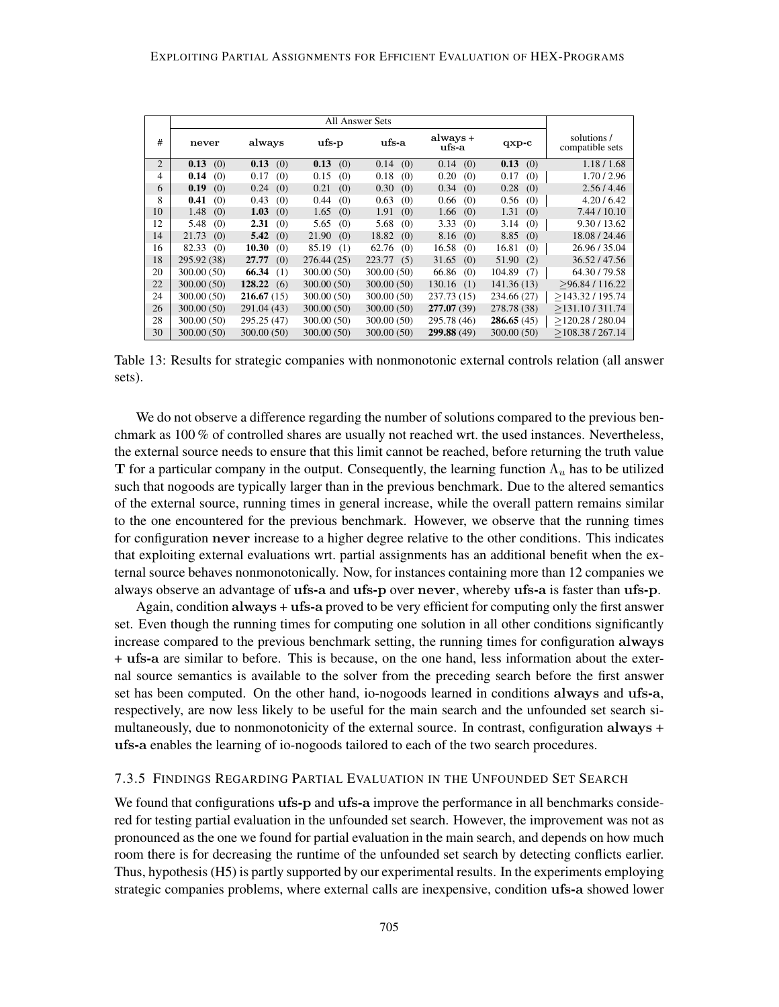|    | <b>All Answer Sets</b> |               |              |               |                   |               |                                |
|----|------------------------|---------------|--------------|---------------|-------------------|---------------|--------------------------------|
| #  | never                  | always        | ufs-p        | ufs-a         | always +<br>ufs-a | $qxp-c$       | solutions /<br>compatible sets |
| 2  | 0.13<br>(0)            | 0.13<br>(0)   | 0.13<br>(0)  | (0)<br>0.14   | (0)<br>0.14       | 0.13<br>(0)   | 1.18 / 1.68                    |
| 4  | 0.14<br>(0)            | 0.17<br>(0)   | 0.15<br>(0)  | 0.18<br>(0)   | 0.20<br>(0)       | 0.17<br>(0)   | 1.70 / 2.96                    |
| 6  | 0.19<br>(0)            | (0)<br>0.24   | 0.21<br>(0)  | 0.30<br>(0)   | (0)<br>0.34       | 0.28<br>(0)   | 2.56/4.46                      |
| 8  | 0.41<br>(0)            | 0.43<br>(0)   | 0.44<br>(0)  | 0.63<br>(0)   | 0.66<br>(0)       | 0.56<br>(0)   | 4.20/6.42                      |
| 10 | 1.48<br>(0)            | 1.03<br>(0)   | 1.65<br>(0)  | 1.91<br>(0)   | 1.66<br>(0)       | (0)<br>1.31   | 7.44 / 10.10                   |
| 12 | 5.48<br>(0)            | 2.31<br>(0)   | 5.65<br>(0)  | 5.68<br>(0)   | 3.33<br>(0)       | (0)<br>3.14   | 9.30 / 13.62                   |
| 14 | 21.73<br>(0)           | 5.42<br>(0)   | 21.90<br>(0) | 18.82<br>(0)  | 8.16<br>(0)       | 8.85<br>(0)   | 18.08 / 24.46                  |
| 16 | 82.33<br>(0)           | 10.30<br>(0)  | 85.19<br>(1) | 62.76<br>(0)  | 16.58<br>(0)      | 16.81<br>(0)  | 26.96 / 35.04                  |
| 18 | 295.92 (38)            | 27.77<br>(0)  | 276.44(25)   | 223.77<br>(5) | 31.65<br>(0)      | 51.90<br>(2)  | 36.52/47.56                    |
| 20 | 300.00 (50)            | 66.34<br>(1)  | 300.00 (50)  | 300.00 (50)   | 66.86<br>(0)      | 104.89<br>(7) | 64.30 / 79.58                  |
| 22 | 300.00 (50)            | 128.22<br>(6) | 300.00(50)   | 300.00(50)    | 130.16<br>(1)     | 141.36(13)    | >96.84/116.22                  |
| 24 | 300.00 (50)            | 216.67(15)    | 300.00 (50)  | 300.00 (50)   | 237.73 (15)       | 234.66 (27)   | >143.32/195.74                 |
| 26 | 300.00 (50)            | 291.04 (43)   | 300.00(50)   | 300.00 (50)   | 277.07 (39)       | 278.78 (38)   | >131.10/311.74                 |
| 28 | 300.00 (50)            | 295.25 (47)   | 300.00(50)   | 300.00 (50)   | 295.78 (46)       | 286.65(45)    | >120.28/280.04                 |
| 30 | 300.00 (50)            | 300.00 (50)   | 300.00 (50)  | 300.00(50)    | 299.88 (49)       | 300.00(50)    | >108.38/267.14                 |

Table 13: Results for strategic companies with nonmonotonic external controls relation (all answer sets).

We do not observe a difference regarding the number of solutions compared to the previous benchmark as 100 % of controlled shares are usually not reached wrt. the used instances. Nevertheless, the external source needs to ensure that this limit cannot be reached, before returning the truth value T for a particular company in the output. Consequently, the learning function  $\Lambda_u$  has to be utilized such that nogoods are typically larger than in the previous benchmark. Due to the altered semantics of the external source, running times in general increase, while the overall pattern remains similar to the one encountered for the previous benchmark. However, we observe that the running times for configuration never increase to a higher degree relative to the other conditions. This indicates that exploiting external evaluations wrt. partial assignments has an additional benefit when the external source behaves nonmonotonically. Now, for instances containing more than 12 companies we always observe an advantage of ufs-a and ufs-p over never, whereby ufs-a is faster than ufs-p.

Again, condition always + ufs-a proved to be very efficient for computing only the first answer set. Even though the running times for computing one solution in all other conditions significantly increase compared to the previous benchmark setting, the running times for configuration always + ufs-a are similar to before. This is because, on the one hand, less information about the external source semantics is available to the solver from the preceding search before the first answer set has been computed. On the other hand, io-nogoods learned in conditions always and ufs-a, respectively, are now less likely to be useful for the main search and the unfounded set search simultaneously, due to nonmonotonicity of the external source. In contrast, configuration always + ufs-a enables the learning of io-nogoods tailored to each of the two search procedures.

#### 7.3.5 FINDINGS REGARDING PARTIAL EVALUATION IN THE UNFOUNDED SET SEARCH

We found that configurations **ufs-p** and **ufs-a** improve the performance in all benchmarks considered for testing partial evaluation in the unfounded set search. However, the improvement was not as pronounced as the one we found for partial evaluation in the main search, and depends on how much room there is for decreasing the runtime of the unfounded set search by detecting conflicts earlier. Thus, hypothesis (H5) is partly supported by our experimental results. In the experiments employing strategic companies problems, where external calls are inexpensive, condition ufs-a showed lower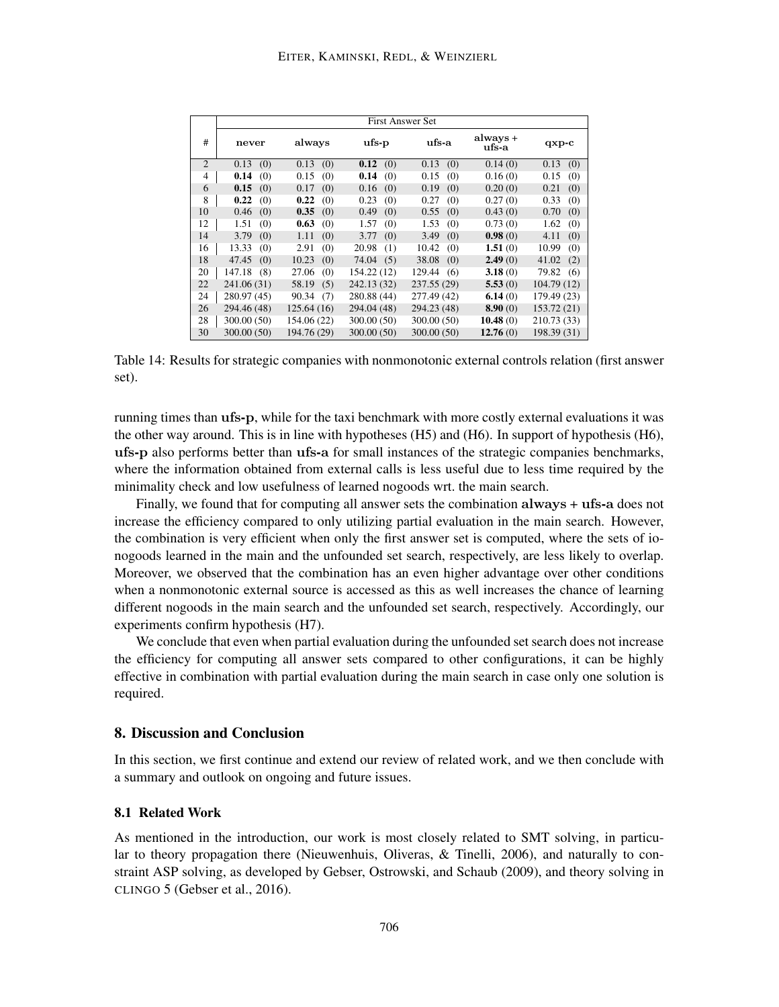|    | <b>First Answer Set</b> |              |              |               |                   |              |  |  |
|----|-------------------------|--------------|--------------|---------------|-------------------|--------------|--|--|
| #  | always<br>never         |              | $\bf{ufs-p}$ | ufs-a         | always +<br>ufs-a | $qxp-c$      |  |  |
| 2  | 0.13<br>(0)             | 0.13<br>(0)  | 0.12<br>(0)  | 0.13<br>(0)   | 0.14(0)           | 0.13<br>(0)  |  |  |
| 4  | 0.14<br>(0)             | 0.15<br>(0)  | 0.14<br>(0)  | 0.15<br>(0)   | 0.16(0)           | 0.15<br>(0)  |  |  |
| 6  | 0.15<br>(0)             | 0.17<br>(0)  | 0.16<br>(0)  | 0.19<br>(0)   | 0.20(0)           | 0.21<br>(0)  |  |  |
| 8  | 0.22<br>(0)             | 0.22<br>(0)  | 0.23<br>(0)  | 0.27<br>(0)   | 0.27(0)           | 0.33<br>(0)  |  |  |
| 10 | 0.46<br>(0)             | 0.35<br>(0)  | 0.49<br>(0)  | 0.55<br>(0)   | 0.43(0)           | 0.70<br>(0)  |  |  |
| 12 | 1.51<br>(0)             | 0.63<br>(0)  | 1.57<br>(0)  | 1.53<br>(0)   | 0.73(0)           | 1.62<br>(0)  |  |  |
| 14 | 3.79<br>(0)             | 1.11<br>(0)  | 3.77<br>(0)  | 3.49<br>(0)   | 0.98(0)           | 4.11<br>(0)  |  |  |
| 16 | 13.33<br>(0)            | 2.91<br>(0)  | 20.98<br>(1) | 10.42<br>(0)  | 1.51(0)           | 10.99<br>(0) |  |  |
| 18 | 47.45<br>(0)            | 10.23<br>(0) | 74.04<br>(5) | 38.08<br>(0)  | 2.49(0)           | 41.02<br>(2) |  |  |
| 20 | 147.18<br>(8)           | 27.06<br>(0) | 154.22 (12)  | 129.44<br>(6) | 3.18(0)           | 79.82<br>(6) |  |  |
| 22 | 241.06 (31)             | 58.19<br>(5) | 242.13 (32)  | 237.55 (29)   | 5.53(0)           | 104.79(12)   |  |  |
| 24 | 280.97 (45)             | 90.34<br>(7) | 280.88 (44)  | 277.49 (42)   | 6.14(0)           | 179.49 (23)  |  |  |
| 26 | 294.46 (48)             | 125.64 (16)  | 294.04 (48)  | 294.23 (48)   | 8.90(0)           | 153.72(21)   |  |  |
| 28 | 300.00 (50)             | 154.06 (22)  | 300.00 (50)  | 300.00 (50)   | 10.48(0)          | 210.73 (33)  |  |  |
| 30 | 300.00 (50)             | 194.76 (29)  | 300.00 (50)  | 300.00 (50)   | 12.76(0)          | 198.39 (31)  |  |  |

Table 14: Results for strategic companies with nonmonotonic external controls relation (first answer set).

running times than ufs-p, while for the taxi benchmark with more costly external evaluations it was the other way around. This is in line with hypotheses (H5) and (H6). In support of hypothesis (H6), ufs-p also performs better than ufs-a for small instances of the strategic companies benchmarks, where the information obtained from external calls is less useful due to less time required by the minimality check and low usefulness of learned nogoods wrt. the main search.

Finally, we found that for computing all answer sets the combination always + ufs-a does not increase the efficiency compared to only utilizing partial evaluation in the main search. However, the combination is very efficient when only the first answer set is computed, where the sets of ionogoods learned in the main and the unfounded set search, respectively, are less likely to overlap. Moreover, we observed that the combination has an even higher advantage over other conditions when a nonmonotonic external source is accessed as this as well increases the chance of learning different nogoods in the main search and the unfounded set search, respectively. Accordingly, our experiments confirm hypothesis (H7).

We conclude that even when partial evaluation during the unfounded set search does not increase the efficiency for computing all answer sets compared to other configurations, it can be highly effective in combination with partial evaluation during the main search in case only one solution is required.

## 8. Discussion and Conclusion

In this section, we first continue and extend our review of related work, and we then conclude with a summary and outlook on ongoing and future issues.

## 8.1 Related Work

As mentioned in the introduction, our work is most closely related to SMT solving, in particular to theory propagation there (Nieuwenhuis, Oliveras, & Tinelli, 2006), and naturally to constraint ASP solving, as developed by Gebser, Ostrowski, and Schaub (2009), and theory solving in CLINGO 5 (Gebser et al., 2016).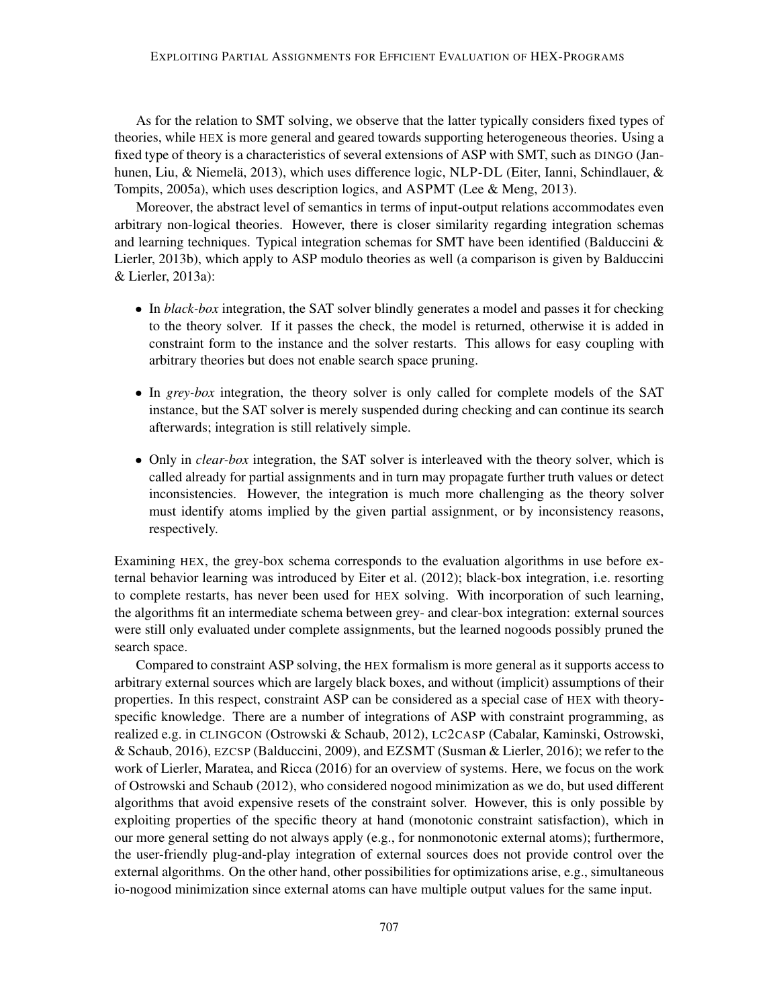As for the relation to SMT solving, we observe that the latter typically considers fixed types of theories, while HEX is more general and geared towards supporting heterogeneous theories. Using a fixed type of theory is a characteristics of several extensions of ASP with SMT, such as DINGO (Janhunen, Liu, & Niemelä, 2013), which uses difference logic, NLP-DL (Eiter, Ianni, Schindlauer, & Tompits, 2005a), which uses description logics, and ASPMT (Lee & Meng, 2013).

Moreover, the abstract level of semantics in terms of input-output relations accommodates even arbitrary non-logical theories. However, there is closer similarity regarding integration schemas and learning techniques. Typical integration schemas for SMT have been identified (Balduccini  $\&$ Lierler, 2013b), which apply to ASP modulo theories as well (a comparison is given by Balduccini & Lierler, 2013a):

- In *black-box* integration, the SAT solver blindly generates a model and passes it for checking to the theory solver. If it passes the check, the model is returned, otherwise it is added in constraint form to the instance and the solver restarts. This allows for easy coupling with arbitrary theories but does not enable search space pruning.
- In *grey-box* integration, the theory solver is only called for complete models of the SAT instance, but the SAT solver is merely suspended during checking and can continue its search afterwards; integration is still relatively simple.
- Only in *clear-box* integration, the SAT solver is interleaved with the theory solver, which is called already for partial assignments and in turn may propagate further truth values or detect inconsistencies. However, the integration is much more challenging as the theory solver must identify atoms implied by the given partial assignment, or by inconsistency reasons, respectively.

Examining HEX, the grey-box schema corresponds to the evaluation algorithms in use before external behavior learning was introduced by Eiter et al. (2012); black-box integration, i.e. resorting to complete restarts, has never been used for HEX solving. With incorporation of such learning, the algorithms fit an intermediate schema between grey- and clear-box integration: external sources were still only evaluated under complete assignments, but the learned nogoods possibly pruned the search space.

Compared to constraint ASP solving, the HEX formalism is more general as it supports access to arbitrary external sources which are largely black boxes, and without (implicit) assumptions of their properties. In this respect, constraint ASP can be considered as a special case of HEX with theoryspecific knowledge. There are a number of integrations of ASP with constraint programming, as realized e.g. in CLINGCON (Ostrowski & Schaub, 2012), LC2CASP (Cabalar, Kaminski, Ostrowski, & Schaub, 2016), EZCSP (Balduccini, 2009), and EZSMT (Susman & Lierler, 2016); we refer to the work of Lierler, Maratea, and Ricca (2016) for an overview of systems. Here, we focus on the work of Ostrowski and Schaub (2012), who considered nogood minimization as we do, but used different algorithms that avoid expensive resets of the constraint solver. However, this is only possible by exploiting properties of the specific theory at hand (monotonic constraint satisfaction), which in our more general setting do not always apply (e.g., for nonmonotonic external atoms); furthermore, the user-friendly plug-and-play integration of external sources does not provide control over the external algorithms. On the other hand, other possibilities for optimizations arise, e.g., simultaneous io-nogood minimization since external atoms can have multiple output values for the same input.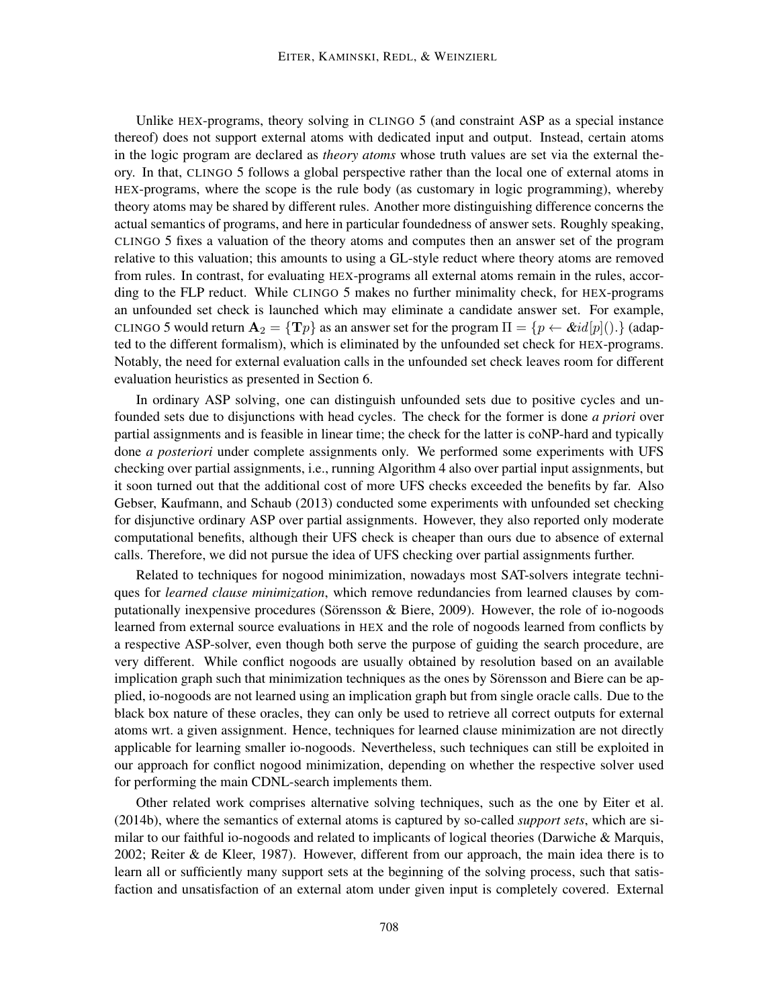Unlike HEX-programs, theory solving in CLINGO 5 (and constraint ASP as a special instance thereof) does not support external atoms with dedicated input and output. Instead, certain atoms in the logic program are declared as *theory atoms* whose truth values are set via the external theory. In that, CLINGO 5 follows a global perspective rather than the local one of external atoms in HEX-programs, where the scope is the rule body (as customary in logic programming), whereby theory atoms may be shared by different rules. Another more distinguishing difference concerns the actual semantics of programs, and here in particular foundedness of answer sets. Roughly speaking, CLINGO 5 fixes a valuation of the theory atoms and computes then an answer set of the program relative to this valuation; this amounts to using a GL-style reduct where theory atoms are removed from rules. In contrast, for evaluating HEX-programs all external atoms remain in the rules, according to the FLP reduct. While CLINGO 5 makes no further minimality check, for HEX-programs an unfounded set check is launched which may eliminate a candidate answer set. For example, CLINGO 5 would return  $A_2 = \{Tp\}$  as an answer set for the program  $\Pi = \{p \leftarrow \& id[p](.)\}$  (adapted to the different formalism), which is eliminated by the unfounded set check for HEX-programs. Notably, the need for external evaluation calls in the unfounded set check leaves room for different evaluation heuristics as presented in Section 6.

In ordinary ASP solving, one can distinguish unfounded sets due to positive cycles and unfounded sets due to disjunctions with head cycles. The check for the former is done *a priori* over partial assignments and is feasible in linear time; the check for the latter is coNP-hard and typically done *a posteriori* under complete assignments only. We performed some experiments with UFS checking over partial assignments, i.e., running Algorithm 4 also over partial input assignments, but it soon turned out that the additional cost of more UFS checks exceeded the benefits by far. Also Gebser, Kaufmann, and Schaub (2013) conducted some experiments with unfounded set checking for disjunctive ordinary ASP over partial assignments. However, they also reported only moderate computational benefits, although their UFS check is cheaper than ours due to absence of external calls. Therefore, we did not pursue the idea of UFS checking over partial assignments further.

Related to techniques for nogood minimization, nowadays most SAT-solvers integrate techniques for *learned clause minimization*, which remove redundancies from learned clauses by computationally inexpensive procedures (Sörensson  $\&$  Biere, 2009). However, the role of io-nogoods learned from external source evaluations in HEX and the role of nogoods learned from conflicts by a respective ASP-solver, even though both serve the purpose of guiding the search procedure, are very different. While conflict nogoods are usually obtained by resolution based on an available implication graph such that minimization techniques as the ones by Sörensson and Biere can be applied, io-nogoods are not learned using an implication graph but from single oracle calls. Due to the black box nature of these oracles, they can only be used to retrieve all correct outputs for external atoms wrt. a given assignment. Hence, techniques for learned clause minimization are not directly applicable for learning smaller io-nogoods. Nevertheless, such techniques can still be exploited in our approach for conflict nogood minimization, depending on whether the respective solver used for performing the main CDNL-search implements them.

Other related work comprises alternative solving techniques, such as the one by Eiter et al. (2014b), where the semantics of external atoms is captured by so-called *support sets*, which are similar to our faithful io-nogoods and related to implicants of logical theories (Darwiche & Marquis, 2002; Reiter & de Kleer, 1987). However, different from our approach, the main idea there is to learn all or sufficiently many support sets at the beginning of the solving process, such that satisfaction and unsatisfaction of an external atom under given input is completely covered. External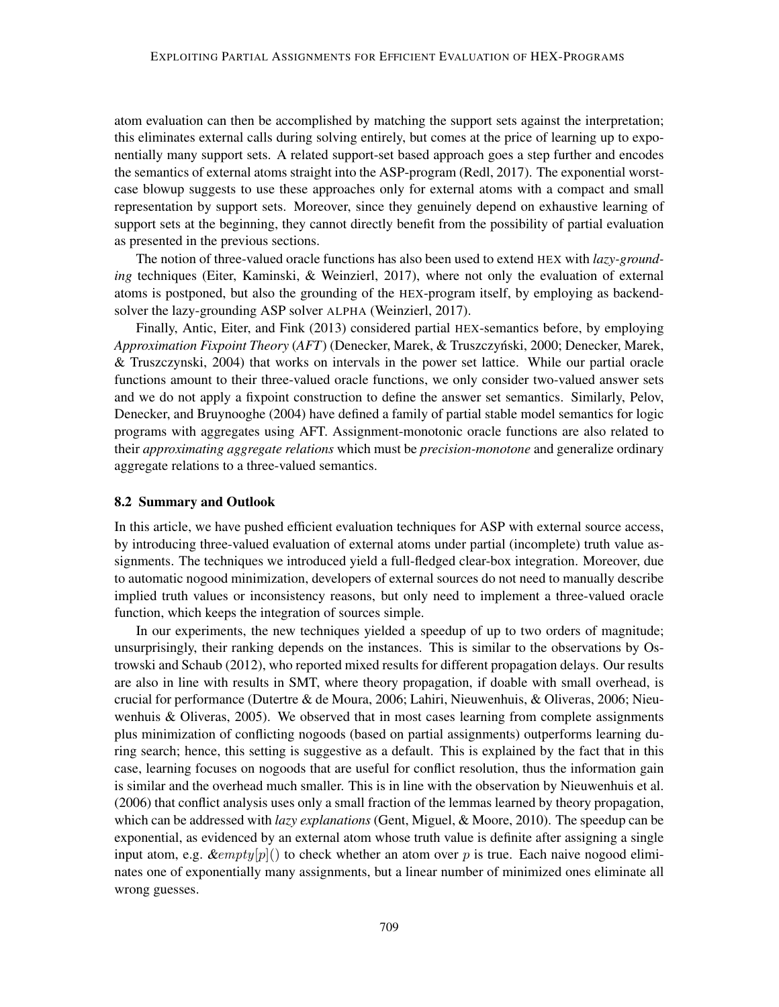atom evaluation can then be accomplished by matching the support sets against the interpretation; this eliminates external calls during solving entirely, but comes at the price of learning up to exponentially many support sets. A related support-set based approach goes a step further and encodes the semantics of external atoms straight into the ASP-program (Redl, 2017). The exponential worstcase blowup suggests to use these approaches only for external atoms with a compact and small representation by support sets. Moreover, since they genuinely depend on exhaustive learning of support sets at the beginning, they cannot directly benefit from the possibility of partial evaluation as presented in the previous sections.

The notion of three-valued oracle functions has also been used to extend HEX with *lazy-grounding* techniques (Eiter, Kaminski, & Weinzierl, 2017), where not only the evaluation of external atoms is postponed, but also the grounding of the HEX-program itself, by employing as backendsolver the lazy-grounding ASP solver ALPHA (Weinzierl, 2017).

Finally, Antic, Eiter, and Fink (2013) considered partial HEX-semantics before, by employing *Approximation Fixpoint Theory* (*AFT*) (Denecker, Marek, & Truszczynski, 2000; Denecker, Marek, ´ & Truszczynski, 2004) that works on intervals in the power set lattice. While our partial oracle functions amount to their three-valued oracle functions, we only consider two-valued answer sets and we do not apply a fixpoint construction to define the answer set semantics. Similarly, Pelov, Denecker, and Bruynooghe (2004) have defined a family of partial stable model semantics for logic programs with aggregates using AFT. Assignment-monotonic oracle functions are also related to their *approximating aggregate relations* which must be *precision-monotone* and generalize ordinary aggregate relations to a three-valued semantics.

## 8.2 Summary and Outlook

In this article, we have pushed efficient evaluation techniques for ASP with external source access, by introducing three-valued evaluation of external atoms under partial (incomplete) truth value assignments. The techniques we introduced yield a full-fledged clear-box integration. Moreover, due to automatic nogood minimization, developers of external sources do not need to manually describe implied truth values or inconsistency reasons, but only need to implement a three-valued oracle function, which keeps the integration of sources simple.

In our experiments, the new techniques yielded a speedup of up to two orders of magnitude; unsurprisingly, their ranking depends on the instances. This is similar to the observations by Ostrowski and Schaub (2012), who reported mixed results for different propagation delays. Our results are also in line with results in SMT, where theory propagation, if doable with small overhead, is crucial for performance (Dutertre & de Moura, 2006; Lahiri, Nieuwenhuis, & Oliveras, 2006; Nieuwenhuis  $\&$  Oliveras, 2005). We observed that in most cases learning from complete assignments plus minimization of conflicting nogoods (based on partial assignments) outperforms learning during search; hence, this setting is suggestive as a default. This is explained by the fact that in this case, learning focuses on nogoods that are useful for conflict resolution, thus the information gain is similar and the overhead much smaller. This is in line with the observation by Nieuwenhuis et al. (2006) that conflict analysis uses only a small fraction of the lemmas learned by theory propagation, which can be addressed with *lazy explanations* (Gent, Miguel, & Moore, 2010). The speedup can be exponential, as evidenced by an external atom whose truth value is definite after assigning a single input atom, e.g.  $\∅$  empty $[p](\)$  to check whether an atom over p is true. Each naive nogood eliminates one of exponentially many assignments, but a linear number of minimized ones eliminate all wrong guesses.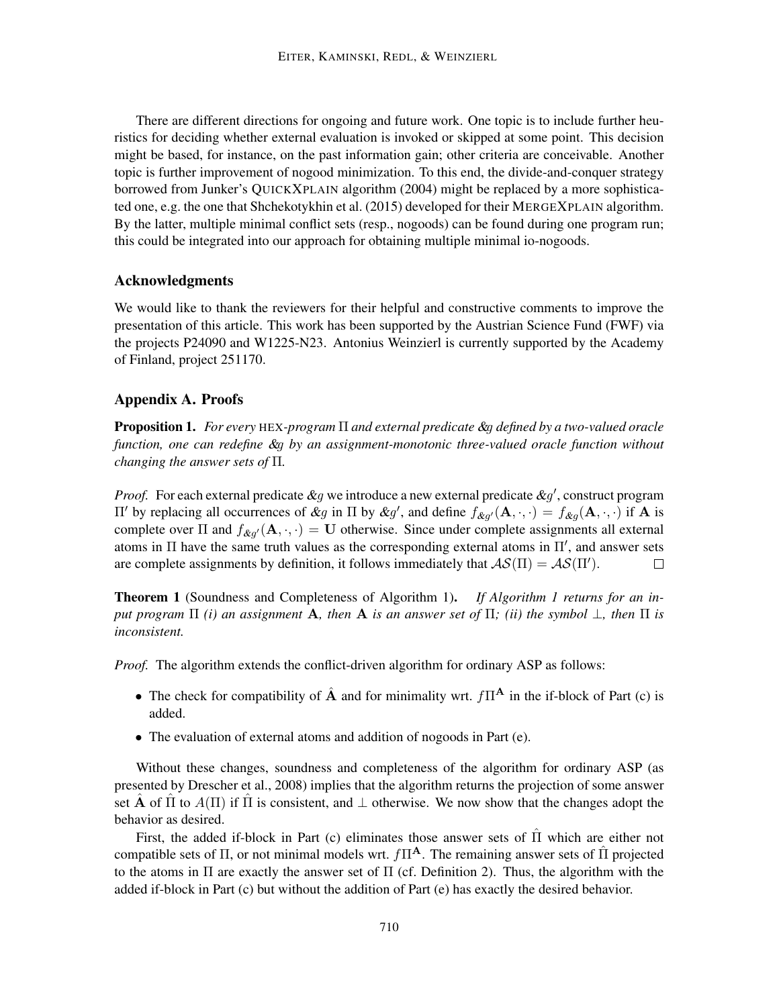There are different directions for ongoing and future work. One topic is to include further heuristics for deciding whether external evaluation is invoked or skipped at some point. This decision might be based, for instance, on the past information gain; other criteria are conceivable. Another topic is further improvement of nogood minimization. To this end, the divide-and-conquer strategy borrowed from Junker's QUICKXPLAIN algorithm (2004) might be replaced by a more sophisticated one, e.g. the one that Shchekotykhin et al. (2015) developed for their MERGEXPLAIN algorithm. By the latter, multiple minimal conflict sets (resp., nogoods) can be found during one program run; this could be integrated into our approach for obtaining multiple minimal io-nogoods.

## Acknowledgments

We would like to thank the reviewers for their helpful and constructive comments to improve the presentation of this article. This work has been supported by the Austrian Science Fund (FWF) via the projects P24090 and W1225-N23. Antonius Weinzierl is currently supported by the Academy of Finland, project 251170.

## Appendix A. Proofs

Proposition 1. *For every* HEX*-program* Π *and external predicate* &g *defined by a two-valued oracle function, one can redefine* &g *by an assignment-monotonic three-valued oracle function without changing the answer sets of* Π*.*

*Proof.* For each external predicate  $\&g$  we introduce a new external predicate  $\&g'$ , construct program  $\Pi'$  by replacing all occurrences of &g in  $\Pi$  by &g', and define  $f_{\&g'}(A, \cdot, \cdot) = f_{\&g}(A, \cdot, \cdot)$  if A is complete over  $\Pi$  and  $f_{\&g'}(A, \cdot, \cdot) = U$  otherwise. Since under complete assignments all external atoms in  $\Pi$  have the same truth values as the corresponding external atoms in  $\Pi'$ , and answer sets are complete assignments by definition, it follows immediately that  $\mathcal{AS}(\Pi) = \mathcal{AS}(\Pi').$  $\Box$ 

Theorem 1 (Soundness and Completeness of Algorithm 1). *If Algorithm 1 returns for an input program*  $\Pi$  *(i) an assignment* **A**, then **A** *is an answer set of*  $\Pi$ *; (ii) the symbol*  $\bot$ *, then*  $\Pi$  *is inconsistent.*

*Proof.* The algorithm extends the conflict-driven algorithm for ordinary ASP as follows:

- The check for compatibility of  $\hat{A}$  and for minimality wrt.  $f\Pi^{\mathbf{A}}$  in the if-block of Part (c) is added.
- The evaluation of external atoms and addition of nogoods in Part (e).

Without these changes, soundness and completeness of the algorithm for ordinary ASP (as presented by Drescher et al., 2008) implies that the algorithm returns the projection of some answer set **A** of  $\Pi$  to  $A(\Pi)$  if  $\Pi$  is consistent, and  $\bot$  otherwise. We now show that the changes adopt the behavior as desired.

First, the added if-block in Part (c) eliminates those answer sets of  $\hat{\Pi}$  which are either not compatible sets of  $\Pi$ , or not minimal models wrt.  $f\Pi^{\mathbf{A}}$ . The remaining answer sets of  $\hat{\Pi}$  projected to the atoms in  $\Pi$  are exactly the answer set of  $\Pi$  (cf. Definition 2). Thus, the algorithm with the added if-block in Part (c) but without the addition of Part (e) has exactly the desired behavior.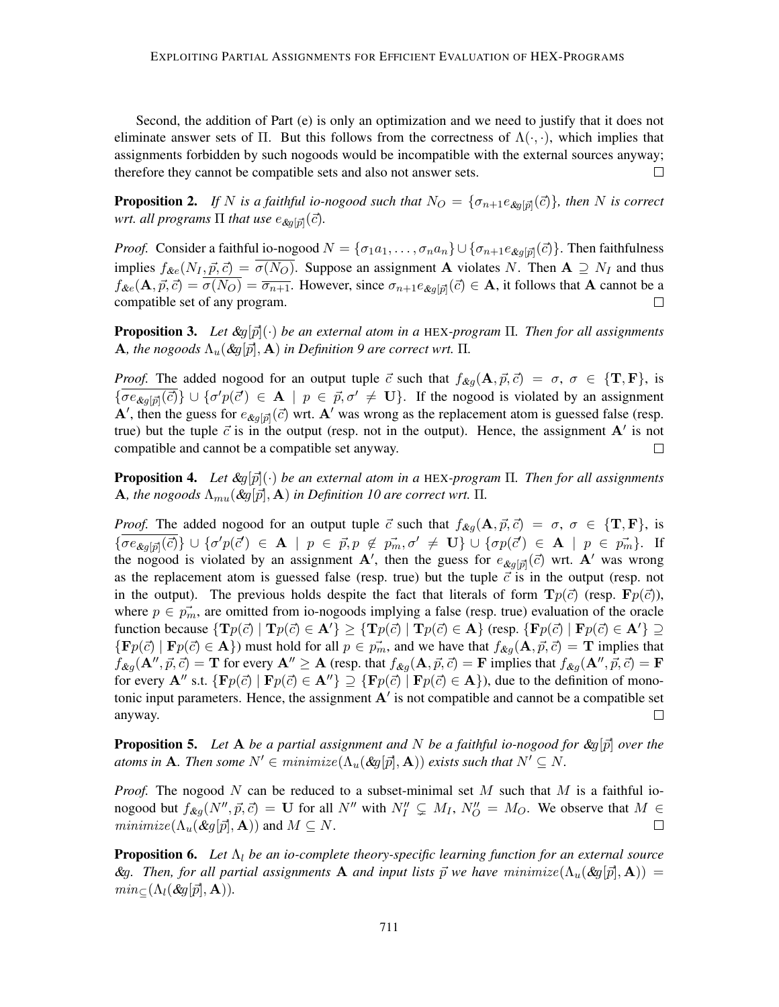Second, the addition of Part (e) is only an optimization and we need to justify that it does not eliminate answer sets of Π. But this follows from the correctness of  $\Lambda(\cdot, \cdot)$ , which implies that assignments forbidden by such nogoods would be incompatible with the external sources anyway; therefore they cannot be compatible sets and also not answer sets.  $\Box$ 

**Proposition 2.** If N is a faithful io-nogood such that  $N_O = \{\sigma_{n+1}e_{\text{dg}[\vec{p}]}(\vec{c})\}$ , then N is correct  $w$ rt. all programs  $\Pi$  that use  $e_{\mathcal{X} g[\vec{p}]}(\vec{c})$ .

*Proof.* Consider a faithful io-nogood  $N = \{\sigma_1 a_1, \dots, \sigma_n a_n\} \cup \{\sigma_{n+1} e_{\text{kg}[{\vec{p}}]}(\vec{c})\}\$ . Then faithfulness implies  $f_{\&e}(N_I, \vec{p}, \vec{c}) = \overline{\sigma(N_O)}$ . Suppose an assignment **A** violates N. Then **A**  $\supseteq N_I$  and thus  $f_{\&e}(\mathbf{A}, \vec{p}, \vec{c}) = \sigma(N_O) = \overline{\sigma_{n+1}}$ . However, since  $\sigma_{n+1}e_{\&g[\vec{p}]}(\vec{c}) \in \mathbf{A}$ , it follows that A cannot be a compatible set of any program.  $\Box$ 

**Proposition 3.** Let  $\&g[\vec{p}](\cdot)$  be an external atom in a HEX-program  $\Pi$ . Then for all assignments A, the nogoods  $\Lambda_u(\mathcal{L}q[\vec{p}], \mathbf{A})$  *in Definition 9 are correct wrt.*  $\Pi$ .

*Proof.* The added nogood for an output tuple  $\vec{c}$  such that  $f_{\&q}(\mathbf{A}, \vec{p}, \vec{c}) = \sigma$ ,  $\sigma \in \{\mathbf{T}, \mathbf{F}\},\$  is  ${\overline{\{\sigma e_{\&g[\vec{p}]}(\vec{c})\}}} \cup {\sigma' p(\vec{c}') \in {\bf A} \mid p \in \vec{p}, \sigma' \neq {\bf U}}.$  If the nogood is violated by an assignment A', then the guess for  $e_{\&g[\vec{p}]}(\vec{c})$  wrt. A' was wrong as the replacement atom is guessed false (resp. true) but the tuple  $\vec{c}$  is in the output (resp. not in the output). Hence, the assignment  $\mathbf{A}'$  is not compatible and cannot be a compatible set anyway.  $\Box$ 

**Proposition 4.** Let  $\&g[\vec{p}](\cdot)$  be an external atom in a HEX-program  $\Pi$ . Then for all assignments A, the nogoods  $\Lambda_{mu}(\&q[\vec{p}], \mathbf{A})$  *in Definition 10 are correct wrt.*  $\Pi$ .

*Proof.* The added nogood for an output tuple  $\vec{c}$  such that  $f_{\&q}(\mathbf{A}, \vec{p}, \vec{c}) = \sigma, \sigma \in \{\mathbf{T}, \mathbf{F}\}\$ , is  ${\overline{\{\sigma e_{\&g[\vec{p}]}(\vec{c})\}}} \cup {\sigma' p(\vec{c}') \in {\bf A}} \mid p \in \vec{p}, p \notin \vec{p_m}, \sigma' \neq {\bf U} \} \cup {\sigma p(\vec{c}') \in {\bf A} \mid p \in \vec{p_m}}.$  If the nogood is violated by an assignment A', then the guess for  $e_{\&g[\vec{p}]}(\vec{c})$  wrt. A' was wrong as the replacement atom is guessed false (resp. true) but the tuple  $\vec{c}$  is in the output (resp. not in the output). The previous holds despite the fact that literals of form  $\mathbf{T}p(\vec{c})$  (resp.  $\mathbf{F}p(\vec{c})$ ), where  $p \in \vec{p_m}$ , are omitted from io-nogoods implying a false (resp. true) evaluation of the oracle function because  $\{ \text{T}p(\vec{c}) \mid \text{T}p(\vec{c}) \in A' \} \geq \{ \text{T}p(\vec{c}) \mid \text{T}p(\vec{c}) \in A \}$  (resp.  $\{ \text{F}p(\vec{c}) \mid \text{F}p(\vec{c}) \in A' \} \supseteq$  ${Fp(\vec{c}) | Fp(\vec{c}) \in A}$ ) must hold for all  $p \in \vec{p_m}$ , and we have that  $f_{\mathcal{R}g}(A, \vec{p}, \vec{c}) = T$  implies that  $f_{\&g}(\mathbf{A}'', \vec{p}, \vec{c}) = \mathbf{T}$  for every  $\mathbf{A}'' \geq \mathbf{A}$  (resp. that  $f_{\&g}(\mathbf{A}, \vec{p}, \vec{c}) = \mathbf{F}$  implies that  $f_{\&g}(\mathbf{A}'', \vec{p}, \vec{c}) = \mathbf{F}$ for every  $\mathbf{A}''$  s.t.  $\{\mathbf{F}p(\vec{c}) \mid \mathbf{F}p(\vec{c}) \in \mathbf{A}''\} \supseteq \{\mathbf{F}p(\vec{c}) \mid \mathbf{F}p(\vec{c}) \in \mathbf{A}\}\)$ , due to the definition of monotonic input parameters. Hence, the assignment  $A'$  is not compatible and cannot be a compatible set  $\Box$ anyway.

**Proposition 5.** Let A be a partial assignment and N be a faithful io-nogood for  $\mathcal{R}q[\vec{p}]$  over the *atoms in* **A***. Then some*  $N' \in minimize(\Lambda_u(\& q[\vec{p}], \mathbf{A}))$  *exists such that*  $N' \subseteq N$ *.* 

*Proof.* The nogood N can be reduced to a subset-minimal set M such that M is a faithful ionogood but  $f_{\&g}(N'', \vec{p}, \vec{c}) = \mathbf{U}$  for all  $N''$  with  $N''_I \subsetneq M_I$ ,  $N''_O = M_O$ . We observe that  $M \in$  $minimize(\Lambda_u(\&q[\vec{p}], \mathbf{A}))$  and  $M \subseteq N$ .  $\Box$ 

**Proposition 6.** Let  $\Lambda_l$  be an io-complete theory-specific learning function for an external source  $\mathcal{R}g$ . Then, for all partial assignments **A** and input lists  $\vec{p}$  we have minimize( $\Lambda_u(\mathcal{R}g[\vec{p}], \mathbf{A})$ ) =  $min_{\mathcal{C}}(\Lambda_l(\&q[\vec{p}],\mathbf{A})).$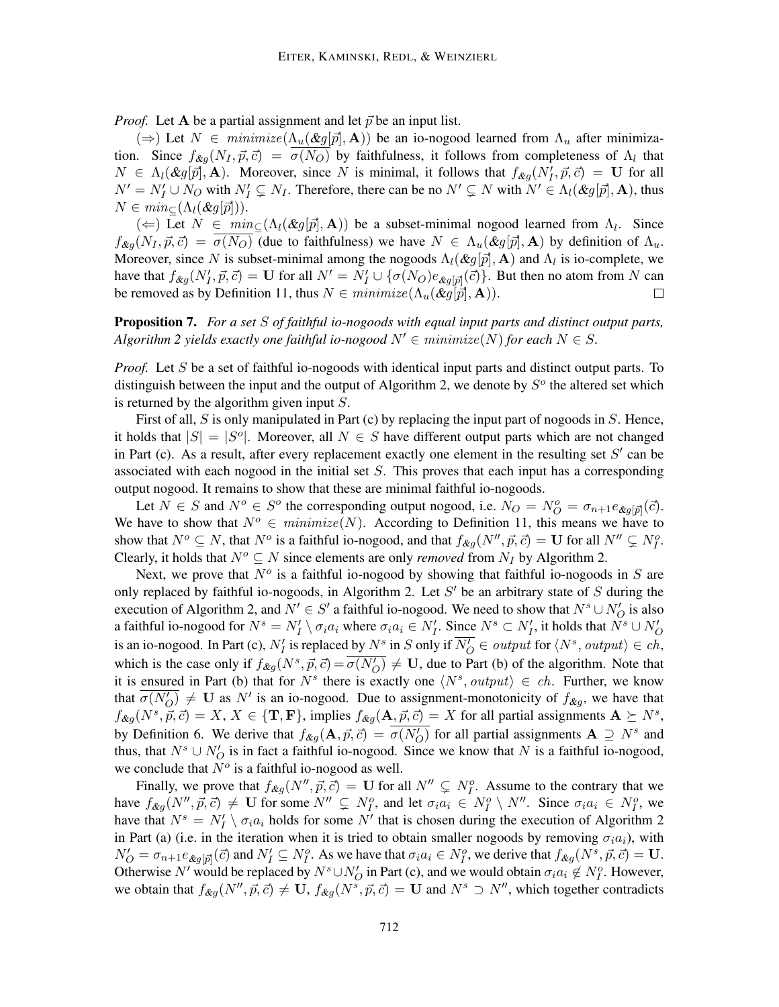*Proof.* Let A be a partial assignment and let  $\vec{p}$  be an input list.

 $(\Rightarrow)$  Let  $N \in \text{minimize} (\Lambda_u(\&g[\vec{p}], \mathbf{A}))$  be an io-nogood learned from  $\Lambda_u$  after minimization. Since  $f_{\&g}(N_I, \vec{p}, \vec{c}) = \sigma(N_O)$  by faithfulness, it follows from completeness of  $\Lambda_l$  that  $N \in \Lambda_l(\mathcal{K}g[\vec{p}], \mathbf{A})$ . Moreover, since N is minimal, it follows that  $f_{\mathcal{K}g}(N'_I, \vec{p}, \vec{c}) = \mathbf{U}$  for all  $N' = N_I' \cup N_O$  with  $N_I' \subsetneq N_I$ . Therefore, there can be no  $N' \subsetneq N$  with  $N' \in \Lambda_l(\&g[\vec{p}],\mathbf{A})$ , thus  $N \in min_{\subset}(\Lambda_l(\mathcal{X}q[\vec{p}])).$ 

( $\Leftarrow$ ) Let  $N \in min_{\subseteq}(\Lambda_l(\&g[\vec{p}],\mathbf{A}))$  be a subset-minimal nogood learned from  $\Lambda_l$ . Since  $f_{\&q}$  $(N_I, \vec{p}, \vec{c}) = \sigma(N_O)$  (due to faithfulness) we have  $N \in \Lambda_u(\&q[\vec{p}], \mathbf{A})$  by definition of  $\Lambda_u$ . Moreover, since N is subset-minimal among the nogoods  $\Lambda_l(\&g[\vec{p}],\mathbf{A})$  and  $\Lambda_l$  is io-complete, we have that  $f_{\&g}(N'_I, \vec{p}, \vec{c}) = \mathbf{U}$  for all  $N' = N'_I \cup \{\sigma(N_O)e_{\&g[\vec{p}]}(\vec{c})\}\)$ . But then no atom from N can be removed as by Definition 11, thus  $N \in \text{minimize} (\Lambda_u(\&g[\vec{p}], \mathbf{A})).$  $\Box$ 

Proposition 7. *For a set* S *of faithful io-nogoods with equal input parts and distinct output parts, Algorithm 2 yields exactly one faithful io-nogood*  $N' \in \text{minimize}(N)$  *for each*  $N \in S$ *.* 

*Proof.* Let S be a set of faithful io-nogoods with identical input parts and distinct output parts. To distinguish between the input and the output of Algorithm 2, we denote by  $S<sup>o</sup>$  the altered set which is returned by the algorithm given input  $S$ .

First of all, S is only manipulated in Part (c) by replacing the input part of nogoods in S. Hence, it holds that  $|S| = |S^{\circ}|$ . Moreover, all  $N \in S$  have different output parts which are not changed in Part (c). As a result, after every replacement exactly one element in the resulting set  $S'$  can be associated with each nogood in the initial set S. This proves that each input has a corresponding output nogood. It remains to show that these are minimal faithful io-nogoods.

Let  $N \in S$  and  $N^o \in S^o$  the corresponding output nogood, i.e.  $N_O = N_O^o = \sigma_{n+1} e_{\&g[\vec{p}]}(\vec{c})$ . We have to show that  $N^o \in minimize(N)$ . According to Definition 11, this means we have to show that  $N^o \subseteq N$ , that  $N^o$  is a faithful io-nogood, and that  $f_{\&g}(N'', \vec{p}, \vec{c}) = \mathbf{U}$  for all  $N'' \subsetneq N_I^o$ . Clearly, it holds that  $N^o \subseteq N$  since elements are only *removed* from  $N_I$  by Algorithm 2.

Next, we prove that  $N<sup>o</sup>$  is a faithful io-nogood by showing that faithful io-nogoods in S are only replaced by faithful io-nogoods, in Algorithm 2. Let  $S'$  be an arbitrary state of  $S$  during the execution of Algorithm 2, and  $N' \in S'$  a faithful io-nogood. We need to show that  $N^s \cup N'_O$  is also a faithful io-nogood for  $N^s=N'_I\setminus \sigma_ia_i$  where  $\sigma_ia_i\in N'_I.$  Since  $N^s\subset N'_I$ , it holds that  $\tilde{N^s}\cup N'_O$ is an io-nogood. In Part (c),  $N'_I$  is replaced by  $N^s$  in S only if  $\overline{N'_O} \in output$  for  $\langle N^s, output \rangle \in ch$ , which is the case only if  $f_{\&g}(N^s, \vec{p}, \vec{c}) = \overline{\sigma(N'_O)} \neq \mathbf{U}$ , due to Part (b) of the algorithm. Note that it is ensured in Part (b) that for  $N<sup>s</sup>$  there is exactly one  $\langle N<sup>s</sup>, output \rangle \in ch$ . Further, we know that  $\overline{\sigma(N_O')}$   $\neq$  U as N' is an io-nogood. Due to assignment-monotonicity of  $f_{\mathcal{L}g}$ , we have that  $f_{\mathcal{X}g}(N^s, \vec{p}, \vec{c}) = X, X \in \{T, F\}$ , implies  $f_{\mathcal{X}g}(\mathbf{A}, \vec{p}, \vec{c}) = X$  for all partial assignments  $\mathbf{A} \succeq N^s$ , by Definition 6. We derive that  $f_{\&g}(\mathbf{A}, \vec{p}, \vec{c}) = \overline{\sigma(N'_O)}$  for all partial assignments  $\mathbf{A} \supseteq N^s$  and thus, that  $N^s \cup N'_O$  is in fact a faithful io-nogood. Since we know that N is a faithful io-nogood, we conclude that  $N^o$  is a faithful io-nogood as well.

Finally, we prove that  $f_{\&g}(N'', \vec{p}, \vec{c}) = \mathbf{U}$  for all  $N'' \subsetneq N_I^o$ . Assume to the contrary that we have  $f_{\&g}(N'', \vec{p}, \vec{c}) \neq \mathbf{U}$  for some  $N'' \subsetneq N_f^o$ , and let  $\sigma_i a_i \in N_f^o \setminus N''$ . Since  $\sigma_i a_i \in N_f^o$ , we have that  $N^s = N'_I \setminus \sigma_i a_i$  holds for some N' that is chosen during the execution of Algorithm 2 in Part (a) (i.e. in the iteration when it is tried to obtain smaller nogoods by removing  $\sigma_i a_i$ ), with  $N'_O = \sigma_{n+1} e_{\&g[\vec{p}]}(\vec{c})$  and  $N'_I \subseteq N_I^o$ . As we have that  $\sigma_i a_i \in N_I^o$ , we derive that  $f_{\&g}(N^s, \vec{p}, \vec{c}) = \mathbf{U}$ . Otherwise N' would be replaced by  $N^s \cup N'_O$  in Part (c), and we would obtain  $\sigma_i a_i \notin N_I^o$ . However, we obtain that  $f_{\&g}(N'', \vec{p}, \vec{c}) \neq \mathbf{U}$ ,  $f_{\&g}(N^s, \vec{p}, \vec{c}) = \mathbf{U}$  and  $N^s \supset N''$ , which together contradicts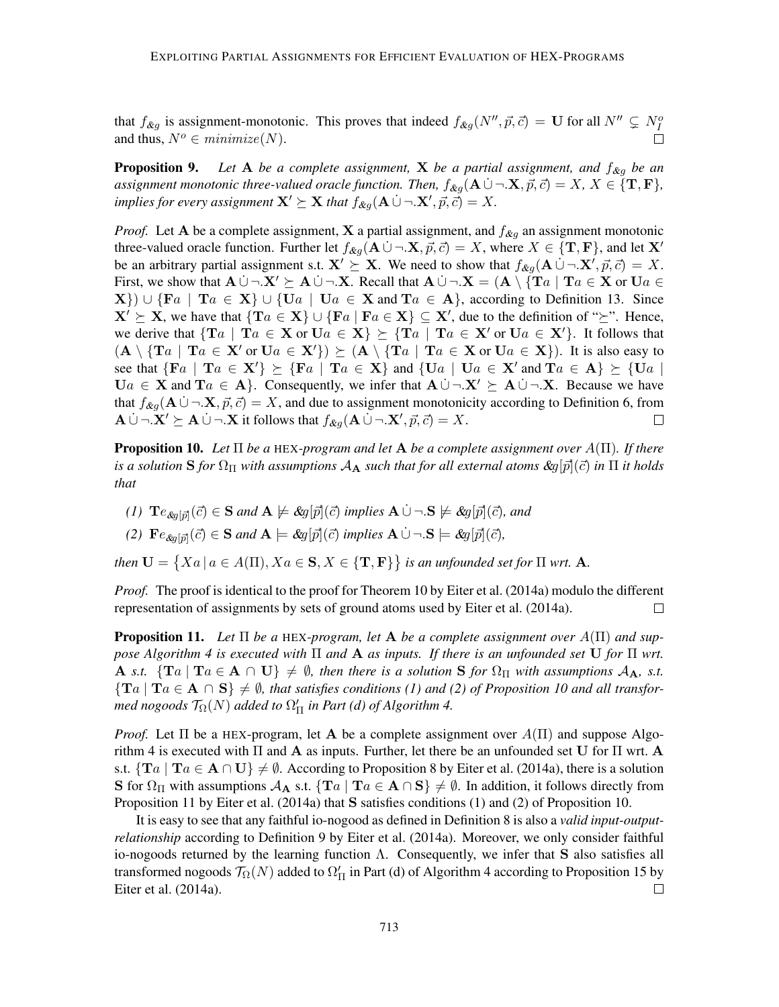that  $f_{\&g}$  is assignment-monotonic. This proves that indeed  $f_{\&g}(N'', \vec{p}, \vec{c}) = \mathbf{U}$  for all  $N'' \subsetneq N_I^o$ and thus,  $N^o \in minimize(N)$ .

**Proposition 9.** Let A be a complete assignment, X be a partial assignment, and  $f_{\&g}$  be an *assignment monotonic three-valued oracle function. Then,*  $f_{\&g}(\mathbf{A} \cup \neg \mathbf{X}, \vec{p}, \vec{c}) = X, X \in \{\mathbf{T}, \mathbf{F}\},\$ *implies for every assignment*  $\mathbf{X}' \succeq \mathbf{X}$  *that*  $f_{\mathcal{X}g}(\mathbf{A} \cup \neg \mathbf{X}', \vec{p}, \vec{c}) = X$ .

*Proof.* Let A be a complete assignment, X a partial assignment, and  $f_{\&g}$  an assignment monotonic three-valued oracle function. Further let  $f_{\&g}(\mathbf{A} \cup \neg \mathbf{X}, \vec{p}, \vec{c}) = X$ , where  $X \in \{T, F\}$ , and let  $\mathbf{X}'$ be an arbitrary partial assignment s.t.  $X' \succeq X$ . We need to show that  $f_{\mathcal{L}g}(A \cup \neg X', \vec{p}, \vec{c}) = X$ . First, we show that  $A \cup \neg X' \succeq A \cup \neg X$ . Recall that  $A \cup \neg X = (A \setminus \{Ta \mid Ta \in X \text{ or } U_a \in X')\}$  $\{X\}\cup \{Fa \mid Ta \in X\} \cup \{Ua \mid Ua \in X \text{ and } Ta \in A\}$ , according to Definition 13. Since  $X' \succeq X$ , we have that  $\{Ta \in X\} \cup \{Fa \mid Fa \in X\} \subseteq X'$ , due to the definition of " $\succeq$ ". Hence, we derive that  $\{Ta \mid Ta \in X \text{ or } Ua \in X\} \succeq \{Ta \mid Ta \in X' \text{ or } Ua \in X'\}.$  It follows that  $(A \setminus {Ta \mid Ta \in X' \text{ or } U_a \in X'} ) \succeq (A \setminus {Ta \mid Ta \in X \text{ or } U_a \in X} ).$  It is also easy to see that  $\{Fa \mid Ta \in X'\} \succeq \{Fa \mid Ta \in X\}$  and  $\{Ua \mid Ua \in X'\}$  and  $Ta \in A\} \succeq \{Ua \mid Ta \in X'\}$  $\mathbf{U}a \in \mathbf{X}$  and  $\mathbf{T}a \in \mathbf{A}$ . Consequently, we infer that  $\mathbf{A} \cup \neg \mathbf{X}' \succeq \mathbf{A} \cup \neg \mathbf{X}$ . Because we have that  $f_{\&g}(\mathbf{A} \cup \neg \mathbf{X}, \vec{p}, \vec{c}) = X$ , and due to assignment monotonicity according to Definition 6, from  ${\bf A} \dot{\cup} \neg {\bf X}' \succeq {\bf A} \dot{\cup} \neg {\bf X}$  it follows that  $f_{\mathcal{X}g}({\bf A} \dot{\cup} \neg {\bf X}', \vec{p}, \vec{c}) = X$ . П

Proposition 10. *Let* Π *be a* HEX*-program and let* A *be a complete assignment over* A(Π)*. If there is a solution* **S** *for*  $\Omega_{\Pi}$  *with assumptions*  $A_{\bf A}$  *such that for all external atoms*  $\&g[\vec{p}](\vec{c})$  *in*  $\Pi$  *it holds that*

- *(1)*  $\mathbf{T}e_{\mathcal{S}g[\vec{p}]}(\vec{c}) \in \mathbf{S}$  and  $\mathbf{A} \not\models \mathcal{S}g[\vec{p}](\vec{c})$  implies  $\mathbf{A} \cup \neg \mathbf{S} \not\models \mathcal{S}g[\vec{p}](\vec{c})$ , and
- *(2)*  $\mathbf{F}e_{\&g[\vec{p}]}(\vec{c}) \in \mathbf{S}$  *and*  $\mathbf{A} \models \&g[\vec{p}](\vec{c})$  *implies*  $\mathbf{A} \cup \neg \cdot \mathbf{S} \models \&g[\vec{p}](\vec{c})$ *,*

*then*  $\mathbf{U} = \{ Xa \mid a \in A(\Pi), Xa \in \mathbf{S}, X \in \{ \mathbf{T}, \mathbf{F} \} \}$  is an unfounded set for  $\Pi$  wrt. A.

*Proof.* The proof is identical to the proof for Theorem 10 by Eiter et al. (2014a) modulo the different representation of assignments by sets of ground atoms used by Eiter et al. (2014a).  $\Box$ 

**Proposition 11.** Let  $\Pi$  be a HEX-program, let **A** be a complete assignment over  $A(\Pi)$  and sup*pose Algorithm 4 is executed with* Π *and* A *as inputs. If there is an unfounded set* U *for* Π *wrt.* A *s.t.*  $\{Ta \mid Ta \in A \cap U\} \neq \emptyset$ , then there is a solution S for  $\Omega_{\Pi}$  with assumptions  $A_A$ , *s.t.*  ${T_a \mid Ta \in A \cap S} \neq \emptyset$ , that satisfies conditions (1) and (2) of Proposition 10 and all transformed nogoods  $\mathcal{T}_\Omega(N)$  added to  $\Omega'_\Pi$  in Part (d) of Algorithm 4.

*Proof.* Let  $\Pi$  be a HEX-program, let **A** be a complete assignment over  $A(\Pi)$  and suppose Algorithm 4 is executed with  $\Pi$  and  $\bf{A}$  as inputs. Further, let there be an unfounded set U for  $\Pi$  wrt.  $\bf{A}$ s.t.  $\{Ta \mid Ta \in A \cap U\} \neq \emptyset$ . According to Proposition 8 by Eiter et al. (2014a), there is a solution S for  $\Omega_{\Pi}$  with assumptions  $\mathcal{A}_{\mathbf{A}}$  s.t.  $\{ \text{Ta} \mid \text{Ta} \in \mathbf{A} \cap \mathbf{S} \} \neq \emptyset$ . In addition, it follows directly from Proposition 11 by Eiter et al. (2014a) that S satisfies conditions (1) and (2) of Proposition 10.

It is easy to see that any faithful io-nogood as defined in Definition 8 is also a *valid input-outputrelationship* according to Definition 9 by Eiter et al. (2014a). Moreover, we only consider faithful io-nogoods returned by the learning function  $\Lambda$ . Consequently, we infer that S also satisfies all transformed nogoods  $\mathcal{T}_{\Omega}(N)$  added to  $\Omega_{\Pi}'$  in Part (d) of Algorithm 4 according to Proposition 15 by Eiter et al. (2014a).  $\Box$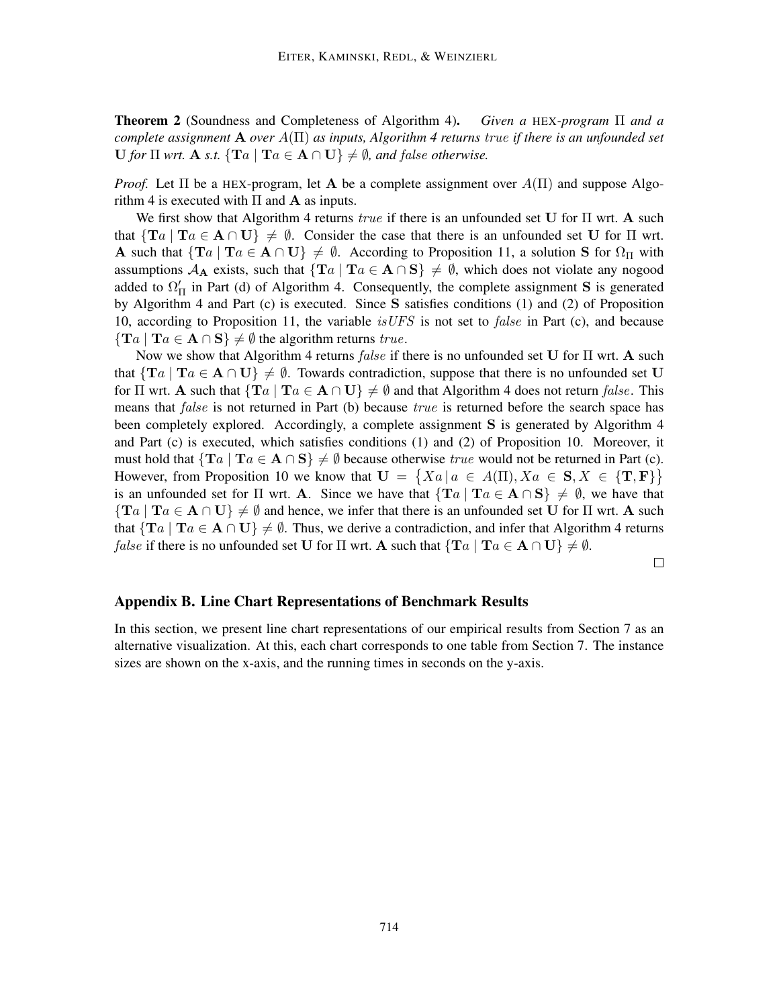Theorem 2 (Soundness and Completeness of Algorithm 4). *Given a* HEX*-program* Π *and a complete assignment* A *over* A(Π) *as inputs, Algorithm 4 returns* true *if there is an unfounded set*  $U$  *for*  $\Pi$  *wrt.* **A** *s.t.*  ${\rm{T}}a \mid {\rm{T}}a \in A \cap U$   $\neq \emptyset$ *, and false otherwise.* 

*Proof.* Let  $\Pi$  be a HEX-program, let **A** be a complete assignment over  $A(\Pi)$  and suppose Algorithm 4 is executed with  $\Pi$  and  $A$  as inputs.

We first show that Algorithm 4 returns true if there is an unfounded set U for  $\Pi$  wrt. A such that  $\{Ta \mid Ta \in A \cap U\} \neq \emptyset$ . Consider the case that there is an unfounded set U for  $\Pi$  wrt. A such that  $\{Ta \mid Ta \in A \cap U\} \neq \emptyset$ . According to Proposition 11, a solution S for  $\Omega_{\Pi}$  with assumptions  $\mathcal{A}_{\mathbf{A}}$  exists, such that  $\{Ta \mid Ta \in \mathbf{A} \cap \mathbf{S}\}\neq \emptyset$ , which does not violate any nogood added to  $\Omega'_{\Pi}$  in Part (d) of Algorithm 4. Consequently, the complete assignment S is generated by Algorithm 4 and Part (c) is executed. Since S satisfies conditions (1) and (2) of Proposition 10, according to Proposition 11, the variable *is UFS* is not set to *false* in Part (c), and because  $\{Ta \mid Ta \in A \cap S\} \neq \emptyset$  the algorithm returns true.

Now we show that Algorithm 4 returns false if there is no unfounded set U for  $\Pi$  wrt. A such that  $\{Ta \mid Ta \in A \cap U\} \neq \emptyset$ . Towards contradiction, suppose that there is no unfounded set U for  $\Pi$  wrt. A such that  $\{Ta \mid Ta \in A \cap U\} \neq \emptyset$  and that Algorithm 4 does not return *false*. This means that false is not returned in Part (b) because true is returned before the search space has been completely explored. Accordingly, a complete assignment S is generated by Algorithm 4 and Part (c) is executed, which satisfies conditions (1) and (2) of Proposition 10. Moreover, it must hold that  $\{Ta \mid Ta \in A \cap S\} \neq \emptyset$  because otherwise true would not be returned in Part (c). However, from Proposition 10 we know that  $\mathbf{U} = \{ Xa \mid a \in A(\Pi), Xa \in \mathbf{S}, X \in \{\mathbf{T}, \mathbf{F}\} \}$ is an unfounded set for  $\Pi$  wrt. A. Since we have that  $\{Ta \mid Ta \in A \cap S\} \neq \emptyset$ , we have that  $\{Ta \mid Ta \in A \cap U\} \neq \emptyset$  and hence, we infer that there is an unfounded set U for  $\Pi$  wrt. A such that  $\{Ta \mid Ta \in A \cap U\} \neq \emptyset$ . Thus, we derive a contradiction, and infer that Algorithm 4 returns *false* if there is no unfounded set U for  $\Pi$  wrt. A such that  $\{Ta \mid Ta \in A \cap U\} \neq \emptyset$ .

 $\Box$ 

## Appendix B. Line Chart Representations of Benchmark Results

In this section, we present line chart representations of our empirical results from Section 7 as an alternative visualization. At this, each chart corresponds to one table from Section 7. The instance sizes are shown on the x-axis, and the running times in seconds on the y-axis.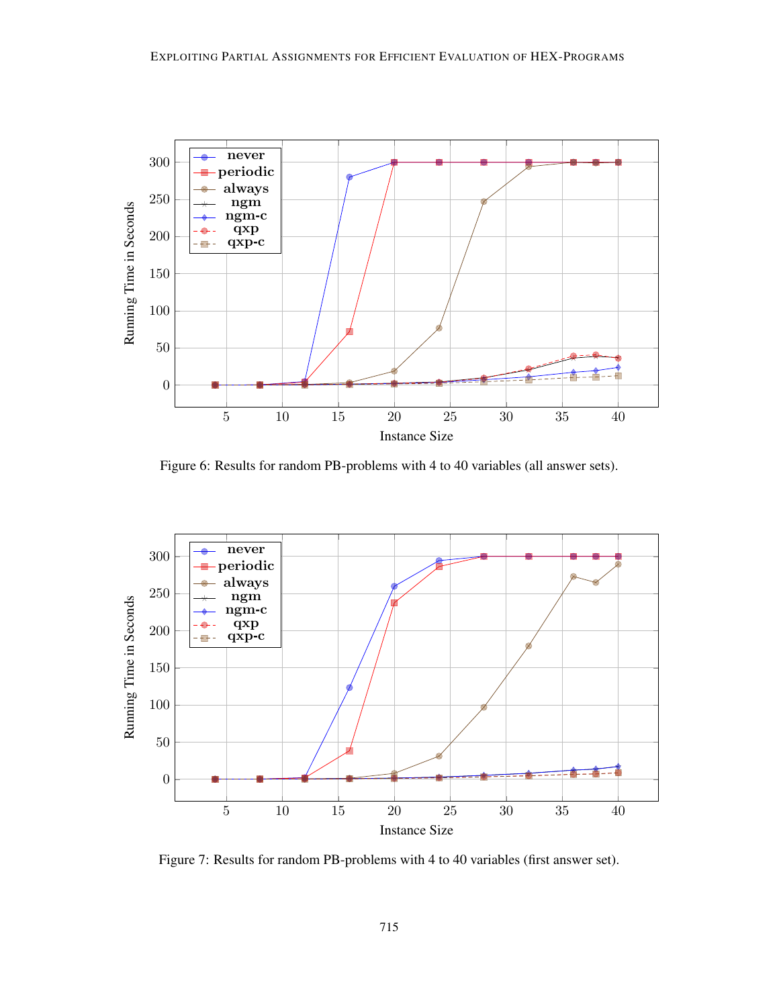

Figure 6: Results for random PB-problems with 4 to 40 variables (all answer sets).



Figure 7: Results for random PB-problems with 4 to 40 variables (first answer set).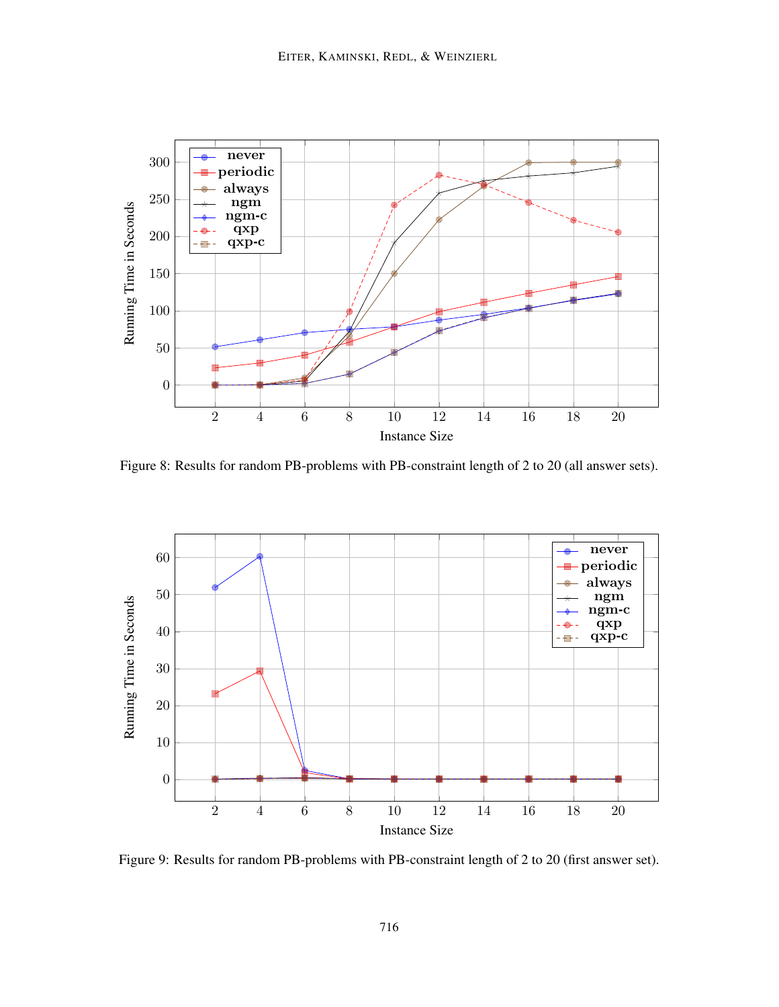

Figure 8: Results for random PB-problems with PB-constraint length of 2 to 20 (all answer sets).



Figure 9: Results for random PB-problems with PB-constraint length of 2 to 20 (first answer set).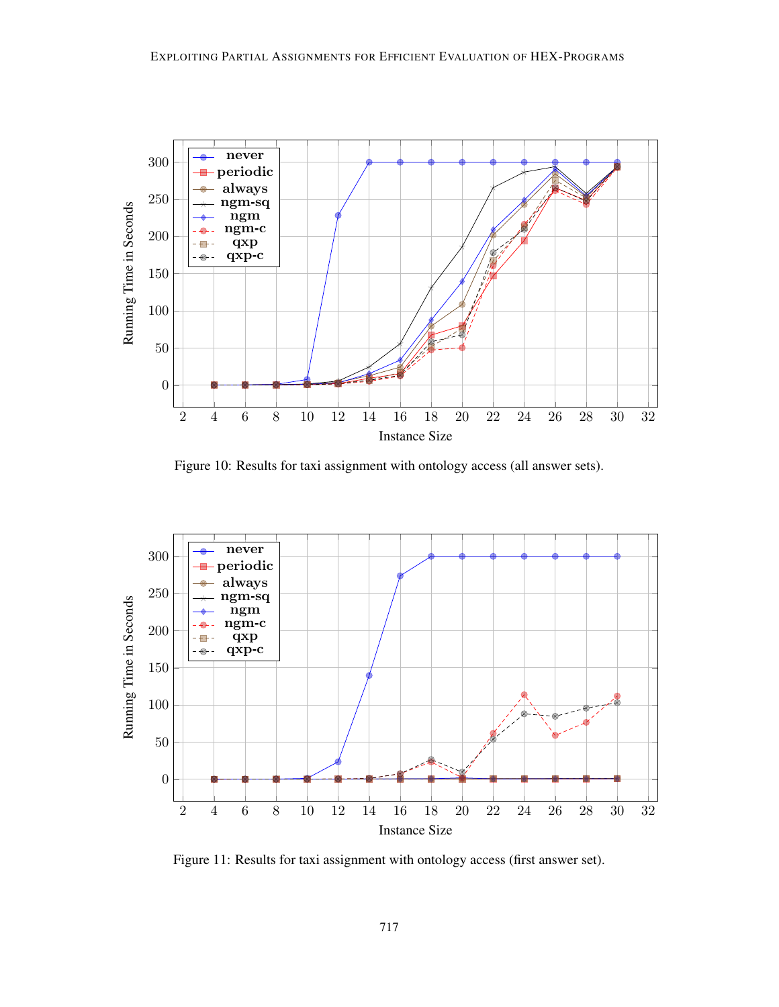

Figure 10: Results for taxi assignment with ontology access (all answer sets).



Figure 11: Results for taxi assignment with ontology access (first answer set).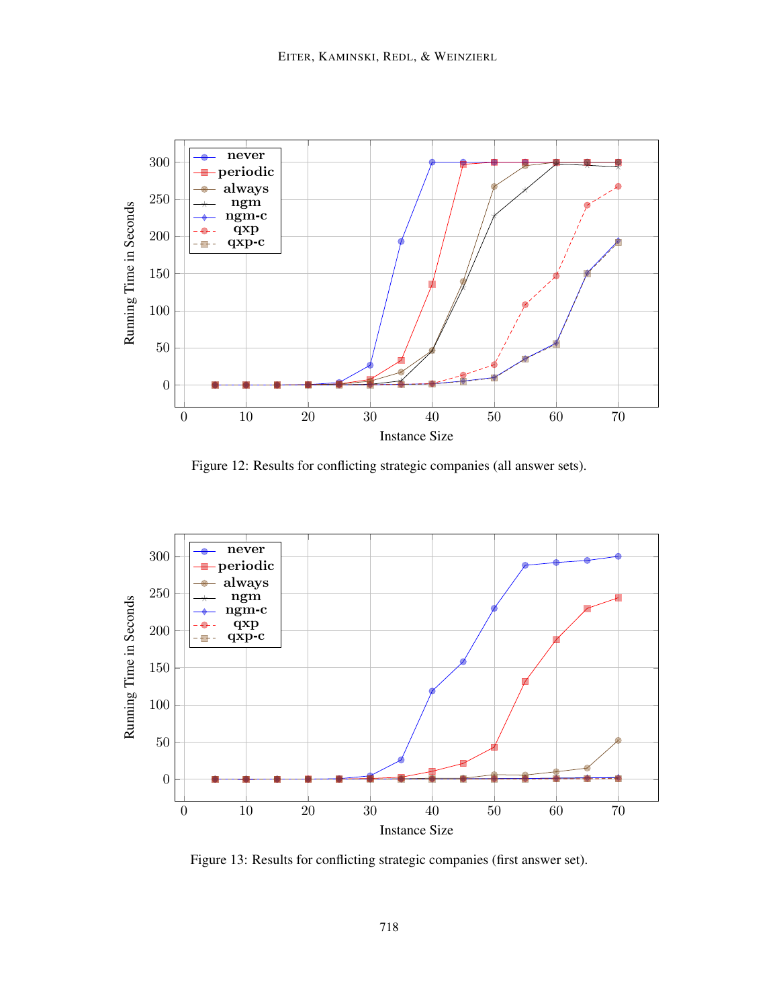

Figure 12: Results for conflicting strategic companies (all answer sets).



Figure 13: Results for conflicting strategic companies (first answer set).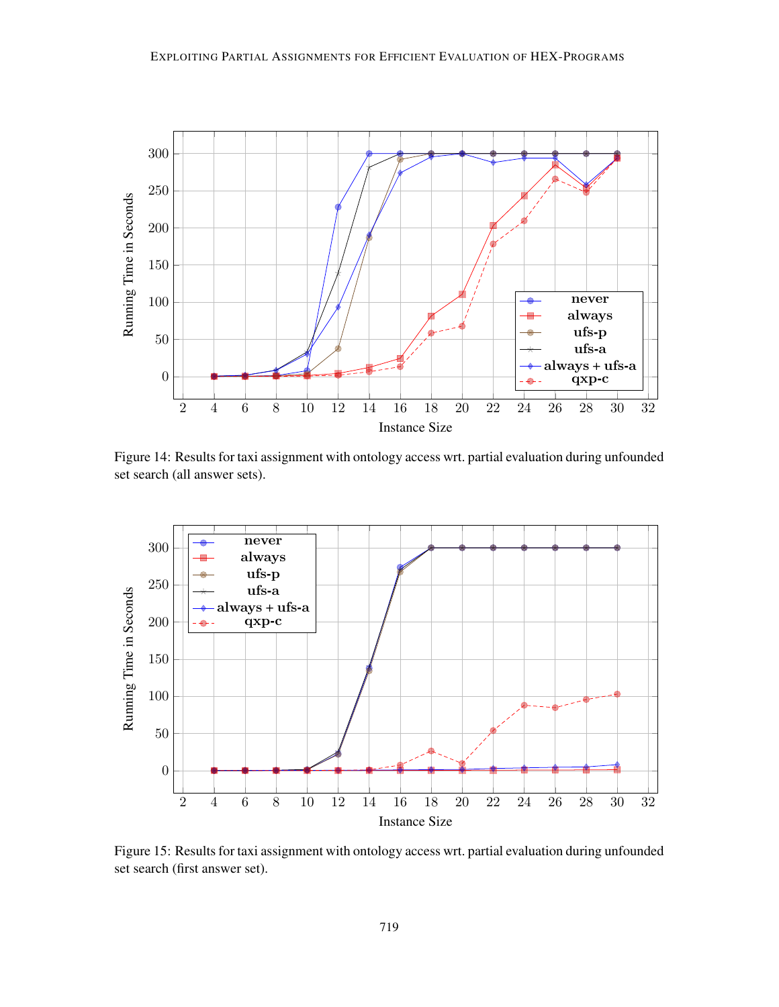

Figure 14: Results for taxi assignment with ontology access wrt. partial evaluation during unfounded set search (all answer sets).



Figure 15: Results for taxi assignment with ontology access wrt. partial evaluation during unfounded set search (first answer set).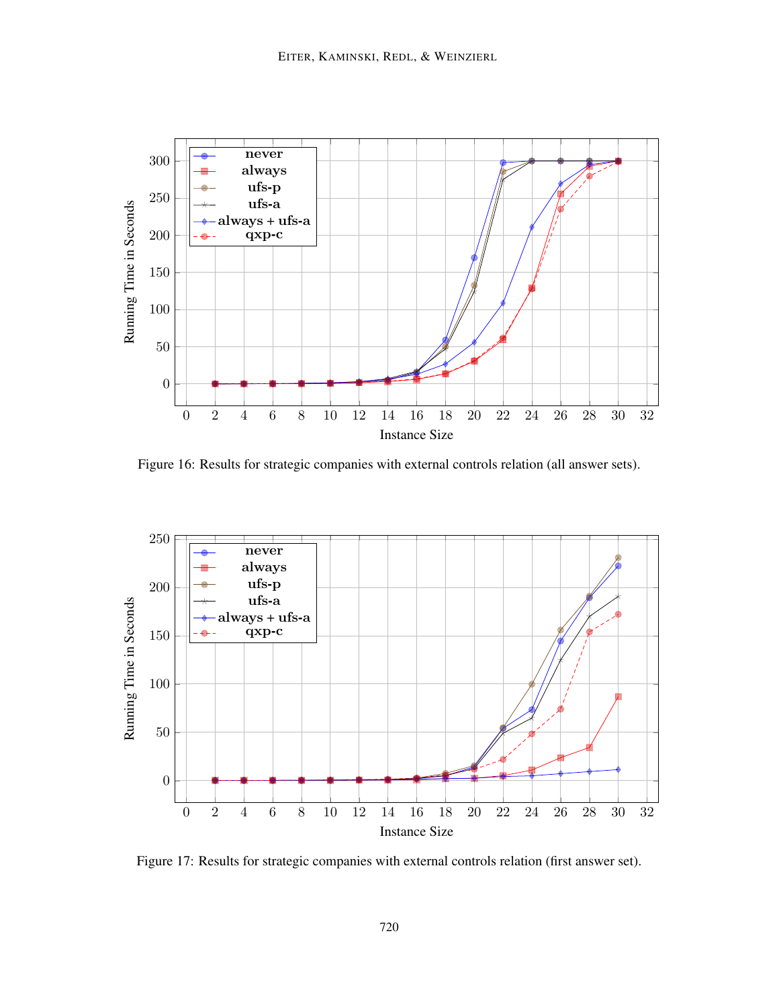

Figure 16: Results for strategic companies with external controls relation (all answer sets).



Figure 17: Results for strategic companies with external controls relation (first answer set).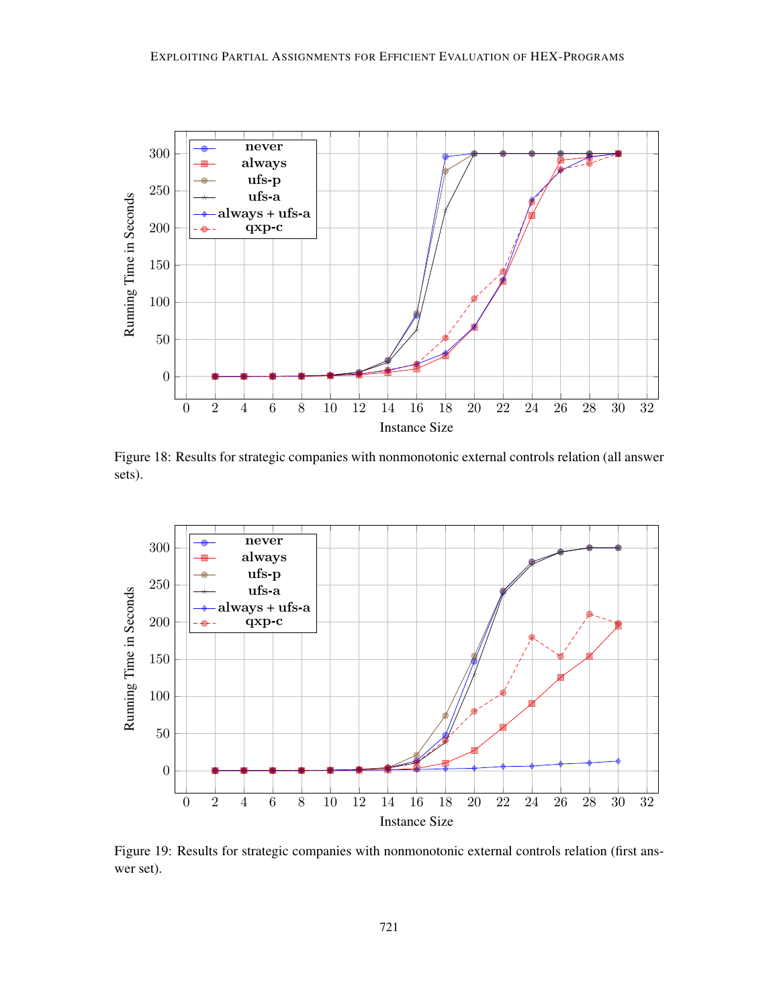

Figure 18: Results for strategic companies with nonmonotonic external controls relation (all answer sets).



Figure 19: Results for strategic companies with nonmonotonic external controls relation (first answer set).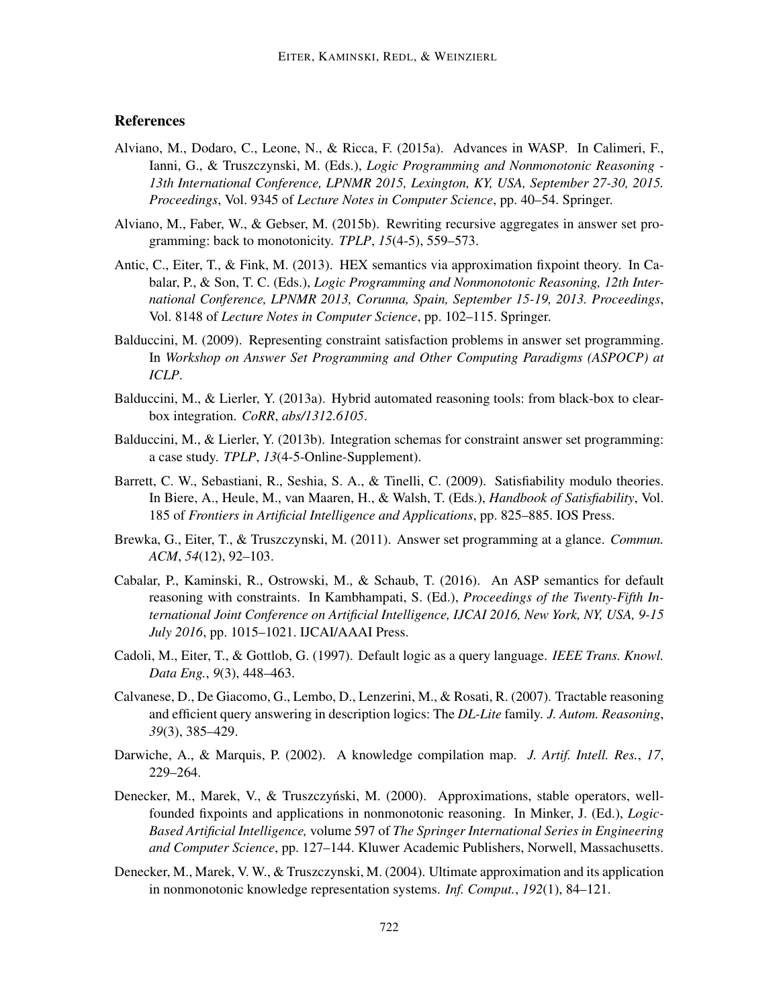## References

- Alviano, M., Dodaro, C., Leone, N., & Ricca, F. (2015a). Advances in WASP. In Calimeri, F., Ianni, G., & Truszczynski, M. (Eds.), *Logic Programming and Nonmonotonic Reasoning - 13th International Conference, LPNMR 2015, Lexington, KY, USA, September 27-30, 2015. Proceedings*, Vol. 9345 of *Lecture Notes in Computer Science*, pp. 40–54. Springer.
- Alviano, M., Faber, W., & Gebser, M. (2015b). Rewriting recursive aggregates in answer set programming: back to monotonicity. *TPLP*, *15*(4-5), 559–573.
- Antic, C., Eiter, T., & Fink, M. (2013). HEX semantics via approximation fixpoint theory. In Cabalar, P., & Son, T. C. (Eds.), *Logic Programming and Nonmonotonic Reasoning, 12th International Conference, LPNMR 2013, Corunna, Spain, September 15-19, 2013. Proceedings*, Vol. 8148 of *Lecture Notes in Computer Science*, pp. 102–115. Springer.
- Balduccini, M. (2009). Representing constraint satisfaction problems in answer set programming. In *Workshop on Answer Set Programming and Other Computing Paradigms (ASPOCP) at ICLP*.
- Balduccini, M., & Lierler, Y. (2013a). Hybrid automated reasoning tools: from black-box to clearbox integration. *CoRR*, *abs/1312.6105*.
- Balduccini, M., & Lierler, Y. (2013b). Integration schemas for constraint answer set programming: a case study. *TPLP*, *13*(4-5-Online-Supplement).
- Barrett, C. W., Sebastiani, R., Seshia, S. A., & Tinelli, C. (2009). Satisfiability modulo theories. In Biere, A., Heule, M., van Maaren, H., & Walsh, T. (Eds.), *Handbook of Satisfiability*, Vol. 185 of *Frontiers in Artificial Intelligence and Applications*, pp. 825–885. IOS Press.
- Brewka, G., Eiter, T., & Truszczynski, M. (2011). Answer set programming at a glance. *Commun. ACM*, *54*(12), 92–103.
- Cabalar, P., Kaminski, R., Ostrowski, M., & Schaub, T. (2016). An ASP semantics for default reasoning with constraints. In Kambhampati, S. (Ed.), *Proceedings of the Twenty-Fifth International Joint Conference on Artificial Intelligence, IJCAI 2016, New York, NY, USA, 9-15 July 2016*, pp. 1015–1021. IJCAI/AAAI Press.
- Cadoli, M., Eiter, T., & Gottlob, G. (1997). Default logic as a query language. *IEEE Trans. Knowl. Data Eng.*, *9*(3), 448–463.
- Calvanese, D., De Giacomo, G., Lembo, D., Lenzerini, M., & Rosati, R. (2007). Tractable reasoning and efficient query answering in description logics: The *DL-Lite* family. *J. Autom. Reasoning*, *39*(3), 385–429.
- Darwiche, A., & Marquis, P. (2002). A knowledge compilation map. *J. Artif. Intell. Res.*, *17*, 229–264.
- Denecker, M., Marek, V., & Truszczyński, M. (2000). Approximations, stable operators, wellfounded fixpoints and applications in nonmonotonic reasoning. In Minker, J. (Ed.), *Logic-Based Artificial Intelligence,* volume 597 of *The Springer International Series in Engineering and Computer Science*, pp. 127–144. Kluwer Academic Publishers, Norwell, Massachusetts.
- Denecker, M., Marek, V. W., & Truszczynski, M. (2004). Ultimate approximation and its application in nonmonotonic knowledge representation systems. *Inf. Comput.*, *192*(1), 84–121.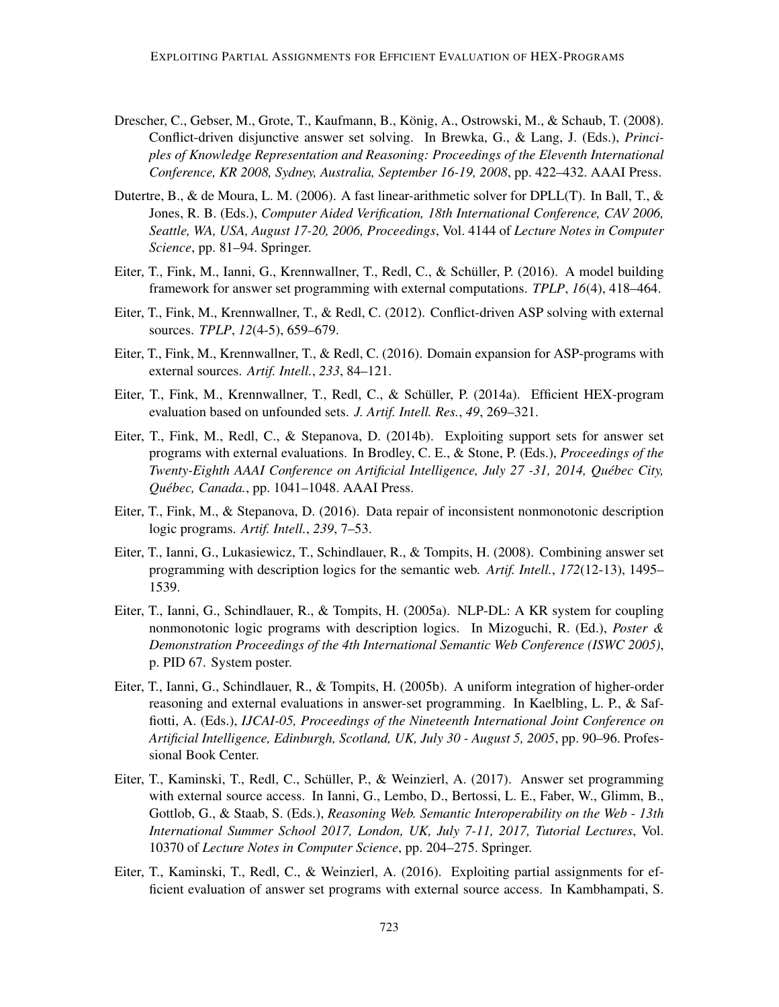- Drescher, C., Gebser, M., Grote, T., Kaufmann, B., König, A., Ostrowski, M., & Schaub, T. (2008). Conflict-driven disjunctive answer set solving. In Brewka, G., & Lang, J. (Eds.), *Principles of Knowledge Representation and Reasoning: Proceedings of the Eleventh International Conference, KR 2008, Sydney, Australia, September 16-19, 2008*, pp. 422–432. AAAI Press.
- Dutertre, B., & de Moura, L. M. (2006). A fast linear-arithmetic solver for DPLL(T). In Ball, T., & Jones, R. B. (Eds.), *Computer Aided Verification, 18th International Conference, CAV 2006, Seattle, WA, USA, August 17-20, 2006, Proceedings*, Vol. 4144 of *Lecture Notes in Computer Science*, pp. 81–94. Springer.
- Eiter, T., Fink, M., Ianni, G., Krennwallner, T., Redl, C., & Schüller, P. (2016). A model building framework for answer set programming with external computations. *TPLP*, *16*(4), 418–464.
- Eiter, T., Fink, M., Krennwallner, T., & Redl, C. (2012). Conflict-driven ASP solving with external sources. *TPLP*, *12*(4-5), 659–679.
- Eiter, T., Fink, M., Krennwallner, T., & Redl, C. (2016). Domain expansion for ASP-programs with external sources. *Artif. Intell.*, *233*, 84–121.
- Eiter, T., Fink, M., Krennwallner, T., Redl, C., & Schuller, P. (2014a). Efficient HEX-program ¨ evaluation based on unfounded sets. *J. Artif. Intell. Res.*, *49*, 269–321.
- Eiter, T., Fink, M., Redl, C., & Stepanova, D. (2014b). Exploiting support sets for answer set programs with external evaluations. In Brodley, C. E., & Stone, P. (Eds.), *Proceedings of the Twenty-Eighth AAAI Conference on Artificial Intelligence, July 27 -31, 2014, Quebec City, ´ Quebec, Canada. ´* , pp. 1041–1048. AAAI Press.
- Eiter, T., Fink, M., & Stepanova, D. (2016). Data repair of inconsistent nonmonotonic description logic programs. *Artif. Intell.*, *239*, 7–53.
- Eiter, T., Ianni, G., Lukasiewicz, T., Schindlauer, R., & Tompits, H. (2008). Combining answer set programming with description logics for the semantic web. *Artif. Intell.*, *172*(12-13), 1495– 1539.
- Eiter, T., Ianni, G., Schindlauer, R., & Tompits, H. (2005a). NLP-DL: A KR system for coupling nonmonotonic logic programs with description logics. In Mizoguchi, R. (Ed.), *Poster & Demonstration Proceedings of the 4th International Semantic Web Conference (ISWC 2005)*, p. PID 67. System poster.
- Eiter, T., Ianni, G., Schindlauer, R., & Tompits, H. (2005b). A uniform integration of higher-order reasoning and external evaluations in answer-set programming. In Kaelbling, L. P., & Saffiotti, A. (Eds.), *IJCAI-05, Proceedings of the Nineteenth International Joint Conference on Artificial Intelligence, Edinburgh, Scotland, UK, July 30 - August 5, 2005*, pp. 90–96. Professional Book Center.
- Eiter, T., Kaminski, T., Redl, C., Schüller, P., & Weinzierl, A. (2017). Answer set programming with external source access. In Ianni, G., Lembo, D., Bertossi, L. E., Faber, W., Glimm, B., Gottlob, G., & Staab, S. (Eds.), *Reasoning Web. Semantic Interoperability on the Web - 13th International Summer School 2017, London, UK, July 7-11, 2017, Tutorial Lectures*, Vol. 10370 of *Lecture Notes in Computer Science*, pp. 204–275. Springer.
- Eiter, T., Kaminski, T., Redl, C., & Weinzierl, A. (2016). Exploiting partial assignments for efficient evaluation of answer set programs with external source access. In Kambhampati, S.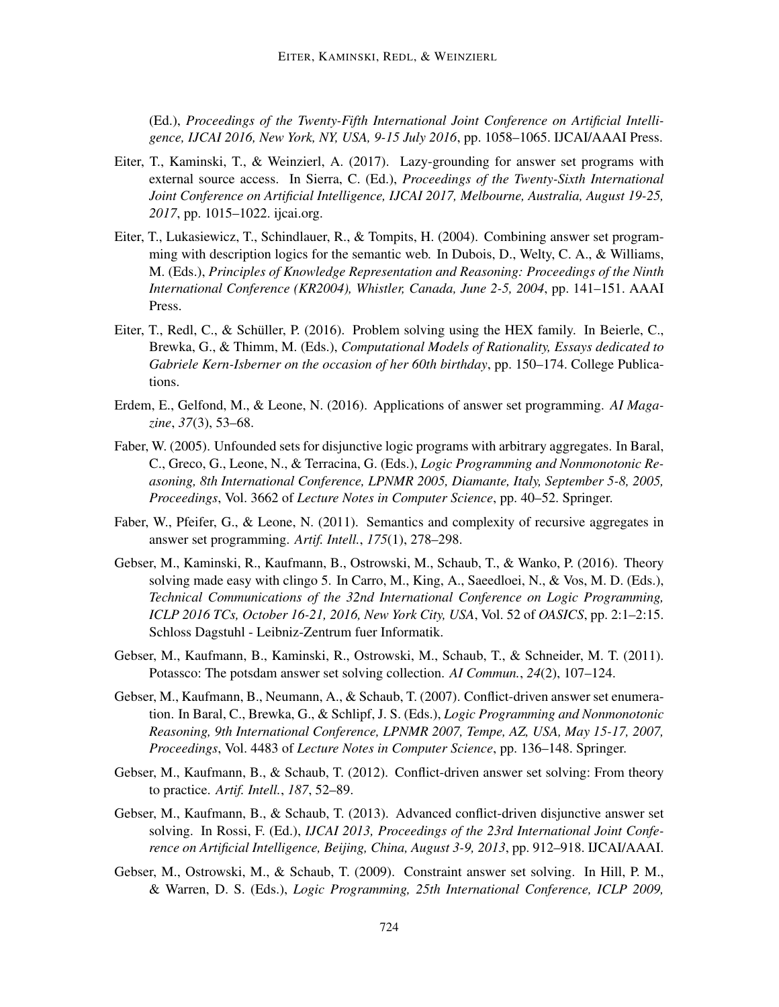(Ed.), *Proceedings of the Twenty-Fifth International Joint Conference on Artificial Intelligence, IJCAI 2016, New York, NY, USA, 9-15 July 2016*, pp. 1058–1065. IJCAI/AAAI Press.

- Eiter, T., Kaminski, T., & Weinzierl, A. (2017). Lazy-grounding for answer set programs with external source access. In Sierra, C. (Ed.), *Proceedings of the Twenty-Sixth International Joint Conference on Artificial Intelligence, IJCAI 2017, Melbourne, Australia, August 19-25, 2017*, pp. 1015–1022. ijcai.org.
- Eiter, T., Lukasiewicz, T., Schindlauer, R., & Tompits, H. (2004). Combining answer set programming with description logics for the semantic web. In Dubois, D., Welty, C. A., & Williams, M. (Eds.), *Principles of Knowledge Representation and Reasoning: Proceedings of the Ninth International Conference (KR2004), Whistler, Canada, June 2-5, 2004*, pp. 141–151. AAAI Press.
- Eiter, T., Redl, C., & Schüller, P. (2016). Problem solving using the HEX family. In Beierle, C., Brewka, G., & Thimm, M. (Eds.), *Computational Models of Rationality, Essays dedicated to Gabriele Kern-Isberner on the occasion of her 60th birthday*, pp. 150–174. College Publications.
- Erdem, E., Gelfond, M., & Leone, N. (2016). Applications of answer set programming. *AI Magazine*, *37*(3), 53–68.
- Faber, W. (2005). Unfounded sets for disjunctive logic programs with arbitrary aggregates. In Baral, C., Greco, G., Leone, N., & Terracina, G. (Eds.), *Logic Programming and Nonmonotonic Reasoning, 8th International Conference, LPNMR 2005, Diamante, Italy, September 5-8, 2005, Proceedings*, Vol. 3662 of *Lecture Notes in Computer Science*, pp. 40–52. Springer.
- Faber, W., Pfeifer, G., & Leone, N. (2011). Semantics and complexity of recursive aggregates in answer set programming. *Artif. Intell.*, *175*(1), 278–298.
- Gebser, M., Kaminski, R., Kaufmann, B., Ostrowski, M., Schaub, T., & Wanko, P. (2016). Theory solving made easy with clingo 5. In Carro, M., King, A., Saeedloei, N., & Vos, M. D. (Eds.), *Technical Communications of the 32nd International Conference on Logic Programming, ICLP 2016 TCs, October 16-21, 2016, New York City, USA*, Vol. 52 of *OASICS*, pp. 2:1–2:15. Schloss Dagstuhl - Leibniz-Zentrum fuer Informatik.
- Gebser, M., Kaufmann, B., Kaminski, R., Ostrowski, M., Schaub, T., & Schneider, M. T. (2011). Potassco: The potsdam answer set solving collection. *AI Commun.*, *24*(2), 107–124.
- Gebser, M., Kaufmann, B., Neumann, A., & Schaub, T. (2007). Conflict-driven answer set enumeration. In Baral, C., Brewka, G., & Schlipf, J. S. (Eds.), *Logic Programming and Nonmonotonic Reasoning, 9th International Conference, LPNMR 2007, Tempe, AZ, USA, May 15-17, 2007, Proceedings*, Vol. 4483 of *Lecture Notes in Computer Science*, pp. 136–148. Springer.
- Gebser, M., Kaufmann, B., & Schaub, T. (2012). Conflict-driven answer set solving: From theory to practice. *Artif. Intell.*, *187*, 52–89.
- Gebser, M., Kaufmann, B., & Schaub, T. (2013). Advanced conflict-driven disjunctive answer set solving. In Rossi, F. (Ed.), *IJCAI 2013, Proceedings of the 23rd International Joint Conference on Artificial Intelligence, Beijing, China, August 3-9, 2013*, pp. 912–918. IJCAI/AAAI.
- Gebser, M., Ostrowski, M., & Schaub, T. (2009). Constraint answer set solving. In Hill, P. M., & Warren, D. S. (Eds.), *Logic Programming, 25th International Conference, ICLP 2009,*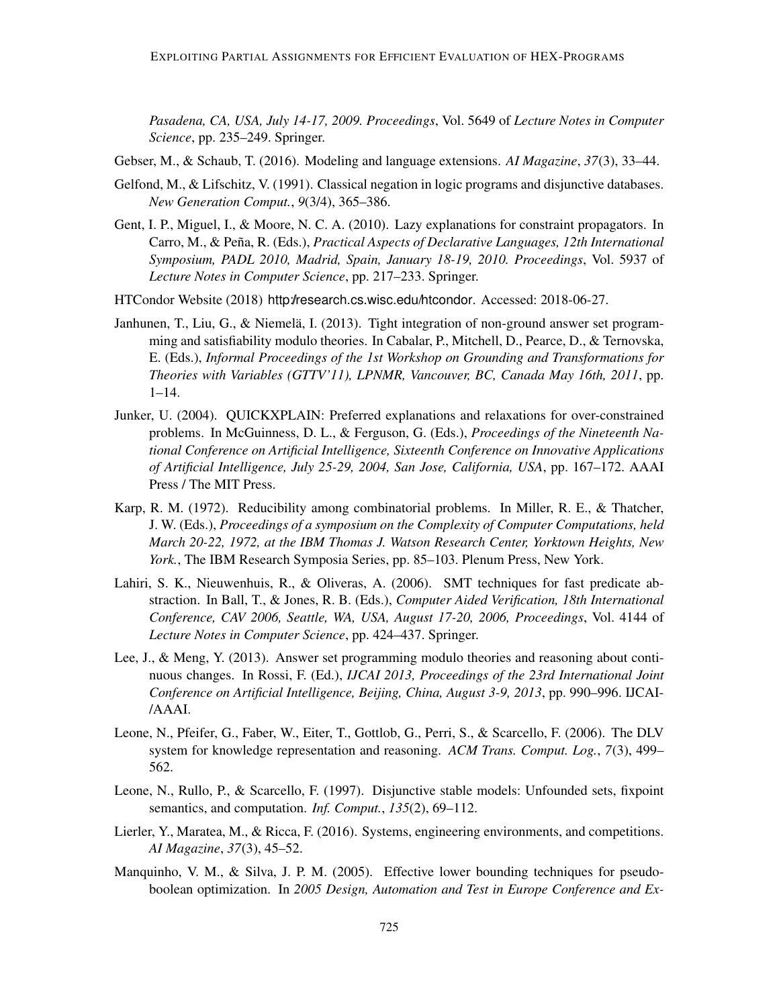*Pasadena, CA, USA, July 14-17, 2009. Proceedings*, Vol. 5649 of *Lecture Notes in Computer Science*, pp. 235–249. Springer.

- Gebser, M., & Schaub, T. (2016). Modeling and language extensions. *AI Magazine*, *37*(3), 33–44.
- Gelfond, M., & Lifschitz, V. (1991). Classical negation in logic programs and disjunctive databases. *New Generation Comput.*, *9*(3/4), 365–386.
- Gent, I. P., Miguel, I., & Moore, N. C. A. (2010). Lazy explanations for constraint propagators. In Carro, M., & Peña, R. (Eds.), *Practical Aspects of Declarative Languages, 12th International Symposium, PADL 2010, Madrid, Spain, January 18-19, 2010. Proceedings*, Vol. 5937 of *Lecture Notes in Computer Science*, pp. 217–233. Springer.
- HTCondor Website (2018) http://research.cs.wisc.edu/htcondor. Accessed: 2018-06-27.
- Janhunen, T., Liu, G., & Niemelä, I. (2013). Tight integration of non-ground answer set programming and satisfiability modulo theories. In Cabalar, P., Mitchell, D., Pearce, D., & Ternovska, E. (Eds.), *Informal Proceedings of the 1st Workshop on Grounding and Transformations for Theories with Variables (GTTV'11), LPNMR, Vancouver, BC, Canada May 16th, 2011*, pp. 1–14.
- Junker, U. (2004). QUICKXPLAIN: Preferred explanations and relaxations for over-constrained problems. In McGuinness, D. L., & Ferguson, G. (Eds.), *Proceedings of the Nineteenth National Conference on Artificial Intelligence, Sixteenth Conference on Innovative Applications of Artificial Intelligence, July 25-29, 2004, San Jose, California, USA*, pp. 167–172. AAAI Press / The MIT Press.
- Karp, R. M. (1972). Reducibility among combinatorial problems. In Miller, R. E., & Thatcher, J. W. (Eds.), *Proceedings of a symposium on the Complexity of Computer Computations, held March 20-22, 1972, at the IBM Thomas J. Watson Research Center, Yorktown Heights, New York.*, The IBM Research Symposia Series, pp. 85–103. Plenum Press, New York.
- Lahiri, S. K., Nieuwenhuis, R., & Oliveras, A. (2006). SMT techniques for fast predicate abstraction. In Ball, T., & Jones, R. B. (Eds.), *Computer Aided Verification, 18th International Conference, CAV 2006, Seattle, WA, USA, August 17-20, 2006, Proceedings*, Vol. 4144 of *Lecture Notes in Computer Science*, pp. 424–437. Springer.
- Lee, J., & Meng, Y. (2013). Answer set programming modulo theories and reasoning about continuous changes. In Rossi, F. (Ed.), *IJCAI 2013, Proceedings of the 23rd International Joint Conference on Artificial Intelligence, Beijing, China, August 3-9, 2013*, pp. 990–996. IJCAI- /AAAI.
- Leone, N., Pfeifer, G., Faber, W., Eiter, T., Gottlob, G., Perri, S., & Scarcello, F. (2006). The DLV system for knowledge representation and reasoning. *ACM Trans. Comput. Log.*, *7*(3), 499– 562.
- Leone, N., Rullo, P., & Scarcello, F. (1997). Disjunctive stable models: Unfounded sets, fixpoint semantics, and computation. *Inf. Comput.*, *135*(2), 69–112.
- Lierler, Y., Maratea, M., & Ricca, F. (2016). Systems, engineering environments, and competitions. *AI Magazine*, *37*(3), 45–52.
- Manquinho, V. M., & Silva, J. P. M. (2005). Effective lower bounding techniques for pseudoboolean optimization. In *2005 Design, Automation and Test in Europe Conference and Ex-*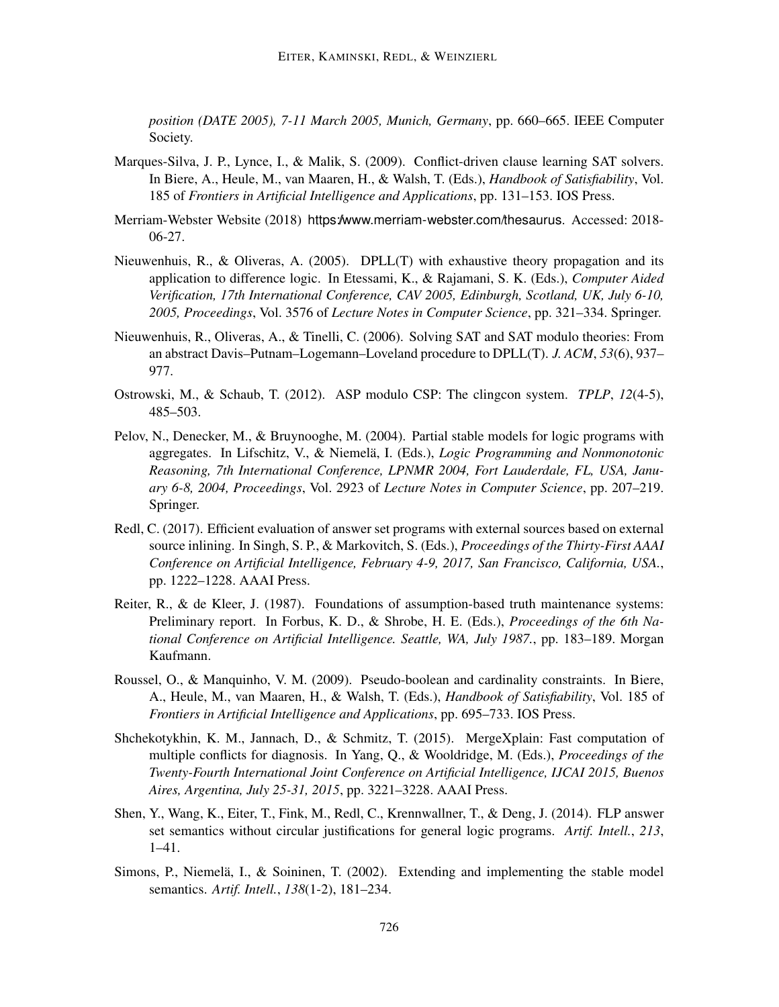*position (DATE 2005), 7-11 March 2005, Munich, Germany*, pp. 660–665. IEEE Computer Society.

- Marques-Silva, J. P., Lynce, I., & Malik, S. (2009). Conflict-driven clause learning SAT solvers. In Biere, A., Heule, M., van Maaren, H., & Walsh, T. (Eds.), *Handbook of Satisfiability*, Vol. 185 of *Frontiers in Artificial Intelligence and Applications*, pp. 131–153. IOS Press.
- Merriam-Webster Website (2018) https://www.merriam-webster.com/thesaurus. Accessed: 2018-06-27.
- Nieuwenhuis, R., & Oliveras, A. (2005). DPLL(T) with exhaustive theory propagation and its application to difference logic. In Etessami, K., & Rajamani, S. K. (Eds.), *Computer Aided Verification, 17th International Conference, CAV 2005, Edinburgh, Scotland, UK, July 6-10, 2005, Proceedings*, Vol. 3576 of *Lecture Notes in Computer Science*, pp. 321–334. Springer.
- Nieuwenhuis, R., Oliveras, A., & Tinelli, C. (2006). Solving SAT and SAT modulo theories: From an abstract Davis–Putnam–Logemann–Loveland procedure to DPLL(T). *J. ACM*, *53*(6), 937– 977.
- Ostrowski, M., & Schaub, T. (2012). ASP modulo CSP: The clingcon system. *TPLP*, *12*(4-5), 485–503.
- Pelov, N., Denecker, M., & Bruynooghe, M. (2004). Partial stable models for logic programs with aggregates. In Lifschitz, V., & Niemelä, I. (Eds.), *Logic Programming and Nonmonotonic Reasoning, 7th International Conference, LPNMR 2004, Fort Lauderdale, FL, USA, January 6-8, 2004, Proceedings*, Vol. 2923 of *Lecture Notes in Computer Science*, pp. 207–219. Springer.
- Redl, C. (2017). Efficient evaluation of answer set programs with external sources based on external source inlining. In Singh, S. P., & Markovitch, S. (Eds.), *Proceedings of the Thirty-First AAAI Conference on Artificial Intelligence, February 4-9, 2017, San Francisco, California, USA.*, pp. 1222–1228. AAAI Press.
- Reiter, R., & de Kleer, J. (1987). Foundations of assumption-based truth maintenance systems: Preliminary report. In Forbus, K. D., & Shrobe, H. E. (Eds.), *Proceedings of the 6th National Conference on Artificial Intelligence. Seattle, WA, July 1987.*, pp. 183–189. Morgan Kaufmann.
- Roussel, O., & Manquinho, V. M. (2009). Pseudo-boolean and cardinality constraints. In Biere, A., Heule, M., van Maaren, H., & Walsh, T. (Eds.), *Handbook of Satisfiability*, Vol. 185 of *Frontiers in Artificial Intelligence and Applications*, pp. 695–733. IOS Press.
- Shchekotykhin, K. M., Jannach, D., & Schmitz, T. (2015). MergeXplain: Fast computation of multiple conflicts for diagnosis. In Yang, Q., & Wooldridge, M. (Eds.), *Proceedings of the Twenty-Fourth International Joint Conference on Artificial Intelligence, IJCAI 2015, Buenos Aires, Argentina, July 25-31, 2015*, pp. 3221–3228. AAAI Press.
- Shen, Y., Wang, K., Eiter, T., Fink, M., Redl, C., Krennwallner, T., & Deng, J. (2014). FLP answer set semantics without circular justifications for general logic programs. *Artif. Intell.*, *213*, 1–41.
- Simons, P., Niemelä, I., & Soininen, T. (2002). Extending and implementing the stable model semantics. *Artif. Intell.*, *138*(1-2), 181–234.